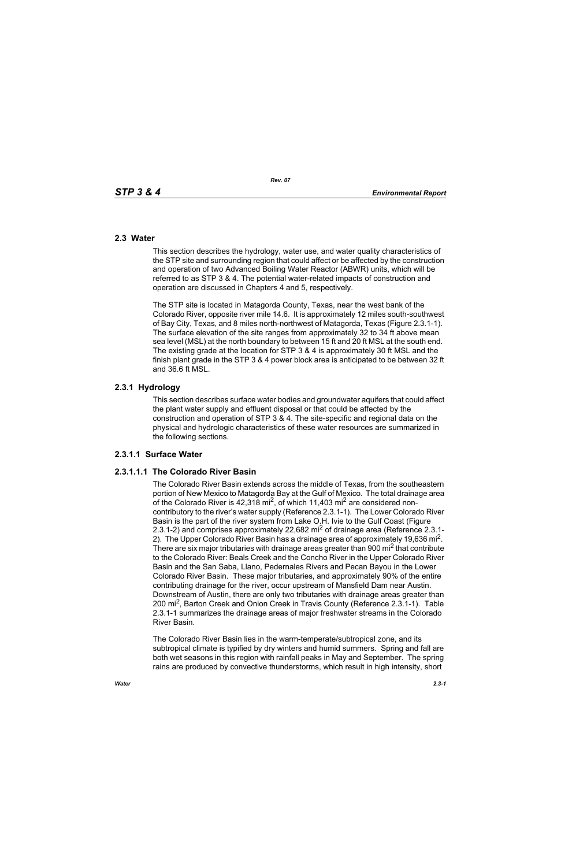# **2.3 Water**

This section describes the hydrology, water use, and water quality characteristics of the STP site and surrounding region that could affect or be affected by the construction and operation of two Advanced Boiling Water Reactor (ABWR) units, which will be referred to as STP 3 & 4. The potential water-related impacts of construction and operation are discussed in Chapters 4 and 5, respectively.

The STP site is located in Matagorda County, Texas, near the west bank of the Colorado River, opposite river mile 14.6. It is approximately 12 miles south-southwest of Bay City, Texas, and 8 miles north-northwest of Matagorda, Texas (Figure 2.3.1-1). The surface elevation of the site ranges from approximately 32 to 34 ft above mean sea level (MSL) at the north boundary to between 15 ft and 20 ft MSL at the south end. The existing grade at the location for STP 3 & 4 is approximately 30 ft MSL and the finish plant grade in the STP 3 & 4 power block area is anticipated to be between 32 ft and 36.6 ft MSL.

# **2.3.1 Hydrology**

This section describes surface water bodies and groundwater aquifers that could affect the plant water supply and effluent disposal or that could be affected by the construction and operation of STP 3 & 4. The site-specific and regional data on the physical and hydrologic characteristics of these water resources are summarized in the following sections.

# **2.3.1.1 Surface Water**

# **2.3.1.1.1 The Colorado River Basin**

The Colorado River Basin extends across the middle of Texas, from the southeastern portion of New Mexico to Matagorda Bay at the Gulf of Mexico. The total drainage area of the Colorado River is  $42,318$  mi<sup>2</sup>, of which 11,403 mi<sup>2</sup> are considered noncontributory to the river's water supply (Reference 2.3.1-1). The Lower Colorado River Basin is the part of the river system from Lake O.H. Ivie to the Gulf Coast (Figure 2.3.1-2) and comprises approximately 22,682 mi<sup>2</sup> of drainage area (Reference 2.3.1-2). The Upper Colorado River Basin has a drainage area of approximately 19,636 mi<sup>2</sup>. There are six major tributaries with drainage areas greater than 900 mi<sup>2</sup> that contribute to the Colorado River: Beals Creek and the Concho River in the Upper Colorado River Basin and the San Saba, Llano, Pedernales Rivers and Pecan Bayou in the Lower Colorado River Basin. These major tributaries, and approximately 90% of the entire contributing drainage for the river, occur upstream of Mansfield Dam near Austin. Downstream of Austin, there are only two tributaries with drainage areas greater than 200 mi<sup>2</sup>, Barton Creek and Onion Creek in Travis County (Reference 2.3.1-1). Table 2.3.1-1 summarizes the drainage areas of major freshwater streams in the Colorado River Basin.

The Colorado River Basin lies in the warm-temperate/subtropical zone, and its subtropical climate is typified by dry winters and humid summers. Spring and fall are both wet seasons in this region with rainfall peaks in May and September. The spring rains are produced by convective thunderstorms, which result in high intensity, short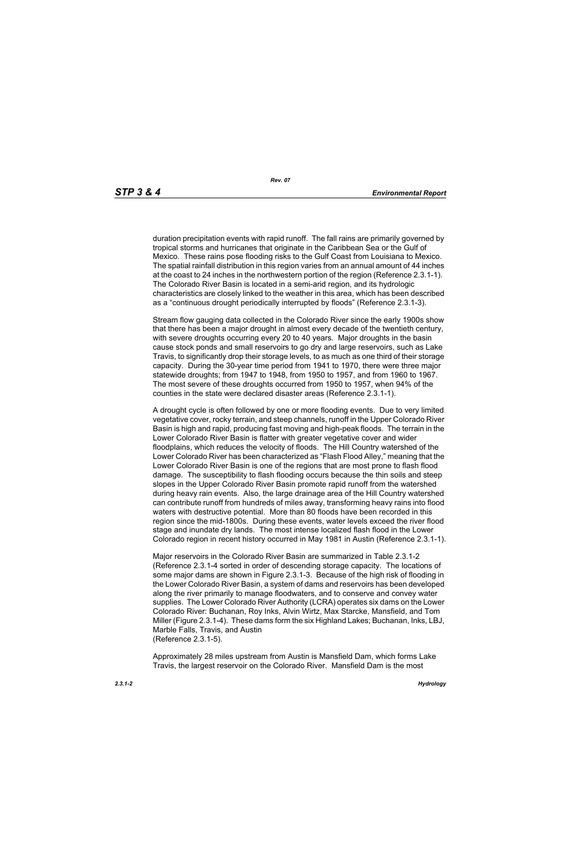duration precipitation events with rapid runoff. The fall rains are primarily governed by tropical storms and hurricanes that originate in the Caribbean Sea or the Gulf of Mexico. These rains pose flooding risks to the Gulf Coast from Louisiana to Mexico. The spatial rainfall distribution in this region varies from an annual amount of 44 inches at the coast to 24 inches in the northwestern portion of the region (Reference 2.3.1-1). The Colorado River Basin is located in a semi-arid region, and its hydrologic characteristics are closely linked to the weather in this area, which has been described as a "continuous drought periodically interrupted by floods" (Reference 2.3.1-3).

Stream flow gauging data collected in the Colorado River since the early 1900s show that there has been a major drought in almost every decade of the twentieth century, with severe droughts occurring every 20 to 40 years. Major droughts in the basin cause stock ponds and small reservoirs to go dry and large reservoirs, such as Lake Travis, to significantly drop their storage levels, to as much as one third of their storage capacity. During the 30-year time period from 1941 to 1970, there were three major statewide droughts; from 1947 to 1948, from 1950 to 1957, and from 1960 to 1967. The most severe of these droughts occurred from 1950 to 1957, when 94% of the counties in the state were declared disaster areas (Reference 2.3.1-1).

A drought cycle is often followed by one or more flooding events. Due to very limited vegetative cover, rocky terrain, and steep channels, runoff in the Upper Colorado River Basin is high and rapid, producing fast moving and high-peak floods. The terrain in the Lower Colorado River Basin is flatter with greater vegetative cover and wider floodplains, which reduces the velocity of floods. The Hill Country watershed of the Lower Colorado River has been characterized as "Flash Flood Alley," meaning that the Lower Colorado River Basin is one of the regions that are most prone to flash flood damage. The susceptibility to flash flooding occurs because the thin soils and steep slopes in the Upper Colorado River Basin promote rapid runoff from the watershed during heavy rain events. Also, the large drainage area of the Hill Country watershed can contribute runoff from hundreds of miles away, transforming heavy rains into flood waters with destructive potential. More than 80 floods have been recorded in this region since the mid-1800s. During these events, water levels exceed the river flood stage and inundate dry lands. The most intense localized flash flood in the Lower Colorado region in recent history occurred in May 1981 in Austin (Reference 2.3.1-1).

Major reservoirs in the Colorado River Basin are summarized in Table 2.3.1-2 (Reference 2.3.1-4 sorted in order of descending storage capacity. The locations of some major dams are shown in Figure 2.3.1-3. Because of the high risk of flooding in the Lower Colorado River Basin, a system of dams and reservoirs has been developed along the river primarily to manage floodwaters, and to conserve and convey water supplies. The Lower Colorado River Authority (LCRA) operates six dams on the Lower Colorado River: Buchanan, Roy Inks, Alvin Wirtz, Max Starcke, Mansfield, and Tom Miller (Figure 2.3.1-4). These dams form the six Highland Lakes; Buchanan, Inks, LBJ, Marble Falls, Travis, and Austin (Reference 2.3.1-5).

Approximately 28 miles upstream from Austin is Mansfield Dam, which forms Lake Travis, the largest reservoir on the Colorado River. Mansfield Dam is the most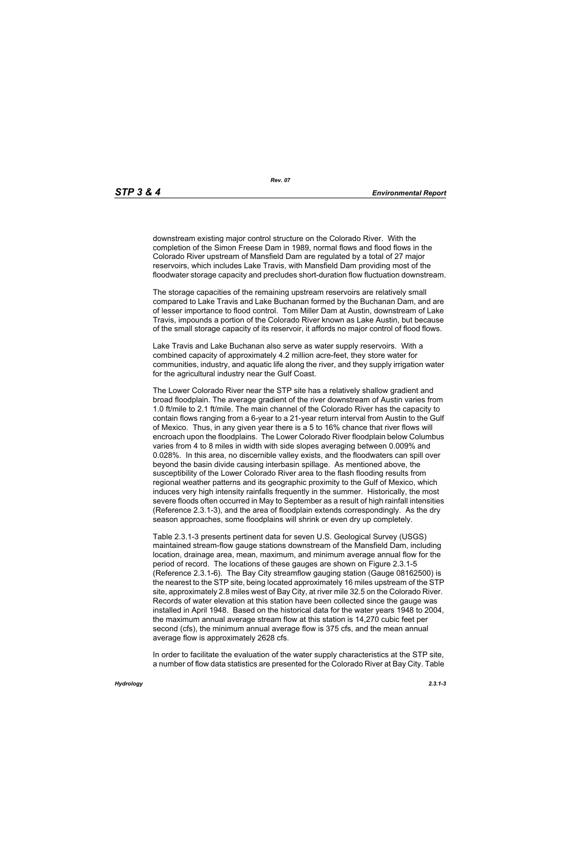downstream existing major control structure on the Colorado River. With the completion of the Simon Freese Dam in 1989, normal flows and flood flows in the Colorado River upstream of Mansfield Dam are regulated by a total of 27 major reservoirs, which includes Lake Travis, with Mansfield Dam providing most of the floodwater storage capacity and precludes short-duration flow fluctuation downstream.

The storage capacities of the remaining upstream reservoirs are relatively small compared to Lake Travis and Lake Buchanan formed by the Buchanan Dam, and are of lesser importance to flood control. Tom Miller Dam at Austin, downstream of Lake Travis, impounds a portion of the Colorado River known as Lake Austin, but because of the small storage capacity of its reservoir, it affords no major control of flood flows.

Lake Travis and Lake Buchanan also serve as water supply reservoirs. With a combined capacity of approximately 4.2 million acre-feet, they store water for communities, industry, and aquatic life along the river, and they supply irrigation water for the agricultural industry near the Gulf Coast.

The Lower Colorado River near the STP site has a relatively shallow gradient and broad floodplain. The average gradient of the river downstream of Austin varies from 1.0 ft/mile to 2.1 ft/mile. The main channel of the Colorado River has the capacity to contain flows ranging from a 6-year to a 21-year return interval from Austin to the Gulf of Mexico. Thus, in any given year there is a 5 to 16% chance that river flows will encroach upon the floodplains. The Lower Colorado River floodplain below Columbus varies from 4 to 8 miles in width with side slopes averaging between 0.009% and 0.028%. In this area, no discernible valley exists, and the floodwaters can spill over beyond the basin divide causing interbasin spillage. As mentioned above, the susceptibility of the Lower Colorado River area to the flash flooding results from regional weather patterns and its geographic proximity to the Gulf of Mexico, which induces very high intensity rainfalls frequently in the summer. Historically, the most severe floods often occurred in May to September as a result of high rainfall intensities (Reference 2.3.1-3), and the area of floodplain extends correspondingly. As the dry season approaches, some floodplains will shrink or even dry up completely.

Table 2.3.1-3 presents pertinent data for seven U.S. Geological Survey (USGS) maintained stream-flow gauge stations downstream of the Mansfield Dam, including location, drainage area, mean, maximum, and minimum average annual flow for the period of record. The locations of these gauges are shown on Figure 2.3.1-5 (Reference 2.3.1-6). The Bay City streamflow gauging station (Gauge 08162500) is the nearest to the STP site, being located approximately 16 miles upstream of the STP site, approximately 2.8 miles west of Bay City, at river mile 32.5 on the Colorado River. Records of water elevation at this station have been collected since the gauge was installed in April 1948. Based on the historical data for the water years 1948 to 2004, the maximum annual average stream flow at this station is 14,270 cubic feet per second (cfs), the minimum annual average flow is 375 cfs, and the mean annual average flow is approximately 2628 cfs.

In order to facilitate the evaluation of the water supply characteristics at the STP site, a number of flow data statistics are presented for the Colorado River at Bay City. Table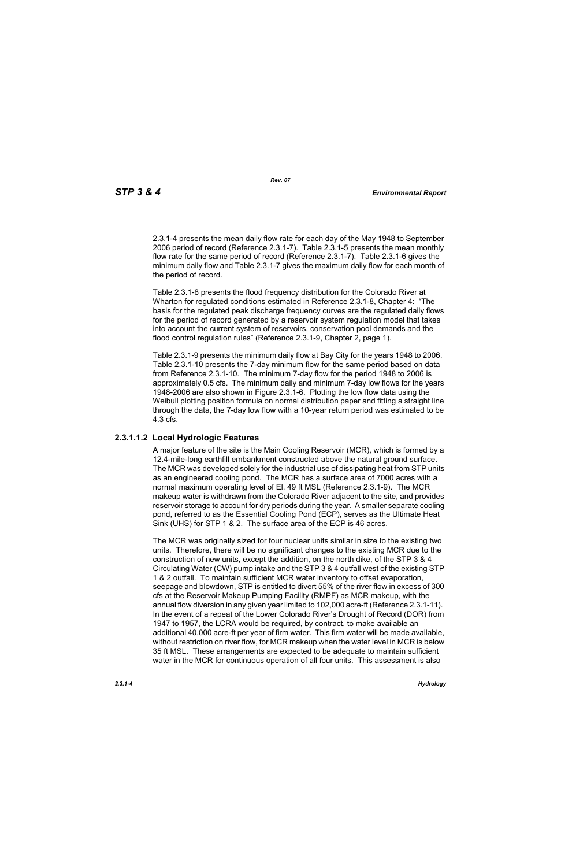2.3.1-4 presents the mean daily flow rate for each day of the May 1948 to September 2006 period of record (Reference 2.3.1-7). Table 2.3.1-5 presents the mean monthly flow rate for the same period of record (Reference 2.3.1-7). Table 2.3.1-6 gives the minimum daily flow and Table 2.3.1-7 gives the maximum daily flow for each month of the period of record.

Table 2.3.1-8 presents the flood frequency distribution for the Colorado River at Wharton for regulated conditions estimated in Reference 2.3.1-8, Chapter 4: "The basis for the regulated peak discharge frequency curves are the regulated daily flows for the period of record generated by a reservoir system regulation model that takes into account the current system of reservoirs, conservation pool demands and the flood control regulation rules" (Reference 2.3.1-9, Chapter 2, page 1).

Table 2.3.1-9 presents the minimum daily flow at Bay City for the years 1948 to 2006. Table 2.3.1-10 presents the 7-day minimum flow for the same period based on data from Reference 2.3.1-10. The minimum 7-day flow for the period 1948 to 2006 is approximately 0.5 cfs. The minimum daily and minimum 7-day low flows for the years 1948-2006 are also shown in Figure 2.3.1-6. Plotting the low flow data using the Weibull plotting position formula on normal distribution paper and fitting a straight line through the data, the 7-day low flow with a 10-year return period was estimated to be 4.3 cfs.

# **2.3.1.1.2 Local Hydrologic Features**

A major feature of the site is the Main Cooling Reservoir (MCR), which is formed by a 12.4-mile-long earthfill embankment constructed above the natural ground surface. The MCR was developed solely for the industrial use of dissipating heat from STP units as an engineered cooling pond. The MCR has a surface area of 7000 acres with a normal maximum operating level of El. 49 ft MSL (Reference 2.3.1-9). The MCR makeup water is withdrawn from the Colorado River adjacent to the site, and provides reservoir storage to account for dry periods during the year. A smaller separate cooling pond, referred to as the Essential Cooling Pond (ECP), serves as the Ultimate Heat Sink (UHS) for STP 1 & 2. The surface area of the ECP is 46 acres.

The MCR was originally sized for four nuclear units similar in size to the existing two units. Therefore, there will be no significant changes to the existing MCR due to the construction of new units, except the addition, on the north dike, of the STP 3 & 4 Circulating Water (CW) pump intake and the STP 3 & 4 outfall west of the existing STP 1 & 2 outfall. To maintain sufficient MCR water inventory to offset evaporation, seepage and blowdown, STP is entitled to divert 55% of the river flow in excess of 300 cfs at the Reservoir Makeup Pumping Facility (RMPF) as MCR makeup, with the annual flow diversion in any given year limited to 102,000 acre-ft (Reference 2.3.1-11). In the event of a repeat of the Lower Colorado River's Drought of Record (DOR) from 1947 to 1957, the LCRA would be required, by contract, to make available an additional 40,000 acre-ft per year of firm water. This firm water will be made available, without restriction on river flow, for MCR makeup when the water level in MCR is below 35 ft MSL. These arrangements are expected to be adequate to maintain sufficient water in the MCR for continuous operation of all four units. This assessment is also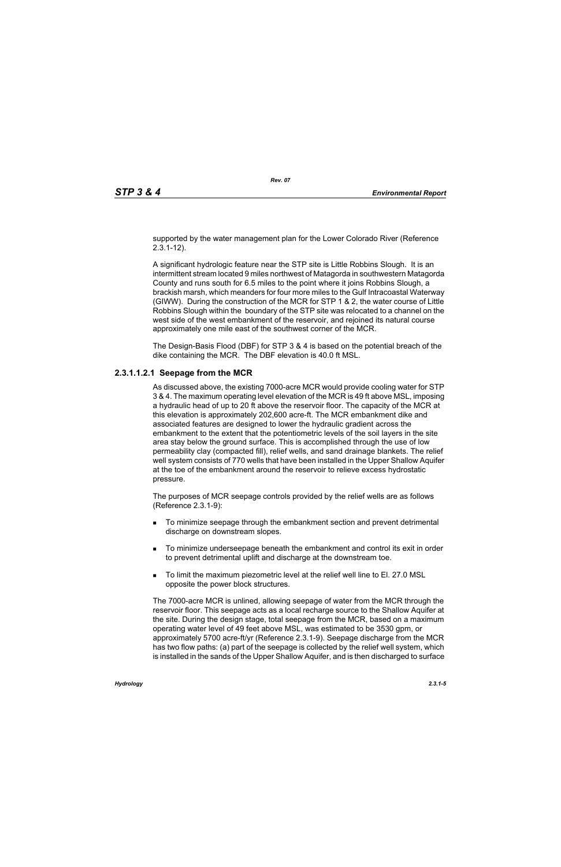supported by the water management plan for the Lower Colorado River (Reference 2.3.1-12).

A significant hydrologic feature near the STP site is Little Robbins Slough. It is an intermittent stream located 9 miles northwest of Matagorda in southwestern Matagorda County and runs south for 6.5 miles to the point where it joins Robbins Slough, a brackish marsh, which meanders for four more miles to the Gulf Intracoastal Waterway (GIWW). During the construction of the MCR for STP 1 & 2, the water course of Little Robbins Slough within the boundary of the STP site was relocated to a channel on the west side of the west embankment of the reservoir, and rejoined its natural course approximately one mile east of the southwest corner of the MCR.

The Design-Basis Flood (DBF) for STP 3 & 4 is based on the potential breach of the dike containing the MCR. The DBF elevation is 40.0 ft MSL.

# **2.3.1.1.2.1 Seepage from the MCR**

As discussed above, the existing 7000-acre MCR would provide cooling water for STP 3 & 4. The maximum operating level elevation of the MCR is 49 ft above MSL, imposing a hydraulic head of up to 20 ft above the reservoir floor. The capacity of the MCR at this elevation is approximately 202,600 acre-ft. The MCR embankment dike and associated features are designed to lower the hydraulic gradient across the embankment to the extent that the potentiometric levels of the soil layers in the site area stay below the ground surface. This is accomplished through the use of low permeability clay (compacted fill), relief wells, and sand drainage blankets. The relief well system consists of 770 wells that have been installed in the Upper Shallow Aquifer at the toe of the embankment around the reservoir to relieve excess hydrostatic pressure.

The purposes of MCR seepage controls provided by the relief wells are as follows (Reference 2.3.1-9):

- To minimize seepage through the embankment section and prevent detrimental discharge on downstream slopes.
- To minimize underseepage beneath the embankment and control its exit in order to prevent detrimental uplift and discharge at the downstream toe.
- To limit the maximum piezometric level at the relief well line to El. 27.0 MSL opposite the power block structures.

The 7000-acre MCR is unlined, allowing seepage of water from the MCR through the reservoir floor. This seepage acts as a local recharge source to the Shallow Aquifer at the site. During the design stage, total seepage from the MCR, based on a maximum operating water level of 49 feet above MSL, was estimated to be 3530 gpm, or approximately 5700 acre-ft/yr (Reference 2.3.1-9). Seepage discharge from the MCR has two flow paths: (a) part of the seepage is collected by the relief well system, which is installed in the sands of the Upper Shallow Aquifer, and is then discharged to surface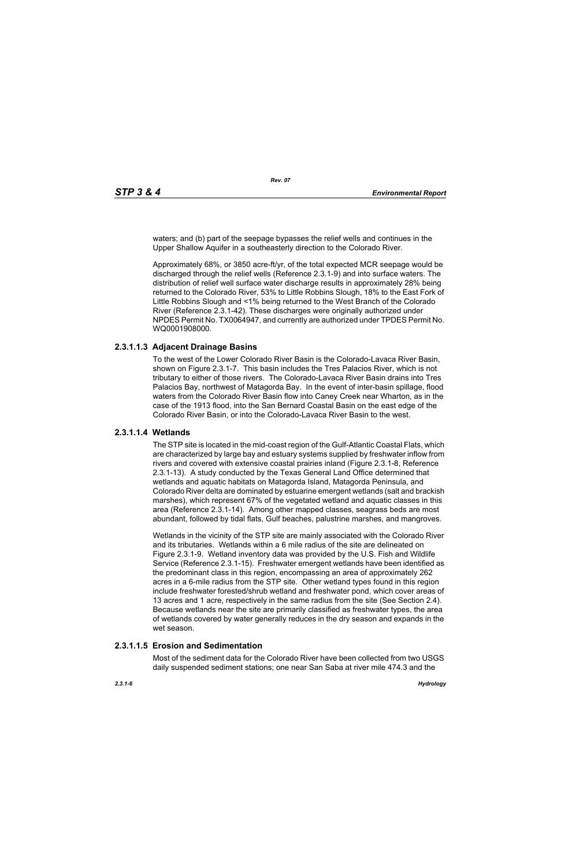waters; and (b) part of the seepage bypasses the relief wells and continues in the Upper Shallow Aquifer in a southeasterly direction to the Colorado River.

Approximately 68%, or 3850 acre-ft/yr, of the total expected MCR seepage would be discharged through the relief wells (Reference 2.3.1-9) and into surface waters. The distribution of relief well surface water discharge results in approximately 28% being returned to the Colorado River, 53% to Little Robbins Slough, 18% to the East Fork of Little Robbins Slough and <1% being returned to the West Branch of the Colorado River (Reference 2.3.1-42). These discharges were originally authorized under NPDES Permit No. TX0064947, and currently are authorized under TPDES Permit No. WQ0001908000.

# **2.3.1.1.3 Adjacent Drainage Basins**

To the west of the Lower Colorado River Basin is the Colorado-Lavaca River Basin, shown on Figure 2.3.1-7. This basin includes the Tres Palacios River, which is not tributary to either of those rivers. The Colorado-Lavaca River Basin drains into Tres Palacios Bay, northwest of Matagorda Bay. In the event of inter-basin spillage, flood waters from the Colorado River Basin flow into Caney Creek near Wharton, as in the case of the 1913 flood, into the San Bernard Coastal Basin on the east edge of the Colorado River Basin, or into the Colorado-Lavaca River Basin to the west.

# **2.3.1.1.4 Wetlands**

The STP site is located in the mid-coast region of the Gulf-Atlantic Coastal Flats, which are characterized by large bay and estuary systems supplied by freshwater inflow from rivers and covered with extensive coastal prairies inland (Figure 2.3.1-8, Reference 2.3.1-13). A study conducted by the Texas General Land Office determined that wetlands and aquatic habitats on Matagorda Island, Matagorda Peninsula, and Colorado River delta are dominated by estuarine emergent wetlands (salt and brackish marshes), which represent 67% of the vegetated wetland and aquatic classes in this area (Reference 2.3.1-14). Among other mapped classes, seagrass beds are most abundant, followed by tidal flats, Gulf beaches, palustrine marshes, and mangroves.

Wetlands in the vicinity of the STP site are mainly associated with the Colorado River and its tributaries. Wetlands within a 6 mile radius of the site are delineated on Figure 2.3.1-9. Wetland inventory data was provided by the U.S. Fish and Wildlife Service (Reference 2.3.1-15). Freshwater emergent wetlands have been identified as the predominant class in this region, encompassing an area of approximately 262 acres in a 6-mile radius from the STP site. Other wetland types found in this region include freshwater forested/shrub wetland and freshwater pond, which cover areas of 13 acres and 1 acre, respectively in the same radius from the site (See Section 2.4). Because wetlands near the site are primarily classified as freshwater types, the area of wetlands covered by water generally reduces in the dry season and expands in the wet season.

# **2.3.1.1.5 Erosion and Sedimentation**

Most of the sediment data for the Colorado River have been collected from two USGS daily suspended sediment stations; one near San Saba at river mile 474.3 and the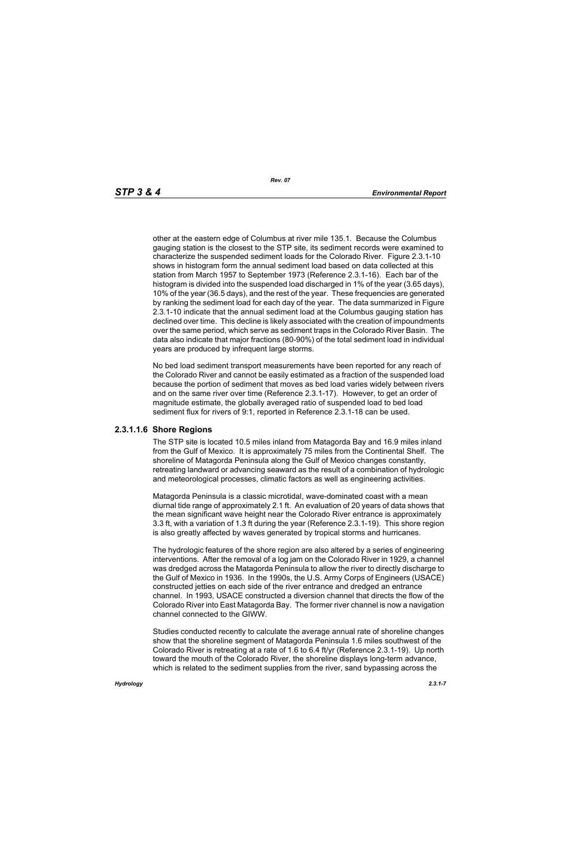other at the eastern edge of Columbus at river mile 135.1. Because the Columbus gauging station is the closest to the STP site, its sediment records were examined to characterize the suspended sediment loads for the Colorado River. Figure 2.3.1-10 shows in histogram form the annual sediment load based on data collected at this station from March 1957 to September 1973 (Reference 2.3.1-16). Each bar of the histogram is divided into the suspended load discharged in 1% of the year (3.65 days), 10% of the year (36.5 days), and the rest of the year. These frequencies are generated by ranking the sediment load for each day of the year. The data summarized in Figure 2.3.1-10 indicate that the annual sediment load at the Columbus gauging station has declined over time. This decline is likely associated with the creation of impoundments over the same period, which serve as sediment traps in the Colorado River Basin. The data also indicate that major fractions (80-90%) of the total sediment load in individual years are produced by infrequent large storms.

No bed load sediment transport measurements have been reported for any reach of the Colorado River and cannot be easily estimated as a fraction of the suspended load because the portion of sediment that moves as bed load varies widely between rivers and on the same river over time (Reference 2.3.1-17). However, to get an order of magnitude estimate, the globally averaged ratio of suspended load to bed load sediment flux for rivers of 9:1, reported in Reference 2.3.1-18 can be used.

# **2.3.1.1.6 Shore Regions**

The STP site is located 10.5 miles inland from Matagorda Bay and 16.9 miles inland from the Gulf of Mexico. It is approximately 75 miles from the Continental Shelf. The shoreline of Matagorda Peninsula along the Gulf of Mexico changes constantly, retreating landward or advancing seaward as the result of a combination of hydrologic and meteorological processes, climatic factors as well as engineering activities.

Matagorda Peninsula is a classic microtidal, wave-dominated coast with a mean diurnal tide range of approximately 2.1 ft. An evaluation of 20 years of data shows that the mean significant wave height near the Colorado River entrance is approximately 3.3 ft, with a variation of 1.3 ft during the year (Reference 2.3.1-19). This shore region is also greatly affected by waves generated by tropical storms and hurricanes.

The hydrologic features of the shore region are also altered by a series of engineering interventions. After the removal of a log jam on the Colorado River in 1929, a channel was dredged across the Matagorda Peninsula to allow the river to directly discharge to the Gulf of Mexico in 1936. In the 1990s, the U.S. Army Corps of Engineers (USACE) constructed jetties on each side of the river entrance and dredged an entrance channel. In 1993, USACE constructed a diversion channel that directs the flow of the Colorado River into East Matagorda Bay. The former river channel is now a navigation channel connected to the GIWW.

Studies conducted recently to calculate the average annual rate of shoreline changes show that the shoreline segment of Matagorda Peninsula 1.6 miles southwest of the Colorado River is retreating at a rate of 1.6 to 6.4 ft/yr (Reference 2.3.1-19). Up north toward the mouth of the Colorado River, the shoreline displays long-term advance, which is related to the sediment supplies from the river, sand bypassing across the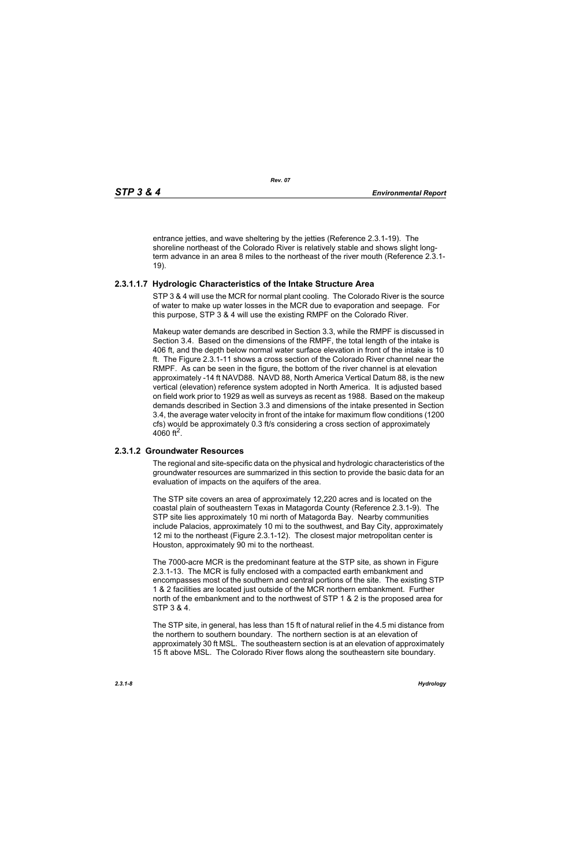entrance jetties, and wave sheltering by the jetties (Reference 2.3.1-19). The shoreline northeast of the Colorado River is relatively stable and shows slight longterm advance in an area 8 miles to the northeast of the river mouth (Reference 2.3.1- 19).

# **2.3.1.1.7 Hydrologic Characteristics of the Intake Structure Area**

STP 3 & 4 will use the MCR for normal plant cooling. The Colorado River is the source of water to make up water losses in the MCR due to evaporation and seepage. For this purpose, STP 3 & 4 will use the existing RMPF on the Colorado River.

Makeup water demands are described in Section 3.3, while the RMPF is discussed in Section 3.4. Based on the dimensions of the RMPF, the total length of the intake is 406 ft, and the depth below normal water surface elevation in front of the intake is 10 ft. The Figure 2.3.1-11 shows a cross section of the Colorado River channel near the RMPF. As can be seen in the figure, the bottom of the river channel is at elevation approximately -14 ft NAVD88. NAVD 88, North America Vertical Datum 88, is the new vertical (elevation) reference system adopted in North America. It is adjusted based on field work prior to 1929 as well as surveys as recent as 1988. Based on the makeup demands described in Section 3.3 and dimensions of the intake presented in Section 3.4, the average water velocity in front of the intake for maximum flow conditions (1200 cfs) would be approximately 0.3 ft/s considering a cross section of approximately 4060 ft<sup>2</sup>.

# **2.3.1.2 Groundwater Resources**

The regional and site-specific data on the physical and hydrologic characteristics of the groundwater resources are summarized in this section to provide the basic data for an evaluation of impacts on the aquifers of the area.

The STP site covers an area of approximately 12,220 acres and is located on the coastal plain of southeastern Texas in Matagorda County (Reference 2.3.1-9). The STP site lies approximately 10 mi north of Matagorda Bay. Nearby communities include Palacios, approximately 10 mi to the southwest, and Bay City, approximately 12 mi to the northeast (Figure 2.3.1-12). The closest major metropolitan center is Houston, approximately 90 mi to the northeast.

The 7000-acre MCR is the predominant feature at the STP site, as shown in Figure 2.3.1-13. The MCR is fully enclosed with a compacted earth embankment and encompasses most of the southern and central portions of the site. The existing STP 1 & 2 facilities are located just outside of the MCR northern embankment. Further north of the embankment and to the northwest of STP 1 & 2 is the proposed area for STP 3 & 4.

The STP site, in general, has less than 15 ft of natural relief in the 4.5 mi distance from the northern to southern boundary. The northern section is at an elevation of approximately 30 ft MSL. The southeastern section is at an elevation of approximately 15 ft above MSL. The Colorado River flows along the southeastern site boundary.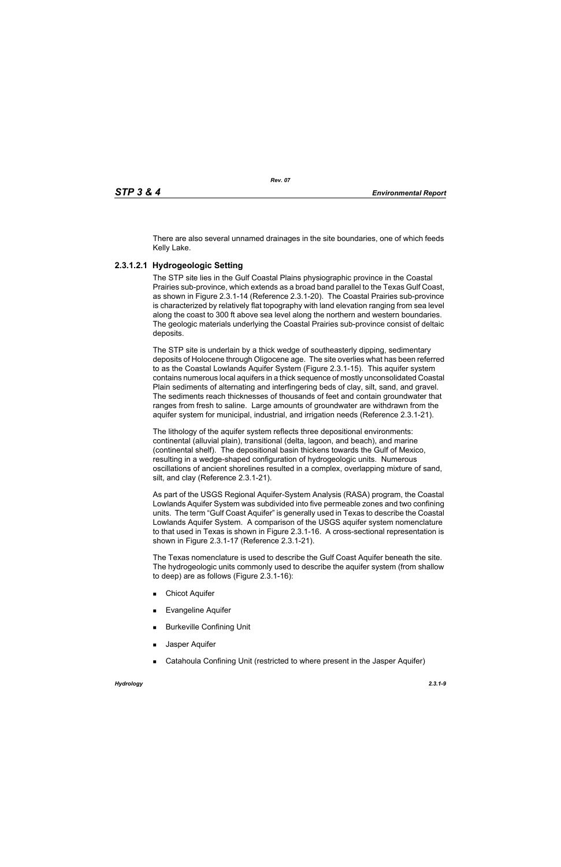There are also several unnamed drainages in the site boundaries, one of which feeds Kelly Lake.

# **2.3.1.2.1 Hydrogeologic Setting**

The STP site lies in the Gulf Coastal Plains physiographic province in the Coastal Prairies sub-province, which extends as a broad band parallel to the Texas Gulf Coast, as shown in Figure 2.3.1-14 (Reference 2.3.1-20). The Coastal Prairies sub-province is characterized by relatively flat topography with land elevation ranging from sea level along the coast to 300 ft above sea level along the northern and western boundaries. The geologic materials underlying the Coastal Prairies sub-province consist of deltaic deposits.

The STP site is underlain by a thick wedge of southeasterly dipping, sedimentary deposits of Holocene through Oligocene age. The site overlies what has been referred to as the Coastal Lowlands Aquifer System (Figure 2.3.1-15). This aquifer system contains numerous local aquifers in a thick sequence of mostly unconsolidated Coastal Plain sediments of alternating and interfingering beds of clay, silt, sand, and gravel. The sediments reach thicknesses of thousands of feet and contain groundwater that ranges from fresh to saline. Large amounts of groundwater are withdrawn from the aquifer system for municipal, industrial, and irrigation needs (Reference 2.3.1-21).

The lithology of the aquifer system reflects three depositional environments: continental (alluvial plain), transitional (delta, lagoon, and beach), and marine (continental shelf). The depositional basin thickens towards the Gulf of Mexico, resulting in a wedge-shaped configuration of hydrogeologic units. Numerous oscillations of ancient shorelines resulted in a complex, overlapping mixture of sand, silt, and clay (Reference 2.3.1-21).

As part of the USGS Regional Aquifer-System Analysis (RASA) program, the Coastal Lowlands Aquifer System was subdivided into five permeable zones and two confining units. The term "Gulf Coast Aquifer" is generally used in Texas to describe the Coastal Lowlands Aquifer System. A comparison of the USGS aquifer system nomenclature to that used in Texas is shown in Figure 2.3.1-16. A cross-sectional representation is shown in Figure 2.3.1-17 (Reference 2.3.1-21).

The Texas nomenclature is used to describe the Gulf Coast Aquifer beneath the site. The hydrogeologic units commonly used to describe the aquifer system (from shallow to deep) are as follows (Figure 2.3.1-16):

- **Chicot Aquifer**
- Evangeline Aquifer
- **Burkeville Confining Unit**
- Jasper Aquifer
- Catahoula Confining Unit (restricted to where present in the Jasper Aquifer)

*Hydrology 2.3.1-9*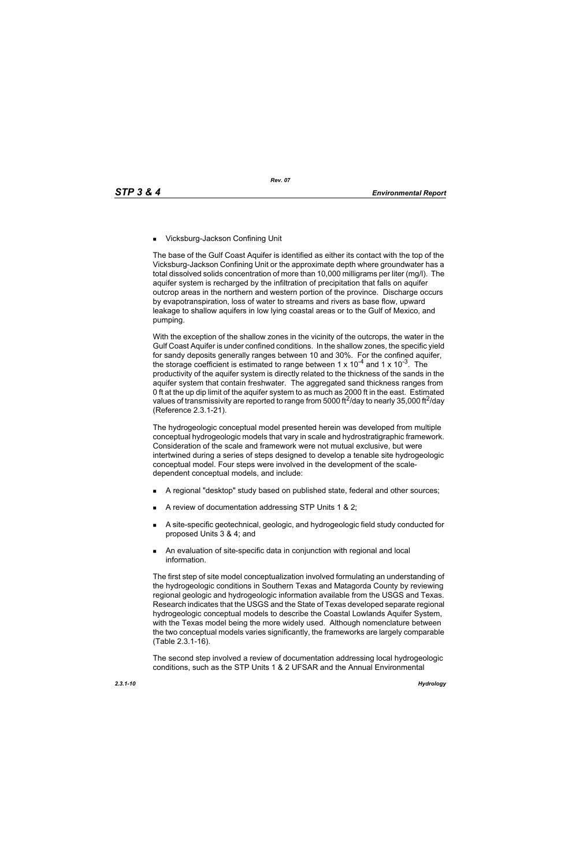■ Vicksburg-Jackson Confining Unit

The base of the Gulf Coast Aquifer is identified as either its contact with the top of the Vicksburg-Jackson Confining Unit or the approximate depth where groundwater has a total dissolved solids concentration of more than 10,000 milligrams per liter (mg/l). The aquifer system is recharged by the infiltration of precipitation that falls on aquifer outcrop areas in the northern and western portion of the province. Discharge occurs by evapotranspiration, loss of water to streams and rivers as base flow, upward leakage to shallow aquifers in low lying coastal areas or to the Gulf of Mexico, and pumping.

With the exception of the shallow zones in the vicinity of the outcrops, the water in the Gulf Coast Aquifer is under confined conditions. In the shallow zones, the specific yield for sandy deposits generally ranges between 10 and 30%. For the confined aquifer, the storage coefficient is estimated to range between 1 x  $10^{-4}$  and 1 x  $10^{-3}$ . The productivity of the aquifer system is directly related to the thickness of the sands in the aquifer system that contain freshwater. The aggregated sand thickness ranges from 0 ft at the up dip limit of the aquifer system to as much as 2000 ft in the east. Estimated values of transmissivity are reported to range from 5000 ft<sup>2</sup>/day to nearly 35,000 ft<sup>2</sup>/day (Reference 2.3.1-21).

The hydrogeologic conceptual model presented herein was developed from multiple conceptual hydrogeologic models that vary in scale and hydrostratigraphic framework. Consideration of the scale and framework were not mutual exclusive, but were intertwined during a series of steps designed to develop a tenable site hydrogeologic conceptual model. Four steps were involved in the development of the scaledependent conceptual models, and include:

- A regional "desktop" study based on published state, federal and other sources;
- A review of documentation addressing STP Units 1 & 2;
- A site-specific geotechnical, geologic, and hydrogeologic field study conducted for proposed Units 3 & 4; and
- An evaluation of site-specific data in conjunction with regional and local information.

The first step of site model conceptualization involved formulating an understanding of the hydrogeologic conditions in Southern Texas and Matagorda County by reviewing regional geologic and hydrogeologic information available from the USGS and Texas. Research indicates that the USGS and the State of Texas developed separate regional hydrogeologic conceptual models to describe the Coastal Lowlands Aquifer System, with the Texas model being the more widely used. Although nomenclature between the two conceptual models varies significantly, the frameworks are largely comparable (Table 2.3.1-16).

The second step involved a review of documentation addressing local hydrogeologic conditions, such as the STP Units 1 & 2 UFSAR and the Annual Environmental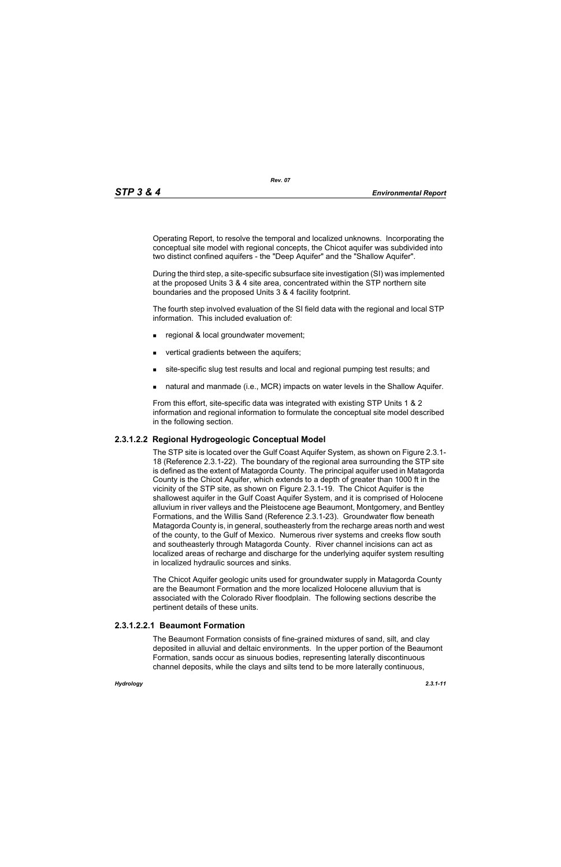Operating Report, to resolve the temporal and localized unknowns. Incorporating the conceptual site model with regional concepts, the Chicot aquifer was subdivided into two distinct confined aquifers - the "Deep Aquifer" and the "Shallow Aquifer".

During the third step, a site-specific subsurface site investigation (SI) was implemented at the proposed Units 3 & 4 site area, concentrated within the STP northern site boundaries and the proposed Units 3 & 4 facility footprint.

The fourth step involved evaluation of the SI field data with the regional and local STP information. This included evaluation of:

- **regional & local groundwater movement;**
- vertical gradients between the aquifers;
- site-specific slug test results and local and regional pumping test results; and
- natural and manmade (i.e., MCR) impacts on water levels in the Shallow Aquifer.

From this effort, site-specific data was integrated with existing STP Units 1 & 2 information and regional information to formulate the conceptual site model described in the following section.

# **2.3.1.2.2 Regional Hydrogeologic Conceptual Model**

The STP site is located over the Gulf Coast Aquifer System, as shown on Figure 2.3.1- 18 (Reference 2.3.1-22). The boundary of the regional area surrounding the STP site is defined as the extent of Matagorda County. The principal aquifer used in Matagorda County is the Chicot Aquifer, which extends to a depth of greater than 1000 ft in the vicinity of the STP site, as shown on Figure 2.3.1-19. The Chicot Aquifer is the shallowest aquifer in the Gulf Coast Aquifer System, and it is comprised of Holocene alluvium in river valleys and the Pleistocene age Beaumont, Montgomery, and Bentley Formations, and the Willis Sand (Reference 2.3.1-23). Groundwater flow beneath Matagorda County is, in general, southeasterly from the recharge areas north and west of the county, to the Gulf of Mexico. Numerous river systems and creeks flow south and southeasterly through Matagorda County. River channel incisions can act as localized areas of recharge and discharge for the underlying aquifer system resulting in localized hydraulic sources and sinks.

The Chicot Aquifer geologic units used for groundwater supply in Matagorda County are the Beaumont Formation and the more localized Holocene alluvium that is associated with the Colorado River floodplain. The following sections describe the pertinent details of these units.

# **2.3.1.2.2.1 Beaumont Formation**

The Beaumont Formation consists of fine-grained mixtures of sand, silt, and clay deposited in alluvial and deltaic environments. In the upper portion of the Beaumont Formation, sands occur as sinuous bodies, representing laterally discontinuous channel deposits, while the clays and silts tend to be more laterally continuous,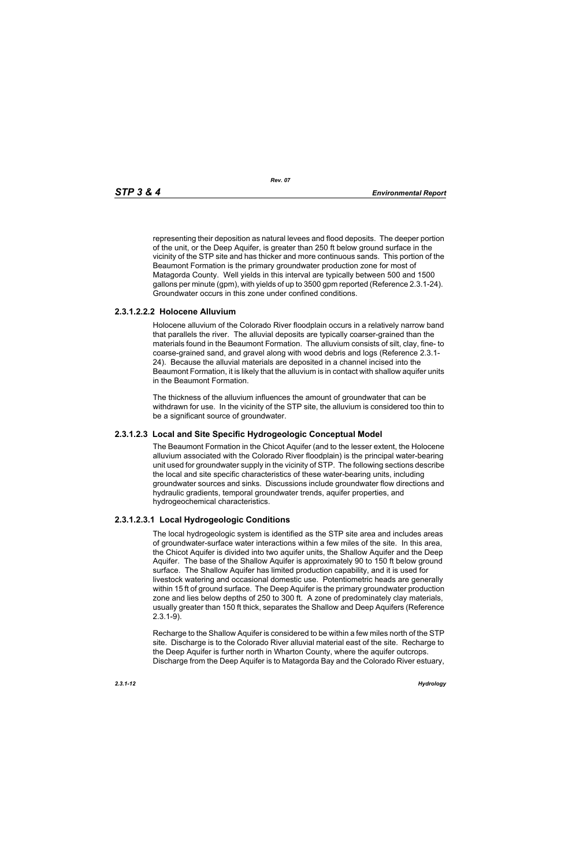representing their deposition as natural levees and flood deposits. The deeper portion of the unit, or the Deep Aquifer, is greater than 250 ft below ground surface in the vicinity of the STP site and has thicker and more continuous sands. This portion of the Beaumont Formation is the primary groundwater production zone for most of Matagorda County. Well yields in this interval are typically between 500 and 1500 gallons per minute (gpm), with yields of up to 3500 gpm reported (Reference 2.3.1-24). Groundwater occurs in this zone under confined conditions.

# **2.3.1.2.2.2 Holocene Alluvium**

Holocene alluvium of the Colorado River floodplain occurs in a relatively narrow band that parallels the river. The alluvial deposits are typically coarser-grained than the materials found in the Beaumont Formation. The alluvium consists of silt, clay, fine- to coarse-grained sand, and gravel along with wood debris and logs (Reference 2.3.1- 24). Because the alluvial materials are deposited in a channel incised into the Beaumont Formation, it is likely that the alluvium is in contact with shallow aquifer units in the Beaumont Formation.

The thickness of the alluvium influences the amount of groundwater that can be withdrawn for use. In the vicinity of the STP site, the alluvium is considered too thin to be a significant source of groundwater.

# **2.3.1.2.3 Local and Site Specific Hydrogeologic Conceptual Model**

The Beaumont Formation in the Chicot Aquifer (and to the lesser extent, the Holocene alluvium associated with the Colorado River floodplain) is the principal water-bearing unit used for groundwater supply in the vicinity of STP. The following sections describe the local and site specific characteristics of these water-bearing units, including groundwater sources and sinks. Discussions include groundwater flow directions and hydraulic gradients, temporal groundwater trends, aquifer properties, and hydrogeochemical characteristics.

# **2.3.1.2.3.1 Local Hydrogeologic Conditions**

The local hydrogeologic system is identified as the STP site area and includes areas of groundwater-surface water interactions within a few miles of the site. In this area, the Chicot Aquifer is divided into two aquifer units, the Shallow Aquifer and the Deep Aquifer. The base of the Shallow Aquifer is approximately 90 to 150 ft below ground surface. The Shallow Aquifer has limited production capability, and it is used for livestock watering and occasional domestic use. Potentiometric heads are generally within 15 ft of ground surface. The Deep Aquifer is the primary groundwater production zone and lies below depths of 250 to 300 ft. A zone of predominately clay materials, usually greater than 150 ft thick, separates the Shallow and Deep Aquifers (Reference 2.3.1-9).

Recharge to the Shallow Aquifer is considered to be within a few miles north of the STP site. Discharge is to the Colorado River alluvial material east of the site. Recharge to the Deep Aquifer is further north in Wharton County, where the aquifer outcrops. Discharge from the Deep Aquifer is to Matagorda Bay and the Colorado River estuary,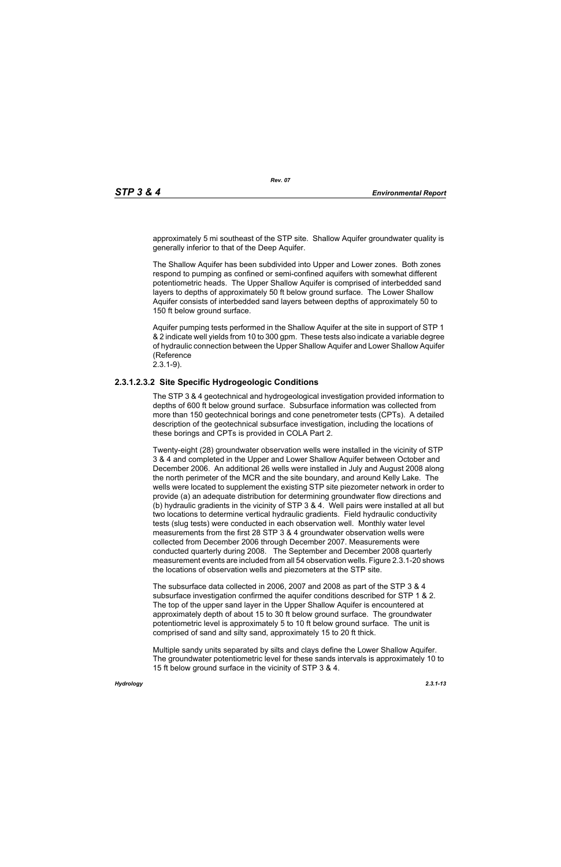approximately 5 mi southeast of the STP site. Shallow Aquifer groundwater quality is generally inferior to that of the Deep Aquifer.

The Shallow Aquifer has been subdivided into Upper and Lower zones. Both zones respond to pumping as confined or semi-confined aquifers with somewhat different potentiometric heads. The Upper Shallow Aquifer is comprised of interbedded sand layers to depths of approximately 50 ft below ground surface. The Lower Shallow Aquifer consists of interbedded sand layers between depths of approximately 50 to 150 ft below ground surface.

Aquifer pumping tests performed in the Shallow Aquifer at the site in support of STP 1 & 2 indicate well yields from 10 to 300 gpm. These tests also indicate a variable degree of hydraulic connection between the Upper Shallow Aquifer and Lower Shallow Aquifer (Reference 2.3.1-9).

# **2.3.1.2.3.2 Site Specific Hydrogeologic Conditions**

The STP 3 & 4 geotechnical and hydrogeological investigation provided information to depths of 600 ft below ground surface. Subsurface information was collected from more than 150 geotechnical borings and cone penetrometer tests (CPTs). A detailed description of the geotechnical subsurface investigation, including the locations of these borings and CPTs is provided in COLA Part 2.

Twenty-eight (28) groundwater observation wells were installed in the vicinity of STP 3 & 4 and completed in the Upper and Lower Shallow Aquifer between October and December 2006. An additional 26 wells were installed in July and August 2008 along the north perimeter of the MCR and the site boundary, and around Kelly Lake. The wells were located to supplement the existing STP site piezometer network in order to provide (a) an adequate distribution for determining groundwater flow directions and (b) hydraulic gradients in the vicinity of STP 3 & 4. Well pairs were installed at all but two locations to determine vertical hydraulic gradients. Field hydraulic conductivity tests (slug tests) were conducted in each observation well. Monthly water level measurements from the first 28 STP 3 & 4 groundwater observation wells were collected from December 2006 through December 2007. Measurements were conducted quarterly during 2008. The September and December 2008 quarterly measurement events are included from all 54 observation wells. Figure 2.3.1-20 shows the locations of observation wells and piezometers at the STP site.

The subsurface data collected in 2006, 2007 and 2008 as part of the STP 3 & 4 subsurface investigation confirmed the aquifer conditions described for STP 1 & 2. The top of the upper sand layer in the Upper Shallow Aquifer is encountered at approximately depth of about 15 to 30 ft below ground surface. The groundwater potentiometric level is approximately 5 to 10 ft below ground surface. The unit is comprised of sand and silty sand, approximately 15 to 20 ft thick.

Multiple sandy units separated by silts and clays define the Lower Shallow Aquifer. The groundwater potentiometric level for these sands intervals is approximately 10 to 15 ft below ground surface in the vicinity of STP 3 & 4.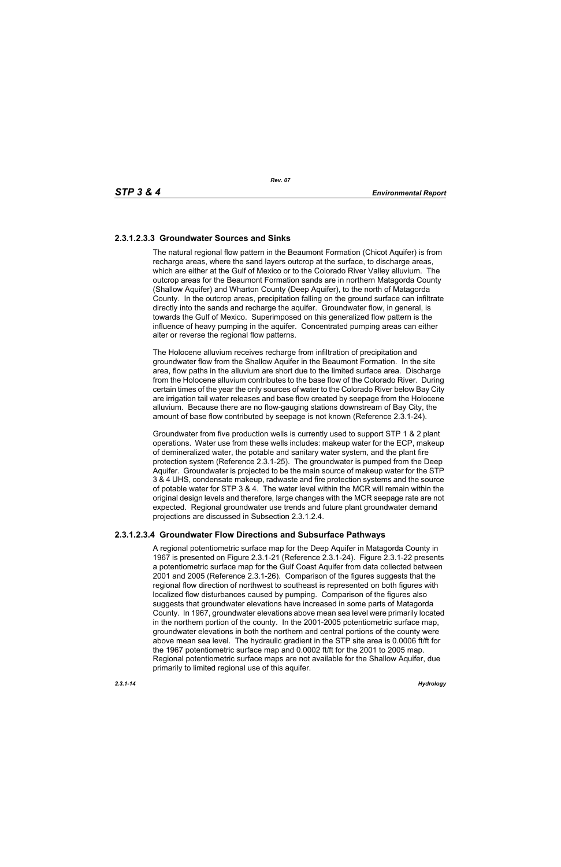# **2.3.1.2.3.3 Groundwater Sources and Sinks**

The natural regional flow pattern in the Beaumont Formation (Chicot Aquifer) is from recharge areas, where the sand layers outcrop at the surface, to discharge areas, which are either at the Gulf of Mexico or to the Colorado River Valley alluvium. The outcrop areas for the Beaumont Formation sands are in northern Matagorda County (Shallow Aquifer) and Wharton County (Deep Aquifer), to the north of Matagorda County. In the outcrop areas, precipitation falling on the ground surface can infiltrate directly into the sands and recharge the aquifer. Groundwater flow, in general, is towards the Gulf of Mexico. Superimposed on this generalized flow pattern is the influence of heavy pumping in the aquifer. Concentrated pumping areas can either alter or reverse the regional flow patterns.

The Holocene alluvium receives recharge from infiltration of precipitation and groundwater flow from the Shallow Aquifer in the Beaumont Formation. In the site area, flow paths in the alluvium are short due to the limited surface area. Discharge from the Holocene alluvium contributes to the base flow of the Colorado River. During certain times of the year the only sources of water to the Colorado River below Bay City are irrigation tail water releases and base flow created by seepage from the Holocene alluvium. Because there are no flow-gauging stations downstream of Bay City, the amount of base flow contributed by seepage is not known (Reference 2.3.1-24).

Groundwater from five production wells is currently used to support STP 1 & 2 plant operations. Water use from these wells includes: makeup water for the ECP, makeup of demineralized water, the potable and sanitary water system, and the plant fire protection system (Reference 2.3.1-25). The groundwater is pumped from the Deep Aquifer. Groundwater is projected to be the main source of makeup water for the STP 3 & 4 UHS, condensate makeup, radwaste and fire protection systems and the source of potable water for STP 3 & 4. The water level within the MCR will remain within the original design levels and therefore, large changes with the MCR seepage rate are not expected. Regional groundwater use trends and future plant groundwater demand projections are discussed in Subsection 2.3.1.2.4.

# **2.3.1.2.3.4 Groundwater Flow Directions and Subsurface Pathways**

A regional potentiometric surface map for the Deep Aquifer in Matagorda County in 1967 is presented on Figure 2.3.1-21 (Reference 2.3.1-24). Figure 2.3.1-22 presents a potentiometric surface map for the Gulf Coast Aquifer from data collected between 2001 and 2005 (Reference 2.3.1-26). Comparison of the figures suggests that the regional flow direction of northwest to southeast is represented on both figures with localized flow disturbances caused by pumping. Comparison of the figures also suggests that groundwater elevations have increased in some parts of Matagorda County. In 1967, groundwater elevations above mean sea level were primarily located in the northern portion of the county. In the 2001-2005 potentiometric surface map, groundwater elevations in both the northern and central portions of the county were above mean sea level. The hydraulic gradient in the STP site area is 0.0006 ft/ft for the 1967 potentiometric surface map and 0.0002 ft/ft for the 2001 to 2005 map. Regional potentiometric surface maps are not available for the Shallow Aquifer, due primarily to limited regional use of this aquifer.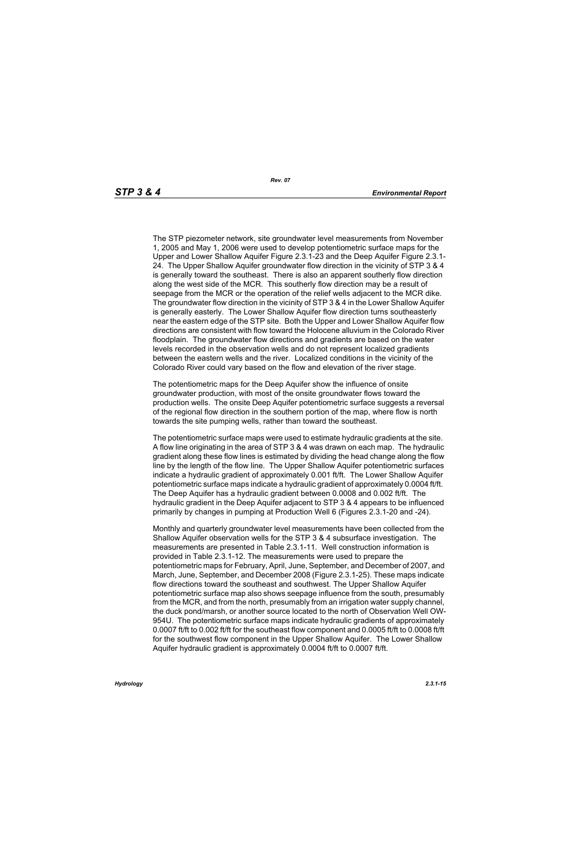The STP piezometer network, site groundwater level measurements from November 1, 2005 and May 1, 2006 were used to develop potentiometric surface maps for the Upper and Lower Shallow Aquifer Figure 2.3.1-23 and the Deep Aquifer Figure 2.3.1- 24. The Upper Shallow Aquifer groundwater flow direction in the vicinity of STP 3 & 4 is generally toward the southeast. There is also an apparent southerly flow direction along the west side of the MCR. This southerly flow direction may be a result of seepage from the MCR or the operation of the relief wells adjacent to the MCR dike. The groundwater flow direction in the vicinity of STP 3 & 4 in the Lower Shallow Aquifer is generally easterly. The Lower Shallow Aquifer flow direction turns southeasterly near the eastern edge of the STP site. Both the Upper and Lower Shallow Aquifer flow directions are consistent with flow toward the Holocene alluvium in the Colorado River floodplain. The groundwater flow directions and gradients are based on the water levels recorded in the observation wells and do not represent localized gradients between the eastern wells and the river. Localized conditions in the vicinity of the Colorado River could vary based on the flow and elevation of the river stage.

The potentiometric maps for the Deep Aquifer show the influence of onsite groundwater production, with most of the onsite groundwater flows toward the production wells. The onsite Deep Aquifer potentiometric surface suggests a reversal of the regional flow direction in the southern portion of the map, where flow is north towards the site pumping wells, rather than toward the southeast.

The potentiometric surface maps were used to estimate hydraulic gradients at the site. A flow line originating in the area of STP 3 & 4 was drawn on each map. The hydraulic gradient along these flow lines is estimated by dividing the head change along the flow line by the length of the flow line. The Upper Shallow Aquifer potentiometric surfaces indicate a hydraulic gradient of approximately 0.001 ft/ft. The Lower Shallow Aquifer potentiometric surface maps indicate a hydraulic gradient of approximately 0.0004 ft/ft. The Deep Aquifer has a hydraulic gradient between 0.0008 and 0.002 ft/ft. The hydraulic gradient in the Deep Aquifer adjacent to STP 3 & 4 appears to be influenced primarily by changes in pumping at Production Well 6 (Figures 2.3.1-20 and -24).

Monthly and quarterly groundwater level measurements have been collected from the Shallow Aquifer observation wells for the STP 3 & 4 subsurface investigation. The measurements are presented in Table 2.3.1-11. Well construction information is provided in Table 2.3.1-12. The measurements were used to prepare the potentiometric maps for February, April, June, September, and December of 2007, and March, June, September, and December 2008 (Figure 2.3.1-25). These maps indicate flow directions toward the southeast and southwest. The Upper Shallow Aquifer potentiometric surface map also shows seepage influence from the south, presumably from the MCR, and from the north, presumably from an irrigation water supply channel, the duck pond/marsh, or another source located to the north of Observation Well OW-954U. The potentiometric surface maps indicate hydraulic gradients of approximately 0.0007 ft/ft to 0.002 ft/ft for the southeast flow component and 0.0005 ft/ft to 0.0008 ft/ft for the southwest flow component in the Upper Shallow Aquifer. The Lower Shallow Aquifer hydraulic gradient is approximately 0.0004 ft/ft to 0.0007 ft/ft.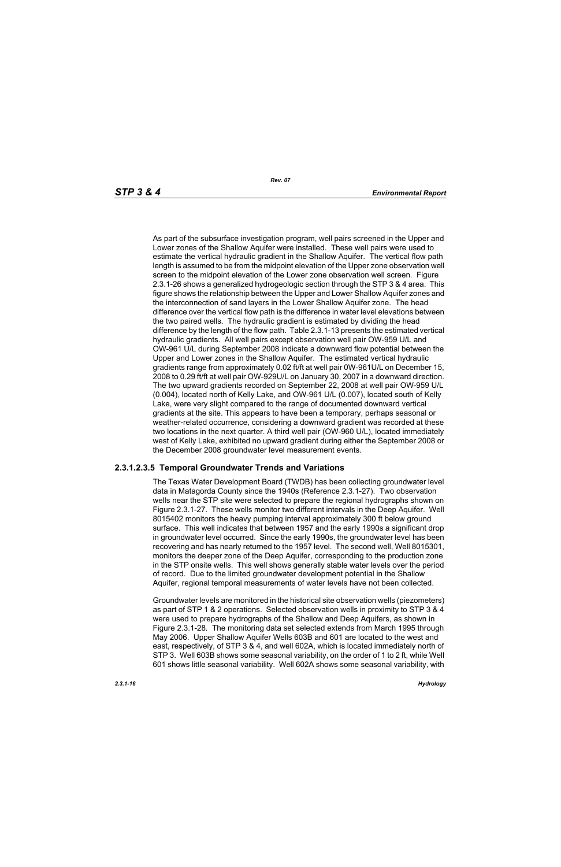As part of the subsurface investigation program, well pairs screened in the Upper and Lower zones of the Shallow Aquifer were installed. These well pairs were used to estimate the vertical hydraulic gradient in the Shallow Aquifer. The vertical flow path length is assumed to be from the midpoint elevation of the Upper zone observation well screen to the midpoint elevation of the Lower zone observation well screen. Figure 2.3.1-26 shows a generalized hydrogeologic section through the STP 3 & 4 area. This figure shows the relationship between the Upper and Lower Shallow Aquifer zones and the interconnection of sand layers in the Lower Shallow Aquifer zone. The head difference over the vertical flow path is the difference in water level elevations between the two paired wells. The hydraulic gradient is estimated by dividing the head difference by the length of the flow path. Table 2.3.1-13 presents the estimated vertical hydraulic gradients. All well pairs except observation well pair OW-959 U/L and OW-961 U/L during September 2008 indicate a downward flow potential between the Upper and Lower zones in the Shallow Aquifer. The estimated vertical hydraulic gradients range from approximately 0.02 ft/ft at well pair 0W-961U/L on December 15, 2008 to 0.29 ft/ft at well pair OW-929U/L on January 30, 2007 in a downward direction. The two upward gradients recorded on September 22, 2008 at well pair OW-959 U/L (0.004), located north of Kelly Lake, and OW-961 U/L (0.007), located south of Kelly Lake, were very slight compared to the range of documented downward vertical gradients at the site. This appears to have been a temporary, perhaps seasonal or weather-related occurrence, considering a downward gradient was recorded at these two locations in the next quarter. A third well pair (OW-960 U/L), located immediately west of Kelly Lake, exhibited no upward gradient during either the September 2008 or the December 2008 groundwater level measurement events.

# **2.3.1.2.3.5 Temporal Groundwater Trends and Variations**

The Texas Water Development Board (TWDB) has been collecting groundwater level data in Matagorda County since the 1940s (Reference 2.3.1-27). Two observation wells near the STP site were selected to prepare the regional hydrographs shown on Figure 2.3.1-27. These wells monitor two different intervals in the Deep Aquifer. Well 8015402 monitors the heavy pumping interval approximately 300 ft below ground surface. This well indicates that between 1957 and the early 1990s a significant drop in groundwater level occurred. Since the early 1990s, the groundwater level has been recovering and has nearly returned to the 1957 level. The second well, Well 8015301, monitors the deeper zone of the Deep Aquifer, corresponding to the production zone in the STP onsite wells. This well shows generally stable water levels over the period of record. Due to the limited groundwater development potential in the Shallow Aquifer, regional temporal measurements of water levels have not been collected.

Groundwater levels are monitored in the historical site observation wells (piezometers) as part of STP 1 & 2 operations. Selected observation wells in proximity to STP 3 & 4 were used to prepare hydrographs of the Shallow and Deep Aquifers, as shown in Figure 2.3.1-28. The monitoring data set selected extends from March 1995 through May 2006. Upper Shallow Aquifer Wells 603B and 601 are located to the west and east, respectively, of STP 3 & 4, and well 602A, which is located immediately north of STP 3. Well 603B shows some seasonal variability, on the order of 1 to 2 ft, while Well 601 shows little seasonal variability. Well 602A shows some seasonal variability, with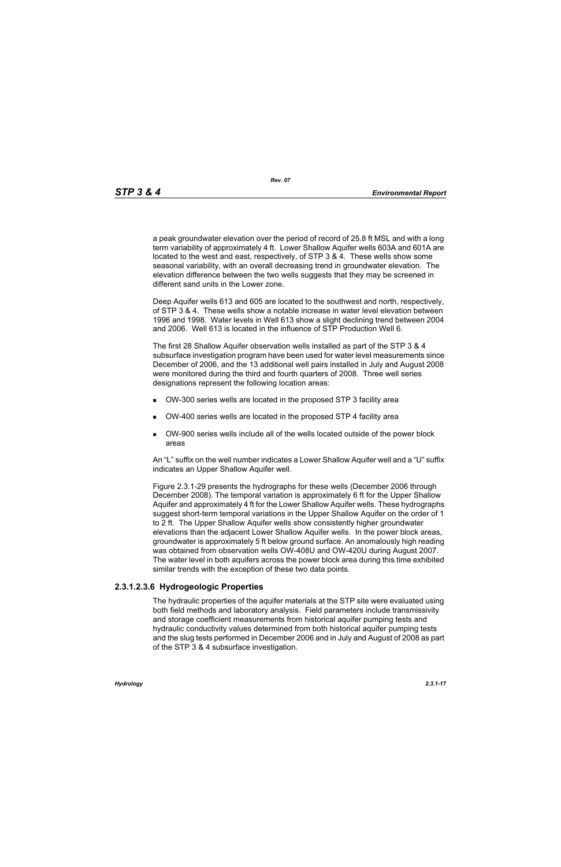*Rev. 07*

a peak groundwater elevation over the period of record of 25.8 ft MSL and with a long term variability of approximately 4 ft. Lower Shallow Aquifer wells 603A and 601A are located to the west and east, respectively, of STP 3 & 4. These wells show some seasonal variability, with an overall decreasing trend in groundwater elevation. The elevation difference between the two wells suggests that they may be screened in different sand units in the Lower zone.

Deep Aquifer wells 613 and 605 are located to the southwest and north, respectively, of STP 3 & 4. These wells show a notable increase in water level elevation between 1996 and 1998. Water levels in Well 613 show a slight declining trend between 2004 and 2006. Well 613 is located in the influence of STP Production Well 6.

The first 28 Shallow Aquifer observation wells installed as part of the STP 3 & 4 subsurface investigation program have been used for water level measurements since December of 2006, and the 13 additional well pairs installed in July and August 2008 were monitored during the third and fourth quarters of 2008. Three well series designations represent the following location areas:

- OW-300 series wells are located in the proposed STP 3 facility area
- OW-400 series wells are located in the proposed STP 4 facility area
- OW-900 series wells include all of the wells located outside of the power block areas

An "L" suffix on the well number indicates a Lower Shallow Aquifer well and a "U" suffix indicates an Upper Shallow Aquifer well.

Figure 2.3.1-29 presents the hydrographs for these wells (December 2006 through December 2008). The temporal variation is approximately 6 ft for the Upper Shallow Aquifer and approximately 4 ft for the Lower Shallow Aquifer wells. These hydrographs suggest short-term temporal variations in the Upper Shallow Aquifer on the order of 1 to 2 ft. The Upper Shallow Aquifer wells show consistently higher groundwater elevations than the adjacent Lower Shallow Aquifer wells. In the power block areas, groundwater is approximately 5 ft below ground surface. An anomalously high reading was obtained from observation wells OW-408U and OW-420U during August 2007. The water level in both aquifers across the power block area during this time exhibited similar trends with the exception of these two data points.

# **2.3.1.2.3.6 Hydrogeologic Properties**

The hydraulic properties of the aquifer materials at the STP site were evaluated using both field methods and laboratory analysis. Field parameters include transmissivity and storage coefficient measurements from historical aquifer pumping tests and hydraulic conductivity values determined from both historical aquifer pumping tests and the slug tests performed in December 2006 and in July and August of 2008 as part of the STP 3 & 4 subsurface investigation.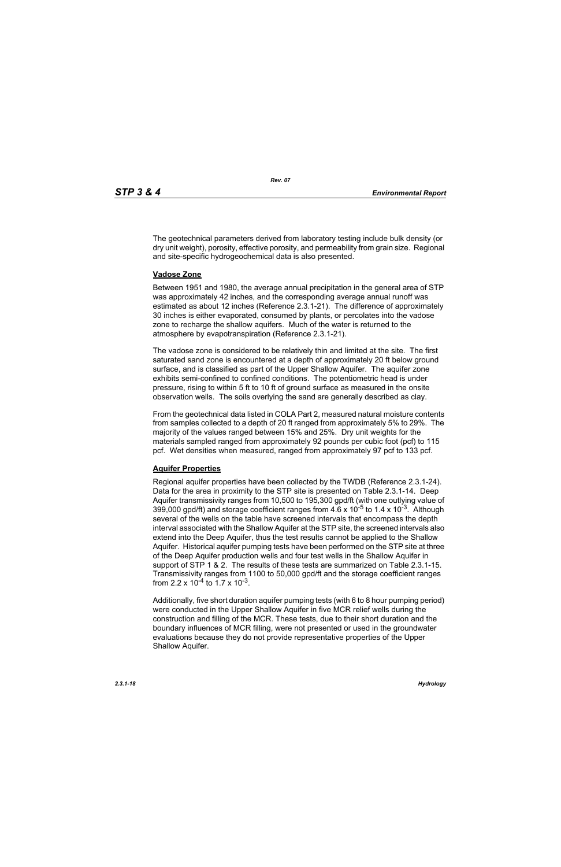The geotechnical parameters derived from laboratory testing include bulk density (or dry unit weight), porosity, effective porosity, and permeability from grain size. Regional and site-specific hydrogeochemical data is also presented.

#### **Vadose Zone**

Between 1951 and 1980, the average annual precipitation in the general area of STP was approximately 42 inches, and the corresponding average annual runoff was estimated as about 12 inches (Reference 2.3.1-21). The difference of approximately 30 inches is either evaporated, consumed by plants, or percolates into the vadose zone to recharge the shallow aquifers. Much of the water is returned to the atmosphere by evapotranspiration (Reference 2.3.1-21).

The vadose zone is considered to be relatively thin and limited at the site. The first saturated sand zone is encountered at a depth of approximately 20 ft below ground surface, and is classified as part of the Upper Shallow Aquifer. The aquifer zone exhibits semi-confined to confined conditions. The potentiometric head is under pressure, rising to within 5 ft to 10 ft of ground surface as measured in the onsite observation wells. The soils overlying the sand are generally described as clay.

From the geotechnical data listed in COLA Part 2, measured natural moisture contents from samples collected to a depth of 20 ft ranged from approximately 5% to 29%. The majority of the values ranged between 15% and 25%. Dry unit weights for the materials sampled ranged from approximately 92 pounds per cubic foot (pcf) to 115 pcf. Wet densities when measured, ranged from approximately 97 pcf to 133 pcf.

# **Aquifer Properties**

Regional aquifer properties have been collected by the TWDB (Reference 2.3.1-24). Data for the area in proximity to the STP site is presented on Table 2.3.1-14. Deep Aquifer transmissivity ranges from 10,500 to 195,300 gpd/ft (with one outlying value of 399,000 gpd/ft) and storage coefficient ranges from  $4.6 \times 10^{-5}$  to 1.4 x 10<sup>-3</sup>. Although several of the wells on the table have screened intervals that encompass the depth interval associated with the Shallow Aquifer at the STP site, the screened intervals also extend into the Deep Aquifer, thus the test results cannot be applied to the Shallow Aquifer. Historical aquifer pumping tests have been performed on the STP site at three of the Deep Aquifer production wells and four test wells in the Shallow Aquifer in support of STP 1 & 2. The results of these tests are summarized on Table 2.3.1-15. Transmissivity ranges from 1100 to 50,000 gpd/ft and the storage coefficient ranges from 2.2 x  $10^{-4}$  to 1.7 x  $10^{-3}$ .

Additionally, five short duration aquifer pumping tests (with 6 to 8 hour pumping period) were conducted in the Upper Shallow Aquifer in five MCR relief wells during the construction and filling of the MCR. These tests, due to their short duration and the boundary influences of MCR filling, were not presented or used in the groundwater evaluations because they do not provide representative properties of the Upper Shallow Aquifer.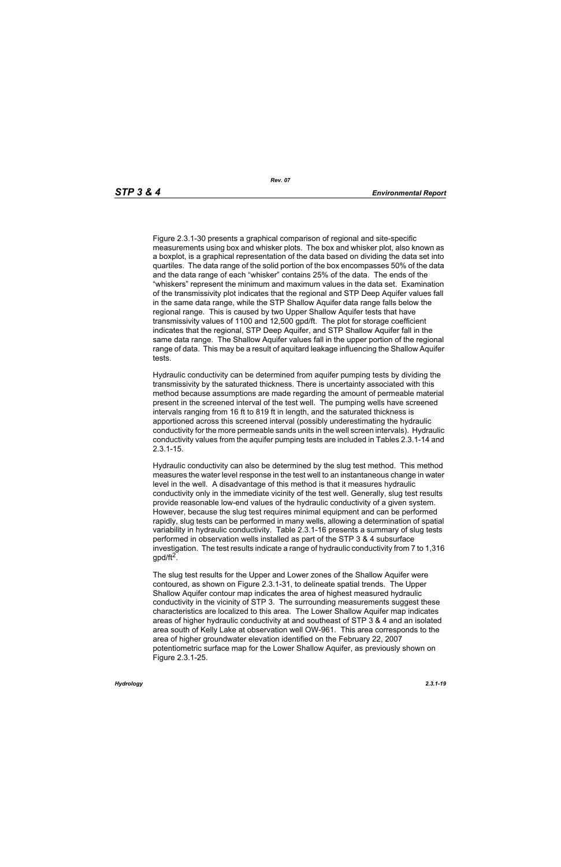Figure 2.3.1-30 presents a graphical comparison of regional and site-specific measurements using box and whisker plots. The box and whisker plot, also known as a boxplot, is a graphical representation of the data based on dividing the data set into quartiles. The data range of the solid portion of the box encompasses 50% of the data and the data range of each "whisker" contains 25% of the data. The ends of the "whiskers" represent the minimum and maximum values in the data set. Examination of the transmissivity plot indicates that the regional and STP Deep Aquifer values fall in the same data range, while the STP Shallow Aquifer data range falls below the regional range. This is caused by two Upper Shallow Aquifer tests that have transmissivity values of 1100 and 12,500 gpd/ft. The plot for storage coefficient indicates that the regional, STP Deep Aquifer, and STP Shallow Aquifer fall in the same data range. The Shallow Aquifer values fall in the upper portion of the regional range of data. This may be a result of aquitard leakage influencing the Shallow Aquifer tests.

Hydraulic conductivity can be determined from aquifer pumping tests by dividing the transmissivity by the saturated thickness. There is uncertainty associated with this method because assumptions are made regarding the amount of permeable material present in the screened interval of the test well. The pumping wells have screened intervals ranging from 16 ft to 819 ft in length, and the saturated thickness is apportioned across this screened interval (possibly underestimating the hydraulic conductivity for the more permeable sands units in the well screen intervals). Hydraulic conductivity values from the aquifer pumping tests are included in Tables 2.3.1-14 and 2.3.1-15.

Hydraulic conductivity can also be determined by the slug test method. This method measures the water level response in the test well to an instantaneous change in water level in the well. A disadvantage of this method is that it measures hydraulic conductivity only in the immediate vicinity of the test well. Generally, slug test results provide reasonable low-end values of the hydraulic conductivity of a given system. However, because the slug test requires minimal equipment and can be performed rapidly, slug tests can be performed in many wells, allowing a determination of spatial variability in hydraulic conductivity. Table 2.3.1-16 presents a summary of slug tests performed in observation wells installed as part of the STP 3 & 4 subsurface investigation. The test results indicate a range of hydraulic conductivity from 7 to 1,316 gpd/ft<sup>2</sup>.

The slug test results for the Upper and Lower zones of the Shallow Aquifer were contoured, as shown on Figure 2.3.1-31, to delineate spatial trends. The Upper Shallow Aquifer contour map indicates the area of highest measured hydraulic conductivity in the vicinity of STP 3. The surrounding measurements suggest these characteristics are localized to this area. The Lower Shallow Aquifer map indicates areas of higher hydraulic conductivity at and southeast of STP 3 & 4 and an isolated area south of Kelly Lake at observation well OW-961. This area corresponds to the area of higher groundwater elevation identified on the February 22, 2007 potentiometric surface map for the Lower Shallow Aquifer, as previously shown on Figure 2.3.1-25.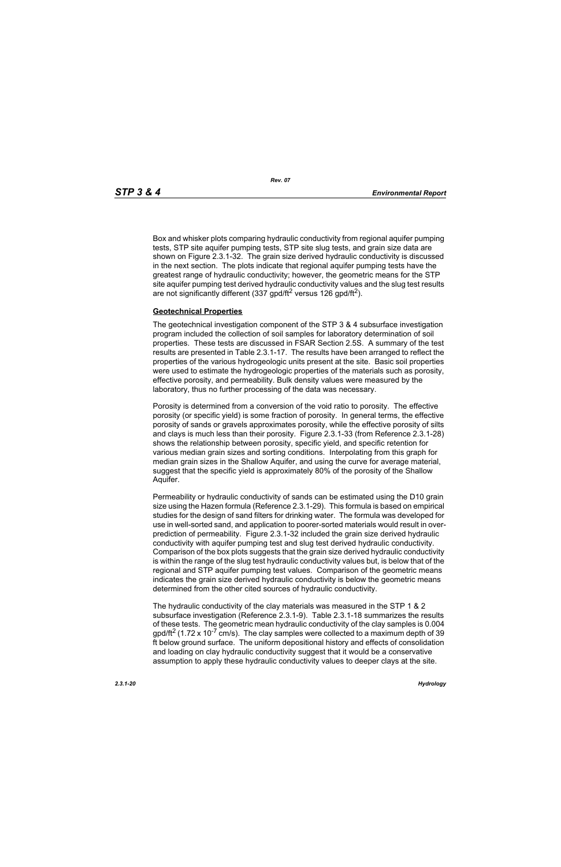Box and whisker plots comparing hydraulic conductivity from regional aquifer pumping tests, STP site aquifer pumping tests, STP site slug tests, and grain size data are shown on Figure 2.3.1-32. The grain size derived hydraulic conductivity is discussed in the next section. The plots indicate that regional aquifer pumping tests have the greatest range of hydraulic conductivity; however, the geometric means for the STP site aquifer pumping test derived hydraulic conductivity values and the slug test results are not significantly different (337 gpd/ft<sup>2</sup> versus 126 gpd/ft<sup>2</sup>).

#### **Geotechnical Properties**

The geotechnical investigation component of the STP 3 & 4 subsurface investigation program included the collection of soil samples for laboratory determination of soil properties. These tests are discussed in FSAR Section 2.5S. A summary of the test results are presented in Table 2.3.1-17. The results have been arranged to reflect the properties of the various hydrogeologic units present at the site. Basic soil properties were used to estimate the hydrogeologic properties of the materials such as porosity, effective porosity, and permeability. Bulk density values were measured by the laboratory, thus no further processing of the data was necessary.

Porosity is determined from a conversion of the void ratio to porosity. The effective porosity (or specific yield) is some fraction of porosity. In general terms, the effective porosity of sands or gravels approximates porosity, while the effective porosity of silts and clays is much less than their porosity. Figure 2.3.1-33 (from Reference 2.3.1-28) shows the relationship between porosity, specific yield, and specific retention for various median grain sizes and sorting conditions. Interpolating from this graph for median grain sizes in the Shallow Aquifer, and using the curve for average material, suggest that the specific yield is approximately 80% of the porosity of the Shallow Aquifer.

Permeability or hydraulic conductivity of sands can be estimated using the D10 grain size using the Hazen formula (Reference 2.3.1-29). This formula is based on empirical studies for the design of sand filters for drinking water. The formula was developed for use in well-sorted sand, and application to poorer-sorted materials would result in overprediction of permeability. Figure 2.3.1-32 included the grain size derived hydraulic conductivity with aquifer pumping test and slug test derived hydraulic conductivity. Comparison of the box plots suggests that the grain size derived hydraulic conductivity is within the range of the slug test hydraulic conductivity values but, is below that of the regional and STP aquifer pumping test values. Comparison of the geometric means indicates the grain size derived hydraulic conductivity is below the geometric means determined from the other cited sources of hydraulic conductivity.

The hydraulic conductivity of the clay materials was measured in the STP 1 & 2 subsurface investigation (Reference 2.3.1-9). Table 2.3.1-18 summarizes the results of these tests. The geometric mean hydraulic conductivity of the clay samples is 0.004  $p_0$  and/ft<sup>2</sup> (1.72 x 10<sup>-7</sup> cm/s). The clay samples were collected to a maximum depth of 39 ft below ground surface. The uniform depositional history and effects of consolidation and loading on clay hydraulic conductivity suggest that it would be a conservative assumption to apply these hydraulic conductivity values to deeper clays at the site.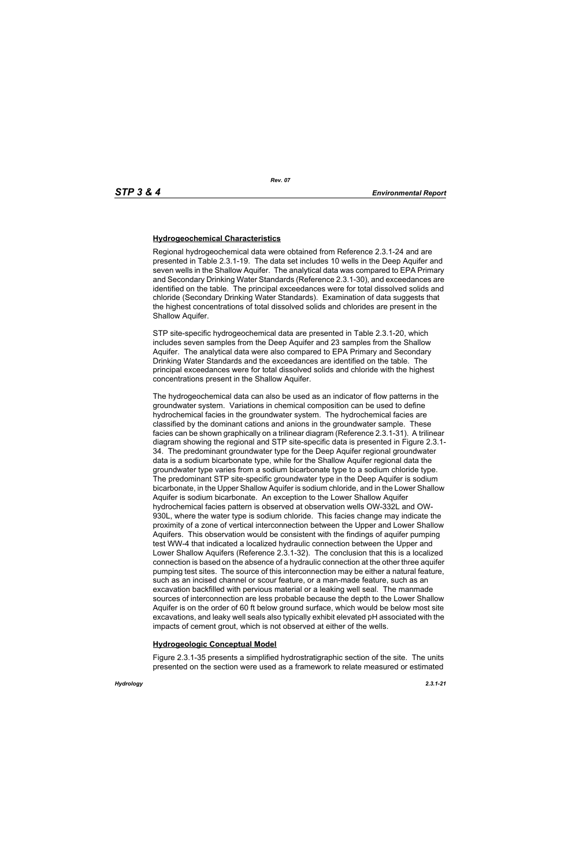# **Hydrogeochemical Characteristics**

Regional hydrogeochemical data were obtained from Reference 2.3.1-24 and are presented in Table 2.3.1-19. The data set includes 10 wells in the Deep Aquifer and seven wells in the Shallow Aquifer. The analytical data was compared to EPA Primary and Secondary Drinking Water Standards (Reference 2.3.1-30), and exceedances are identified on the table. The principal exceedances were for total dissolved solids and chloride (Secondary Drinking Water Standards). Examination of data suggests that the highest concentrations of total dissolved solids and chlorides are present in the Shallow Aquifer.

STP site-specific hydrogeochemical data are presented in Table 2.3.1-20, which includes seven samples from the Deep Aquifer and 23 samples from the Shallow Aquifer. The analytical data were also compared to EPA Primary and Secondary Drinking Water Standards and the exceedances are identified on the table. The principal exceedances were for total dissolved solids and chloride with the highest concentrations present in the Shallow Aquifer.

The hydrogeochemical data can also be used as an indicator of flow patterns in the groundwater system. Variations in chemical composition can be used to define hydrochemical facies in the groundwater system. The hydrochemical facies are classified by the dominant cations and anions in the groundwater sample. These facies can be shown graphically on a trilinear diagram (Reference 2.3.1-31). A trilinear diagram showing the regional and STP site-specific data is presented in Figure 2.3.1- 34. The predominant groundwater type for the Deep Aquifer regional groundwater data is a sodium bicarbonate type, while for the Shallow Aquifer regional data the groundwater type varies from a sodium bicarbonate type to a sodium chloride type. The predominant STP site-specific groundwater type in the Deep Aquifer is sodium bicarbonate, in the Upper Shallow Aquifer is sodium chloride, and in the Lower Shallow Aquifer is sodium bicarbonate. An exception to the Lower Shallow Aquifer hydrochemical facies pattern is observed at observation wells OW-332L and OW-930L, where the water type is sodium chloride. This facies change may indicate the proximity of a zone of vertical interconnection between the Upper and Lower Shallow Aquifers. This observation would be consistent with the findings of aquifer pumping test WW-4 that indicated a localized hydraulic connection between the Upper and Lower Shallow Aquifers (Reference 2.3.1-32). The conclusion that this is a localized connection is based on the absence of a hydraulic connection at the other three aquifer pumping test sites. The source of this interconnection may be either a natural feature, such as an incised channel or scour feature, or a man-made feature, such as an excavation backfilled with pervious material or a leaking well seal. The manmade sources of interconnection are less probable because the depth to the Lower Shallow Aquifer is on the order of 60 ft below ground surface, which would be below most site excavations, and leaky well seals also typically exhibit elevated pH associated with the impacts of cement grout, which is not observed at either of the wells.

# **Hydrogeologic Conceptual Model**

Figure 2.3.1-35 presents a simplified hydrostratigraphic section of the site. The units presented on the section were used as a framework to relate measured or estimated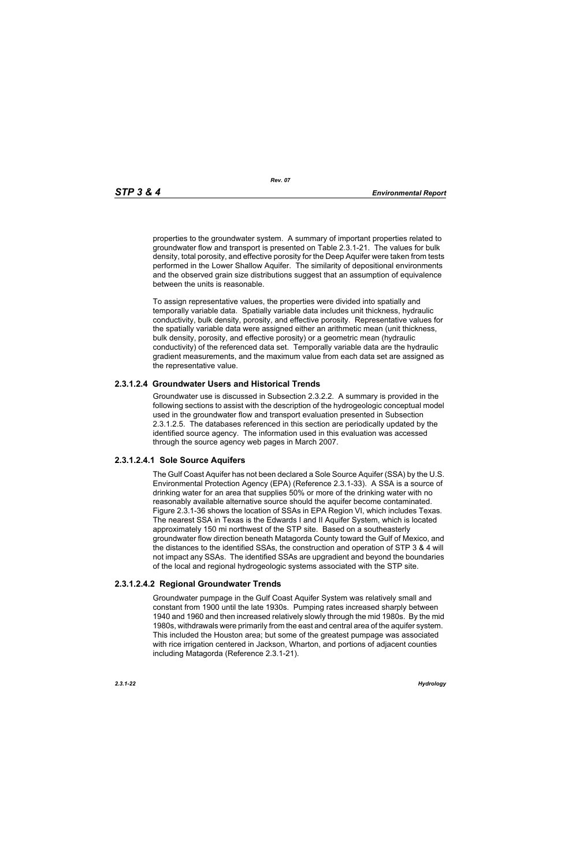*Rev. 07*

properties to the groundwater system. A summary of important properties related to groundwater flow and transport is presented on Table 2.3.1-21. The values for bulk density, total porosity, and effective porosity for the Deep Aquifer were taken from tests performed in the Lower Shallow Aquifer. The similarity of depositional environments and the observed grain size distributions suggest that an assumption of equivalence between the units is reasonable.

To assign representative values, the properties were divided into spatially and temporally variable data. Spatially variable data includes unit thickness, hydraulic conductivity, bulk density, porosity, and effective porosity. Representative values for the spatially variable data were assigned either an arithmetic mean (unit thickness, bulk density, porosity, and effective porosity) or a geometric mean (hydraulic conductivity) of the referenced data set. Temporally variable data are the hydraulic gradient measurements, and the maximum value from each data set are assigned as the representative value.

# **2.3.1.2.4 Groundwater Users and Historical Trends**

Groundwater use is discussed in Subsection 2.3.2.2. A summary is provided in the following sections to assist with the description of the hydrogeologic conceptual model used in the groundwater flow and transport evaluation presented in Subsection 2.3.1.2.5. The databases referenced in this section are periodically updated by the identified source agency. The information used in this evaluation was accessed through the source agency web pages in March 2007.

# **2.3.1.2.4.1 Sole Source Aquifers**

The Gulf Coast Aquifer has not been declared a Sole Source Aquifer (SSA) by the U.S. Environmental Protection Agency (EPA) (Reference 2.3.1-33). A SSA is a source of drinking water for an area that supplies 50% or more of the drinking water with no reasonably available alternative source should the aquifer become contaminated. Figure 2.3.1-36 shows the location of SSAs in EPA Region VI, which includes Texas. The nearest SSA in Texas is the Edwards I and II Aquifer System, which is located approximately 150 mi northwest of the STP site. Based on a southeasterly groundwater flow direction beneath Matagorda County toward the Gulf of Mexico, and the distances to the identified SSAs, the construction and operation of STP 3 & 4 will not impact any SSAs. The identified SSAs are upgradient and beyond the boundaries of the local and regional hydrogeologic systems associated with the STP site.

# **2.3.1.2.4.2 Regional Groundwater Trends**

Groundwater pumpage in the Gulf Coast Aquifer System was relatively small and constant from 1900 until the late 1930s. Pumping rates increased sharply between 1940 and 1960 and then increased relatively slowly through the mid 1980s. By the mid 1980s, withdrawals were primarily from the east and central area of the aquifer system. This included the Houston area; but some of the greatest pumpage was associated with rice irrigation centered in Jackson, Wharton, and portions of adjacent counties including Matagorda (Reference 2.3.1-21).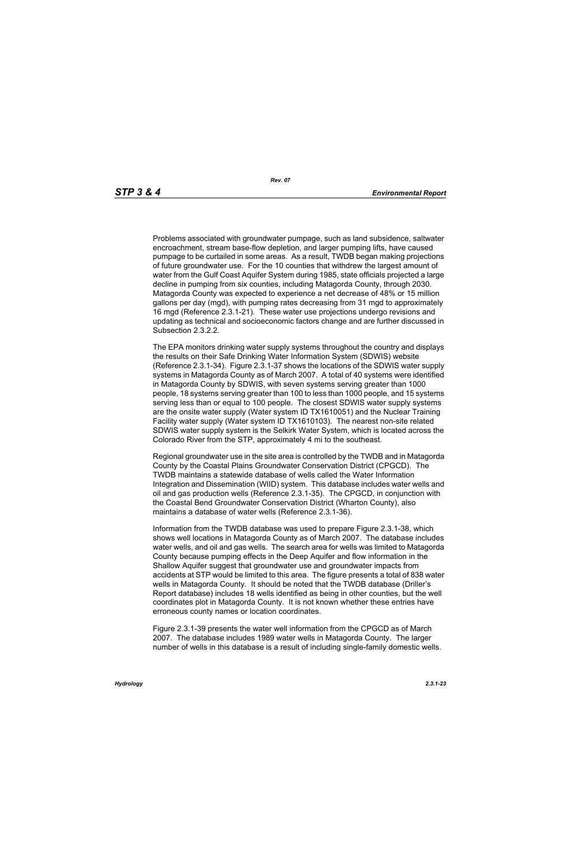Problems associated with groundwater pumpage, such as land subsidence, saltwater encroachment, stream base-flow depletion, and larger pumping lifts, have caused pumpage to be curtailed in some areas. As a result, TWDB began making projections of future groundwater use. For the 10 counties that withdrew the largest amount of water from the Gulf Coast Aquifer System during 1985, state officials projected a large decline in pumping from six counties, including Matagorda County, through 2030. Matagorda County was expected to experience a net decrease of 48% or 15 million gallons per day (mgd), with pumping rates decreasing from 31 mgd to approximately 16 mgd (Reference 2.3.1-21). These water use projections undergo revisions and updating as technical and socioeconomic factors change and are further discussed in Subsection 2.3.2.2.

The EPA monitors drinking water supply systems throughout the country and displays the results on their Safe Drinking Water Information System (SDWIS) website (Reference 2.3.1-34). Figure 2.3.1-37 shows the locations of the SDWIS water supply systems in Matagorda County as of March 2007. A total of 40 systems were identified in Matagorda County by SDWIS, with seven systems serving greater than 1000 people, 18 systems serving greater than 100 to less than 1000 people, and 15 systems serving less than or equal to 100 people. The closest SDWIS water supply systems are the onsite water supply (Water system ID TX1610051) and the Nuclear Training Facility water supply (Water system ID TX1610103). The nearest non-site related SDWIS water supply system is the Selkirk Water System, which is located across the Colorado River from the STP, approximately 4 mi to the southeast.

Regional groundwater use in the site area is controlled by the TWDB and in Matagorda County by the Coastal Plains Groundwater Conservation District (CPGCD). The TWDB maintains a statewide database of wells called the Water Information Integration and Dissemination (WIID) system. This database includes water wells and oil and gas production wells (Reference 2.3.1-35). The CPGCD, in conjunction with the Coastal Bend Groundwater Conservation District (Wharton County), also maintains a database of water wells (Reference 2.3.1-36).

Information from the TWDB database was used to prepare Figure 2.3.1-38, which shows well locations in Matagorda County as of March 2007. The database includes water wells, and oil and gas wells. The search area for wells was limited to Matagorda County because pumping effects in the Deep Aquifer and flow information in the Shallow Aquifer suggest that groundwater use and groundwater impacts from accidents at STP would be limited to this area. The figure presents a total of 838 water wells in Matagorda County. It should be noted that the TWDB database (Driller's Report database) includes 18 wells identified as being in other counties, but the well coordinates plot in Matagorda County. It is not known whether these entries have erroneous county names or location coordinates.

Figure 2.3.1-39 presents the water well information from the CPGCD as of March 2007. The database includes 1989 water wells in Matagorda County. The larger number of wells in this database is a result of including single-family domestic wells.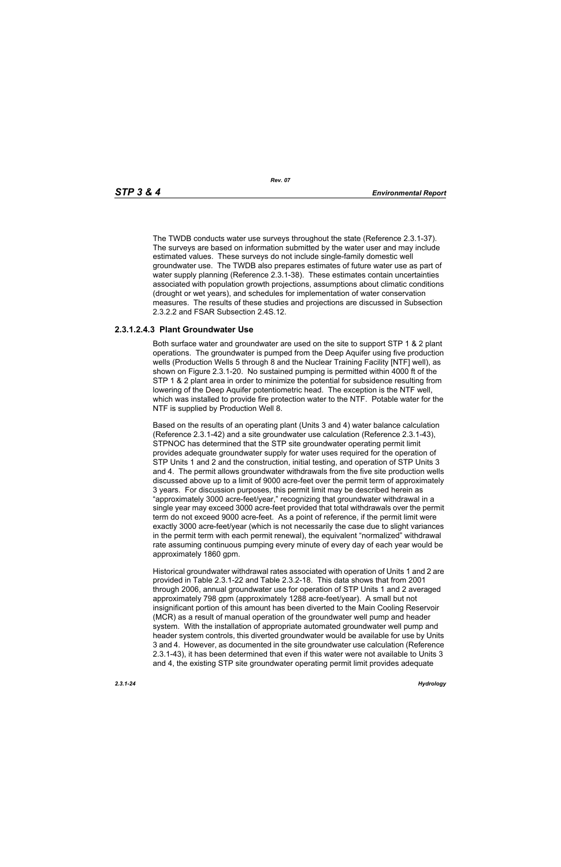The TWDB conducts water use surveys throughout the state (Reference 2.3.1-37). The surveys are based on information submitted by the water user and may include estimated values. These surveys do not include single-family domestic well groundwater use. The TWDB also prepares estimates of future water use as part of water supply planning (Reference 2.3.1-38). These estimates contain uncertainties associated with population growth projections, assumptions about climatic conditions (drought or wet years), and schedules for implementation of water conservation measures. The results of these studies and projections are discussed in Subsection 2.3.2.2 and FSAR Subsection 2.4S.12.

# **2.3.1.2.4.3 Plant Groundwater Use**

Both surface water and groundwater are used on the site to support STP 1 & 2 plant operations. The groundwater is pumped from the Deep Aquifer using five production wells (Production Wells 5 through 8 and the Nuclear Training Facility [NTF] well), as shown on Figure 2.3.1-20. No sustained pumping is permitted within 4000 ft of the STP 1 & 2 plant area in order to minimize the potential for subsidence resulting from lowering of the Deep Aquifer potentiometric head. The exception is the NTF well, which was installed to provide fire protection water to the NTF. Potable water for the NTF is supplied by Production Well 8.

Based on the results of an operating plant (Units 3 and 4) water balance calculation (Reference 2.3.1-42) and a site groundwater use calculation (Reference 2.3.1-43), STPNOC has determined that the STP site groundwater operating permit limit provides adequate groundwater supply for water uses required for the operation of STP Units 1 and 2 and the construction, initial testing, and operation of STP Units 3 and 4. The permit allows groundwater withdrawals from the five site production wells discussed above up to a limit of 9000 acre-feet over the permit term of approximately 3 years. For discussion purposes, this permit limit may be described herein as "approximately 3000 acre-feet/year," recognizing that groundwater withdrawal in a single year may exceed 3000 acre-feet provided that total withdrawals over the permit term do not exceed 9000 acre-feet. As a point of reference, if the permit limit were exactly 3000 acre-feet/year (which is not necessarily the case due to slight variances in the permit term with each permit renewal), the equivalent "normalized" withdrawal rate assuming continuous pumping every minute of every day of each year would be approximately 1860 gpm.

Historical groundwater withdrawal rates associated with operation of Units 1 and 2 are provided in Table 2.3.1-22 and Table 2.3.2-18. This data shows that from 2001 through 2006, annual groundwater use for operation of STP Units 1 and 2 averaged approximately 798 gpm (approximately 1288 acre-feet/year). A small but not insignificant portion of this amount has been diverted to the Main Cooling Reservoir (MCR) as a result of manual operation of the groundwater well pump and header system. With the installation of appropriate automated groundwater well pump and header system controls, this diverted groundwater would be available for use by Units 3 and 4. However, as documented in the site groundwater use calculation (Reference 2.3.1-43), it has been determined that even if this water were not available to Units 3 and 4, the existing STP site groundwater operating permit limit provides adequate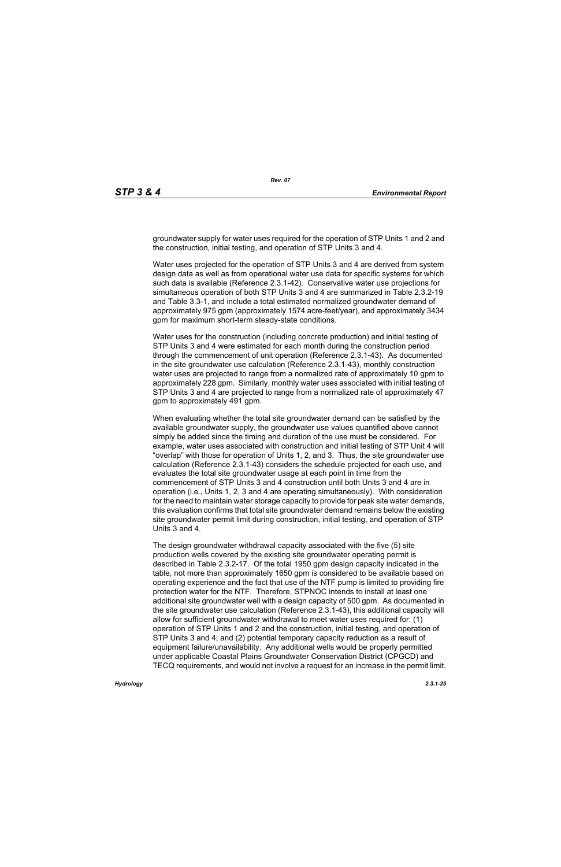groundwater supply for water uses required for the operation of STP Units 1 and 2 and the construction, initial testing, and operation of STP Units 3 and 4.

Water uses projected for the operation of STP Units 3 and 4 are derived from system design data as well as from operational water use data for specific systems for which such data is available (Reference 2.3.1-42). Conservative water use projections for simultaneous operation of both STP Units 3 and 4 are summarized in Table 2.3.2-19 and Table 3.3-1, and include a total estimated normalized groundwater demand of approximately 975 gpm (approximately 1574 acre-feet/year), and approximately 3434 gpm for maximum short-term steady-state conditions.

Water uses for the construction (including concrete production) and initial testing of STP Units 3 and 4 were estimated for each month during the construction period through the commencement of unit operation (Reference 2.3.1-43). As documented in the site groundwater use calculation (Reference 2.3.1-43), monthly construction water uses are projected to range from a normalized rate of approximately 10 gpm to approximately 228 gpm. Similarly, monthly water uses associated with initial testing of STP Units 3 and 4 are projected to range from a normalized rate of approximately 47 gpm to approximately 491 gpm.

When evaluating whether the total site groundwater demand can be satisfied by the available groundwater supply, the groundwater use values quantified above cannot simply be added since the timing and duration of the use must be considered. For example, water uses associated with construction and initial testing of STP Unit 4 will "overlap" with those for operation of Units 1, 2, and 3. Thus, the site groundwater use calculation (Reference 2.3.1-43) considers the schedule projected for each use, and evaluates the total site groundwater usage at each point in time from the commencement of STP Units 3 and 4 construction until both Units 3 and 4 are in operation (i.e., Units 1, 2, 3 and 4 are operating simultaneously). With consideration for the need to maintain water storage capacity to provide for peak site water demands, this evaluation confirms that total site groundwater demand remains below the existing site groundwater permit limit during construction, initial testing, and operation of STP Units 3 and 4.

The design groundwater withdrawal capacity associated with the five (5) site production wells covered by the existing site groundwater operating permit is described in Table 2.3.2-17. Of the total 1950 gpm design capacity indicated in the table, not more than approximately 1650 gpm is considered to be available based on operating experience and the fact that use of the NTF pump is limited to providing fire protection water for the NTF. Therefore, STPNOC intends to install at least one additional site groundwater well with a design capacity of 500 gpm. As documented in the site groundwater use calculation (Reference 2.3.1-43), this additional capacity will allow for sufficient groundwater withdrawal to meet water uses required for: (1) operation of STP Units 1 and 2 and the construction, initial testing, and operation of STP Units 3 and 4; and (2) potential temporary capacity reduction as a result of equipment failure/unavailability. Any additional wells would be properly permitted under applicable Coastal Plains Groundwater Conservation District (CPGCD) and TECQ requirements, and would not involve a request for an increase in the permit limit.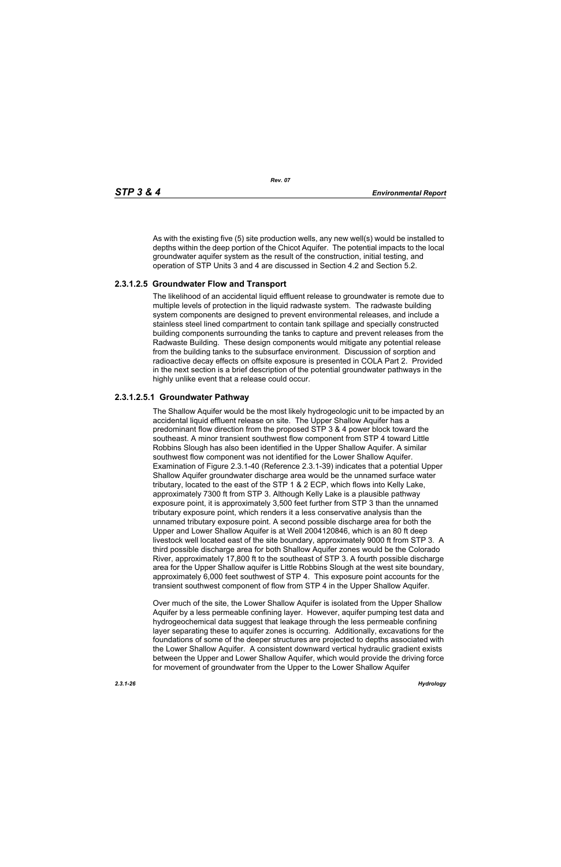As with the existing five (5) site production wells, any new well(s) would be installed to depths within the deep portion of the Chicot Aquifer. The potential impacts to the local groundwater aquifer system as the result of the construction, initial testing, and operation of STP Units 3 and 4 are discussed in Section 4.2 and Section 5.2.

# **2.3.1.2.5 Groundwater Flow and Transport**

The likelihood of an accidental liquid effluent release to groundwater is remote due to multiple levels of protection in the liquid radwaste system. The radwaste building system components are designed to prevent environmental releases, and include a stainless steel lined compartment to contain tank spillage and specially constructed building components surrounding the tanks to capture and prevent releases from the Radwaste Building. These design components would mitigate any potential release from the building tanks to the subsurface environment. Discussion of sorption and radioactive decay effects on offsite exposure is presented in COLA Part 2. Provided in the next section is a brief description of the potential groundwater pathways in the highly unlike event that a release could occur.

# **2.3.1.2.5.1 Groundwater Pathway**

The Shallow Aquifer would be the most likely hydrogeologic unit to be impacted by an accidental liquid effluent release on site. The Upper Shallow Aquifer has a predominant flow direction from the proposed STP 3 & 4 power block toward the southeast. A minor transient southwest flow component from STP 4 toward Little Robbins Slough has also been identified in the Upper Shallow Aquifer. A similar southwest flow component was not identified for the Lower Shallow Aquifer. Examination of Figure 2.3.1-40 (Reference 2.3.1-39) indicates that a potential Upper Shallow Aquifer groundwater discharge area would be the unnamed surface water tributary, located to the east of the STP 1 & 2 ECP, which flows into Kelly Lake, approximately 7300 ft from STP 3. Although Kelly Lake is a plausible pathway exposure point, it is approximately 3,500 feet further from STP 3 than the unnamed tributary exposure point, which renders it a less conservative analysis than the unnamed tributary exposure point. A second possible discharge area for both the Upper and Lower Shallow Aquifer is at Well 2004120846, which is an 80 ft deep livestock well located east of the site boundary, approximately 9000 ft from STP 3. A third possible discharge area for both Shallow Aquifer zones would be the Colorado River, approximately 17,800 ft to the southeast of STP 3. A fourth possible discharge area for the Upper Shallow aquifer is Little Robbins Slough at the west site boundary, approximately 6,000 feet southwest of STP 4. This exposure point accounts for the transient southwest component of flow from STP 4 in the Upper Shallow Aquifer.

Over much of the site, the Lower Shallow Aquifer is isolated from the Upper Shallow Aquifer by a less permeable confining layer. However, aquifer pumping test data and hydrogeochemical data suggest that leakage through the less permeable confining layer separating these to aquifer zones is occurring. Additionally, excavations for the foundations of some of the deeper structures are projected to depths associated with the Lower Shallow Aquifer. A consistent downward vertical hydraulic gradient exists between the Upper and Lower Shallow Aquifer, which would provide the driving force for movement of groundwater from the Upper to the Lower Shallow Aquifer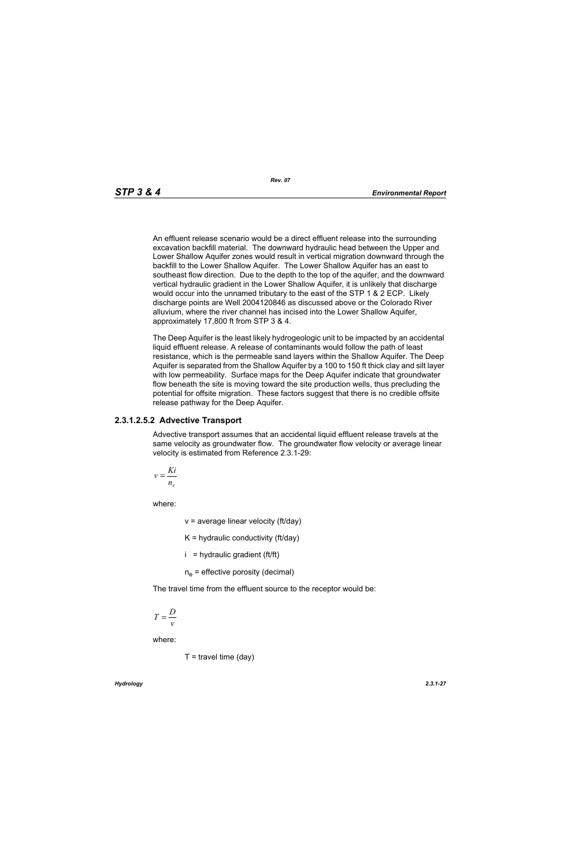An effluent release scenario would be a direct effluent release into the surrounding excavation backfill material. The downward hydraulic head between the Upper and Lower Shallow Aquifer zones would result in vertical migration downward through the backfill to the Lower Shallow Aquifer. The Lower Shallow Aquifer has an east to southeast flow direction. Due to the depth to the top of the aquifer, and the downward vertical hydraulic gradient in the Lower Shallow Aquifer, it is unlikely that discharge would occur into the unnamed tributary to the east of the STP 1 & 2 ECP. Likely discharge points are Well 2004120846 as discussed above or the Colorado River alluvium, where the river channel has incised into the Lower Shallow Aquifer, approximately 17,800 ft from STP 3 & 4.

The Deep Aquifer is the least likely hydrogeologic unit to be impacted by an accidental liquid effluent release. A release of contaminants would follow the path of least resistance, which is the permeable sand layers within the Shallow Aquifer. The Deep Aquifer is separated from the Shallow Aquifer by a 100 to 150 ft thick clay and silt layer with low permeability. Surface maps for the Deep Aquifer indicate that groundwater flow beneath the site is moving toward the site production wells, thus precluding the potential for offsite migration. These factors suggest that there is no credible offsite release pathway for the Deep Aquifer.

#### **2.3.1.2.5.2 Advective Transport**

Advective transport assumes that an accidental liquid effluent release travels at the same velocity as groundwater flow. The groundwater flow velocity or average linear velocity is estimated from Reference 2.3.1-29:

$$
v = \frac{Ki}{n_e}
$$

where:

 $v =$  average linear velocity (ft/day)

 $K =$  hydraulic conductivity (ft/day)

 $i =$  hydraulic gradient (ft/ft)

 $n_e$  = effective porosity (decimal)

The travel time from the effluent source to the receptor would be:

$$
T = \frac{D}{v}
$$

where:

$$
T =
$$
travel time (day)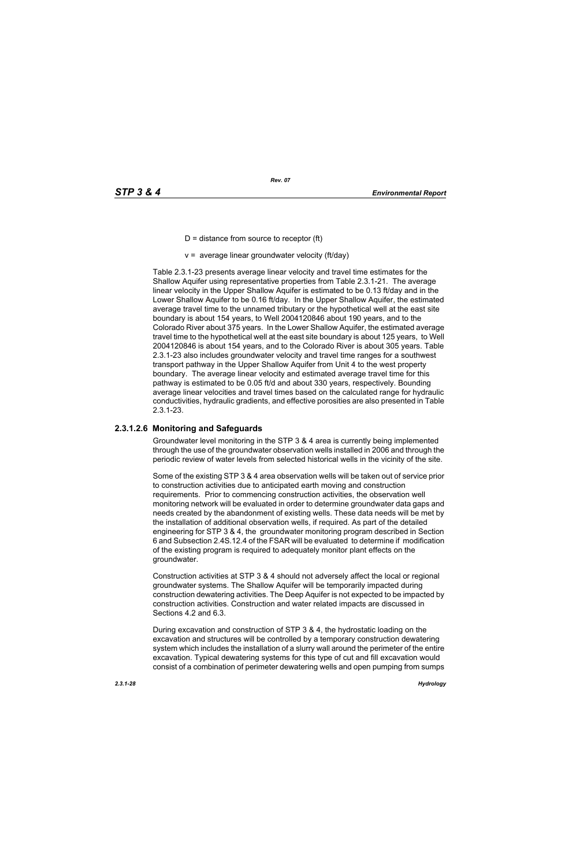- $D =$  distance from source to receptor (ft)
- $v =$  average linear groundwater velocity (ft/day)

Table 2.3.1-23 presents average linear velocity and travel time estimates for the Shallow Aquifer using representative properties from Table 2.3.1-21. The average linear velocity in the Upper Shallow Aquifer is estimated to be 0.13 ft/day and in the Lower Shallow Aquifer to be 0.16 ft/day. In the Upper Shallow Aquifer, the estimated average travel time to the unnamed tributary or the hypothetical well at the east site boundary is about 154 years, to Well 2004120846 about 190 years, and to the Colorado River about 375 years. In the Lower Shallow Aquifer, the estimated average travel time to the hypothetical well at the east site boundary is about 125 years, to Well 2004120846 is about 154 years, and to the Colorado River is about 305 years. Table 2.3.1-23 also includes groundwater velocity and travel time ranges for a southwest transport pathway in the Upper Shallow Aquifer from Unit 4 to the west property boundary. The average linear velocity and estimated average travel time for this pathway is estimated to be 0.05 ft/d and about 330 years, respectively. Bounding average linear velocities and travel times based on the calculated range for hydraulic conductivities, hydraulic gradients, and effective porosities are also presented in Table 2.3.1-23.

# **2.3.1.2.6 Monitoring and Safeguards**

Groundwater level monitoring in the STP 3 & 4 area is currently being implemented through the use of the groundwater observation wells installed in 2006 and through the periodic review of water levels from selected historical wells in the vicinity of the site.

Some of the existing STP 3 & 4 area observation wells will be taken out of service prior to construction activities due to anticipated earth moving and construction requirements. Prior to commencing construction activities, the observation well monitoring network will be evaluated in order to determine groundwater data gaps and needs created by the abandonment of existing wells. These data needs will be met by the installation of additional observation wells, if required. As part of the detailed engineering for STP 3 & 4, the groundwater monitoring program described in Section 6 and Subsection 2.4S.12.4 of the FSAR will be evaluated to determine if modification of the existing program is required to adequately monitor plant effects on the groundwater.

Construction activities at STP 3 & 4 should not adversely affect the local or regional groundwater systems. The Shallow Aquifer will be temporarily impacted during construction dewatering activities. The Deep Aquifer is not expected to be impacted by construction activities. Construction and water related impacts are discussed in Sections 4.2 and 6.3.

During excavation and construction of STP 3 & 4, the hydrostatic loading on the excavation and structures will be controlled by a temporary construction dewatering system which includes the installation of a slurry wall around the perimeter of the entire excavation. Typical dewatering systems for this type of cut and fill excavation would consist of a combination of perimeter dewatering wells and open pumping from sumps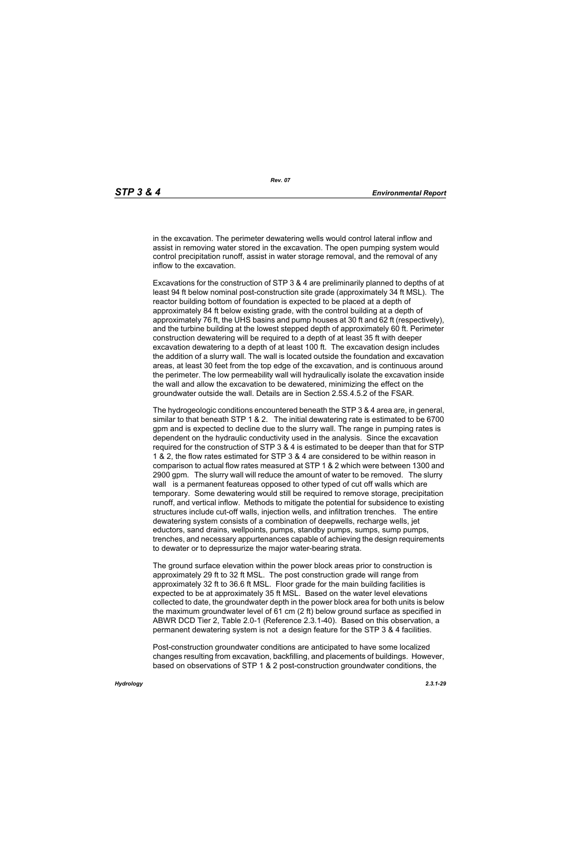in the excavation. The perimeter dewatering wells would control lateral inflow and assist in removing water stored in the excavation. The open pumping system would control precipitation runoff, assist in water storage removal, and the removal of any inflow to the excavation.

Excavations for the construction of STP 3 & 4 are preliminarily planned to depths of at least 94 ft below nominal post-construction site grade (approximately 34 ft MSL). The reactor building bottom of foundation is expected to be placed at a depth of approximately 84 ft below existing grade, with the control building at a depth of approximately 76 ft, the UHS basins and pump houses at 30 ft and 62 ft (respectively), and the turbine building at the lowest stepped depth of approximately 60 ft. Perimeter construction dewatering will be required to a depth of at least 35 ft with deeper excavation dewatering to a depth of at least 100 ft. The excavation design includes the addition of a slurry wall. The wall is located outside the foundation and excavation areas, at least 30 feet from the top edge of the excavation, and is continuous around the perimeter. The low permeability wall will hydraulically isolate the excavation inside the wall and allow the excavation to be dewatered, minimizing the effect on the groundwater outside the wall. Details are in Section 2.5S.4.5.2 of the FSAR.

The hydrogeologic conditions encountered beneath the STP 3 & 4 area are, in general, similar to that beneath STP 1 & 2. The initial dewatering rate is estimated to be 6700 gpm and is expected to decline due to the slurry wall. The range in pumping rates is dependent on the hydraulic conductivity used in the analysis. Since the excavation required for the construction of STP 3 & 4 is estimated to be deeper than that for STP 1 & 2, the flow rates estimated for STP 3 & 4 are considered to be within reason in comparison to actual flow rates measured at STP 1 & 2 which were between 1300 and 2900 gpm. The slurry wall will reduce the amount of water to be removed. The slurry wall is a permanent featureas opposed to other typed of cut off walls which are temporary. Some dewatering would still be required to remove storage, precipitation runoff, and vertical inflow. Methods to mitigate the potential for subsidence to existing structures include cut-off walls, injection wells, and infiltration trenches. The entire dewatering system consists of a combination of deepwells, recharge wells, jet eductors, sand drains, wellpoints, pumps, standby pumps, sumps, sump pumps, trenches, and necessary appurtenances capable of achieving the design requirements to dewater or to depressurize the major water-bearing strata.

The ground surface elevation within the power block areas prior to construction is approximately 29 ft to 32 ft MSL. The post construction grade will range from approximately 32 ft to 36.6 ft MSL. Floor grade for the main building facilities is expected to be at approximately 35 ft MSL. Based on the water level elevations collected to date, the groundwater depth in the power block area for both units is below the maximum groundwater level of 61 cm (2 ft) below ground surface as specified in ABWR DCD Tier 2, Table 2.0-1 (Reference 2.3.1-40). Based on this observation, a permanent dewatering system is not a design feature for the STP 3 & 4 facilities.

Post-construction groundwater conditions are anticipated to have some localized changes resulting from excavation, backfilling, and placements of buildings. However, based on observations of STP 1 & 2 post-construction groundwater conditions, the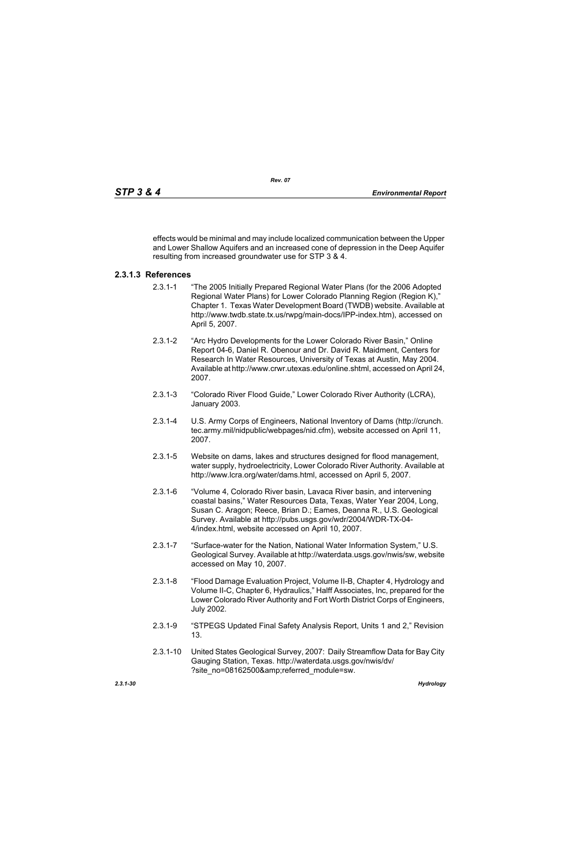effects would be minimal and may include localized communication between the Upper and Lower Shallow Aquifers and an increased cone of depression in the Deep Aquifer resulting from increased groundwater use for STP 3 & 4.

# **2.3.1.3 References**

- 2.3.1-1 "The 2005 Initially Prepared Regional Water Plans (for the 2006 Adopted Regional Water Plans) for Lower Colorado Planning Region (Region K)," Chapter 1. Texas Water Development Board (TWDB) website. Available at http://www.twdb.state.tx.us/rwpg/main-docs/IPP-index.htm), accessed on April 5, 2007.
- 2.3.1-2 "Arc Hydro Developments for the Lower Colorado River Basin," Online Report 04-6, Daniel R. Obenour and Dr. David R. Maidment, Centers for Research In Water Resources, University of Texas at Austin, May 2004. Available at http://www.crwr.utexas.edu/online.shtml, accessed on April 24, 2007.
- 2.3.1-3 "Colorado River Flood Guide," Lower Colorado River Authority (LCRA), January 2003.
- 2.3.1-4 U.S. Army Corps of Engineers, National Inventory of Dams (http://crunch. tec.army.mil/nidpublic/webpages/nid.cfm), website accessed on April 11, 2007.
- 2.3.1-5 Website on dams, lakes and structures designed for flood management, water supply, hydroelectricity, Lower Colorado River Authority. Available at http://www.lcra.org/water/dams.html, accessed on April 5, 2007.
- 2.3.1-6 "Volume 4, Colorado River basin, Lavaca River basin, and intervening coastal basins," Water Resources Data, Texas, Water Year 2004, Long, Susan C. Aragon; Reece, Brian D.; Eames, Deanna R., U.S. Geological Survey. Available at http://pubs.usgs.gov/wdr/2004/WDR-TX-04- 4/index.html, website accessed on April 10, 2007.
- 2.3.1-7 "Surface-water for the Nation, National Water Information System," U.S. Geological Survey. Available at http://waterdata.usgs.gov/nwis/sw, website accessed on May 10, 2007.
- 2.3.1-8 "Flood Damage Evaluation Project, Volume II-B, Chapter 4, Hydrology and Volume II-C, Chapter 6, Hydraulics," Halff Associates, Inc, prepared for the Lower Colorado River Authority and Fort Worth District Corps of Engineers, July 2002.
- 2.3.1-9 "STPEGS Updated Final Safety Analysis Report, Units 1 and 2," Revision 13.
- 2.3.1-10 United States Geological Survey, 2007: Daily Streamflow Data for Bay City Gauging Station, Texas. http://waterdata.usgs.gov/nwis/dv/ ?site\_no=08162500&referred\_module=sw.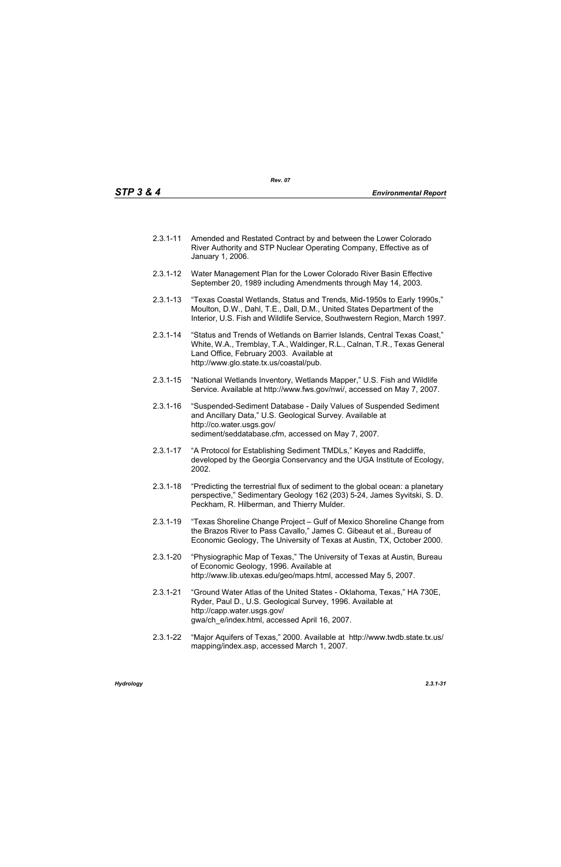- 2.3.1-11 Amended and Restated Contract by and between the Lower Colorado River Authority and STP Nuclear Operating Company, Effective as of January 1, 2006.
- 2.3.1-12 Water Management Plan for the Lower Colorado River Basin Effective September 20, 1989 including Amendments through May 14, 2003.
- 2.3.1-13 "Texas Coastal Wetlands, Status and Trends, Mid-1950s to Early 1990s," Moulton, D.W., Dahl, T.E., Dall, D.M., United States Department of the Interior, U.S. Fish and Wildlife Service, Southwestern Region, March 1997.
- 2.3.1-14 "Status and Trends of Wetlands on Barrier Islands, Central Texas Coast," White, W.A., Tremblay, T.A., Waldinger, R.L., Calnan, T.R., Texas General Land Office, February 2003. Available at http://www.glo.state.tx.us/coastal/pub.
- 2.3.1-15 "National Wetlands Inventory, Wetlands Mapper," U.S. Fish and Wildlife Service. Available at http://www.fws.gov/nwi/, accessed on May 7, 2007.
- 2.3.1-16 "Suspended-Sediment Database Daily Values of Suspended Sediment and Ancillary Data," U.S. Geological Survey. Available at http://co.water.usgs.gov/ sediment/seddatabase.cfm, accessed on May 7, 2007.
- 2.3.1-17 "A Protocol for Establishing Sediment TMDLs," Keyes and Radcliffe, developed by the Georgia Conservancy and the UGA Institute of Ecology, 2002.
- 2.3.1-18 "Predicting the terrestrial flux of sediment to the global ocean: a planetary perspective," Sedimentary Geology 162 (203) 5-24, James Syvitski, S. D. Peckham, R. Hilberman, and Thierry Mulder.
- 2.3.1-19 "Texas Shoreline Change Project Gulf of Mexico Shoreline Change from the Brazos River to Pass Cavallo," James C. Gibeaut et al., Bureau of Economic Geology, The University of Texas at Austin, TX, October 2000.
- 2.3.1-20 "Physiographic Map of Texas," The University of Texas at Austin, Bureau of Economic Geology, 1996. Available at http://www.lib.utexas.edu/geo/maps.html, accessed May 5, 2007.
- 2.3.1-21 "Ground Water Atlas of the United States Oklahoma, Texas," HA 730E, Ryder, Paul D., U.S. Geological Survey, 1996. Available at http://capp.water.usgs.gov/ gwa/ch\_e/index.html, accessed April 16, 2007.
- 2.3.1-22 "Major Aquifers of Texas," 2000. Available at http://www.twdb.state.tx.us/ mapping/index.asp, accessed March 1, 2007.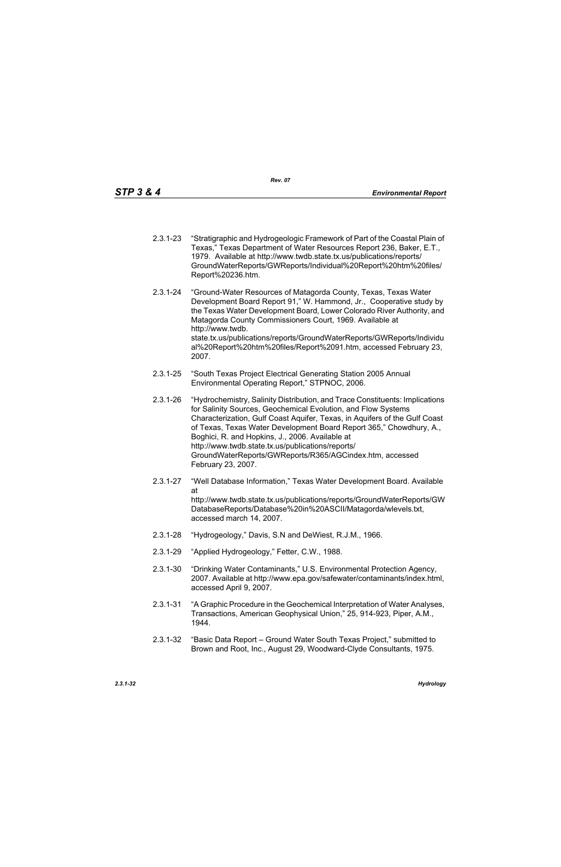- 2.3.1-23 "Stratigraphic and Hydrogeologic Framework of Part of the Coastal Plain of Texas," Texas Department of Water Resources Report 236, Baker, E.T., 1979. Available at http://www.twdb.state.tx.us/publications/reports/ GroundWaterReports/GWReports/Individual%20Report%20htm%20files/ Report%20236.htm.
- 2.3.1-24 "Ground-Water Resources of Matagorda County, Texas, Texas Water Development Board Report 91," W. Hammond, Jr., Cooperative study by the Texas Water Development Board, Lower Colorado River Authority, and Matagorda County Commissioners Court, 1969. Available at http://www.twdb. state.tx.us/publications/reports/GroundWaterReports/GWReports/Individu al%20Report%20htm%20files/Report%2091.htm, accessed February 23, 2007.
- 2.3.1-25 "South Texas Project Electrical Generating Station 2005 Annual Environmental Operating Report," STPNOC, 2006.
- 2.3.1-26 "Hydrochemistry, Salinity Distribution, and Trace Constituents: Implications for Salinity Sources, Geochemical Evolution, and Flow Systems Characterization, Gulf Coast Aquifer, Texas, in Aquifers of the Gulf Coast of Texas, Texas Water Development Board Report 365," Chowdhury, A., Boghici, R. and Hopkins, J., 2006. Available at http://www.twdb.state.tx.us/publications/reports/ GroundWaterReports/GWReports/R365/AGCindex.htm, accessed February 23, 2007.
- 2.3.1-27 "Well Database Information," Texas Water Development Board. Available at http://www.twdb.state.tx.us/publications/reports/GroundWaterReports/GW DatabaseReports/Database%20in%20ASCII/Matagorda/wlevels.txt, accessed march 14, 2007.
- 2.3.1-28 "Hydrogeology," Davis, S.N and DeWiest, R.J.M., 1966.
- 2.3.1-29 "Applied Hydrogeology," Fetter, C.W., 1988.
- 2.3.1-30 "Drinking Water Contaminants," U.S. Environmental Protection Agency, 2007. Available at http://www.epa.gov/safewater/contaminants/index.html, accessed April 9, 2007.
- 2.3.1-31 "A Graphic Procedure in the Geochemical Interpretation of Water Analyses, Transactions, American Geophysical Union," 25, 914-923, Piper, A.M., 1944.
- 2.3.1-32 "Basic Data Report Ground Water South Texas Project," submitted to Brown and Root, Inc., August 29, Woodward-Clyde Consultants, 1975.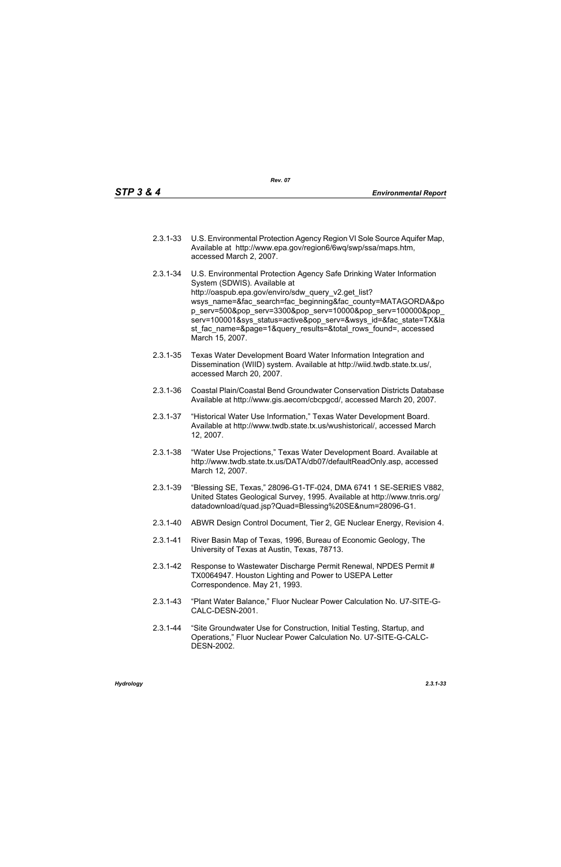- 2.3.1-33 U.S. Environmental Protection Agency Region VI Sole Source Aquifer Map, Available at http://www.epa.gov/region6/6wq/swp/ssa/maps.htm, accessed March 2, 2007.
- 2.3.1-34 U.S. Environmental Protection Agency Safe Drinking Water Information System (SDWIS). Available at http://oaspub.epa.gov/enviro/sdw\_query\_v2.get\_list? wsys\_name=&fac\_search=fac\_beginning&fac\_county=MATAGORDA&po p\_serv=500&pop\_serv=3300&pop\_serv=10000&pop\_serv=100000&pop\_ serv=100001&sys\_status=active&pop\_serv=&wsys\_id=&fac\_state=TX&la st fac\_name=&page=1&query\_results=&total\_rows\_found=, accessed March 15, 2007.
- 2.3.1-35 Texas Water Development Board Water Information Integration and Dissemination (WIID) system. Available at http://wiid.twdb.state.tx.us/, accessed March 20, 2007.
- 2.3.1-36 Coastal Plain/Coastal Bend Groundwater Conservation Districts Database Available at http://www.gis.aecom/cbcpgcd/, accessed March 20, 2007.
- 2.3.1-37 "Historical Water Use Information," Texas Water Development Board. Available at http://www.twdb.state.tx.us/wushistorical/, accessed March 12, 2007.
- 2.3.1-38 "Water Use Projections," Texas Water Development Board. Available at http://www.twdb.state.tx.us/DATA/db07/defaultReadOnly.asp, accessed March 12, 2007.
- 2.3.1-39 "Blessing SE, Texas," 28096-G1-TF-024, DMA 6741 1 SE-SERIES V882, United States Geological Survey, 1995. Available at http://www.tnris.org/ datadownload/quad.jsp?Quad=Blessing%20SE&num=28096-G1.
- 2.3.1-40 ABWR Design Control Document, Tier 2, GE Nuclear Energy, Revision 4.
- 2.3.1-41 River Basin Map of Texas, 1996, Bureau of Economic Geology, The University of Texas at Austin, Texas, 78713.
- 2.3.1-42 Response to Wastewater Discharge Permit Renewal, NPDES Permit # TX0064947. Houston Lighting and Power to USEPA Letter Correspondence. May 21, 1993.
- 2.3.1-43 "Plant Water Balance," Fluor Nuclear Power Calculation No. U7-SITE-G-CALC-DESN-2001.
- 2.3.1-44 "Site Groundwater Use for Construction, Initial Testing, Startup, and Operations," Fluor Nuclear Power Calculation No. U7-SITE-G-CALC-DESN-2002.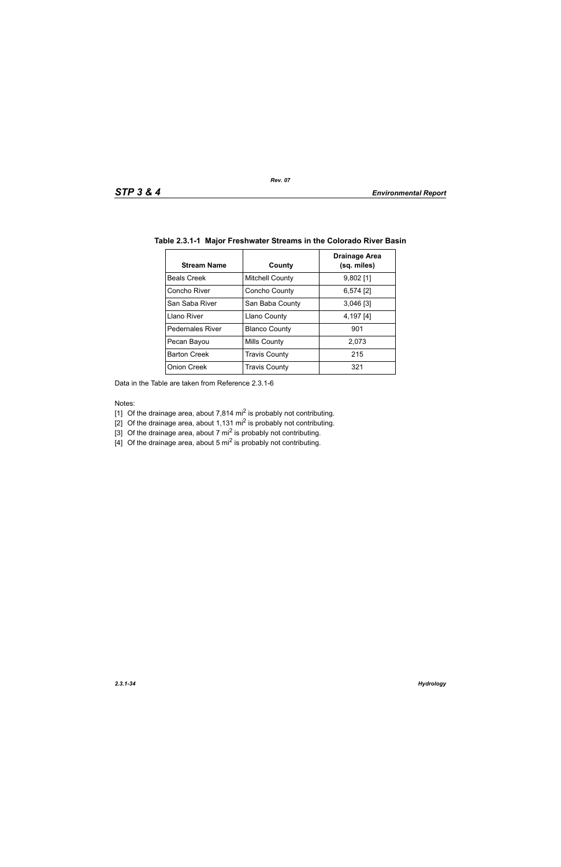| <b>Stream Name</b>      | County                 | Drainage Area<br>(sq. miles) |
|-------------------------|------------------------|------------------------------|
| <b>Beals Creek</b>      | <b>Mitchell County</b> | $9,802$ [1]                  |
| Concho River            | Concho County          | $6,574$ [2]                  |
| San Saba River          | San Baba County        | $3,046$ [3]                  |
| Llano River             | <b>Llano County</b>    | 4,197 [4]                    |
| <b>Pedernales River</b> | <b>Blanco County</b>   | 901                          |
| Pecan Bayou             | Mills County           | 2,073                        |
| <b>Barton Creek</b>     | <b>Travis County</b>   | 215                          |
| <b>Onion Creek</b>      | <b>Travis County</b>   | 321                          |

# **Table 2.3.1-1 Major Freshwater Streams in the Colorado River Basin**

Data in the Table are taken from Reference 2.3.1-6

Notes:

- [1] Of the drainage area, about 7,814 mi<sup>2</sup> is probably not contributing.
- [2] Of the drainage area, about 1,131 mi<sup>2</sup> is probably not contributing.
- [3] Of the drainage area, about 7 mi<sup>2</sup> is probably not contributing.
- [4] Of the drainage area, about 5  $\text{mi}^2$  is probably not contributing.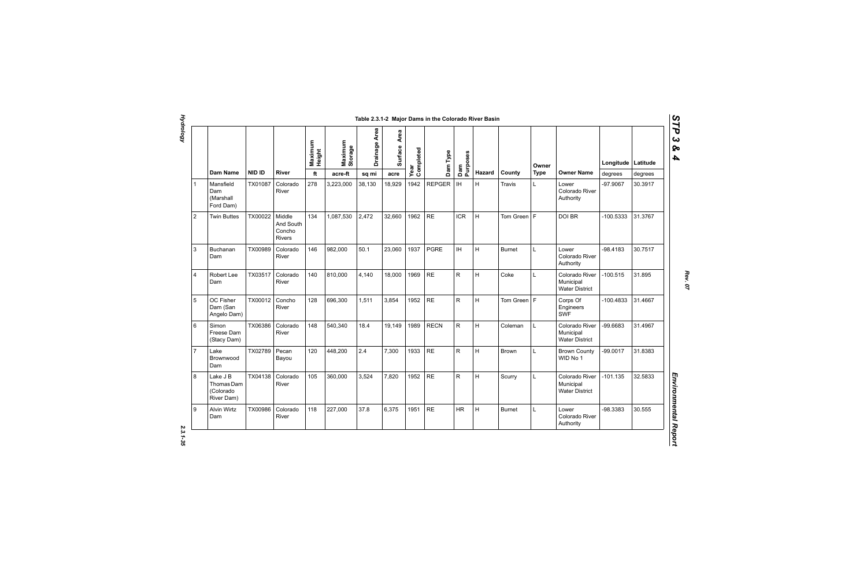| Heigh | Maxin<br>Stora | Drain  | Surfa  | Complete<br>Dam Type |               | Purposes     |               |               | Owner |                                                      | Longitude  | Latitude |  |
|-------|----------------|--------|--------|----------------------|---------------|--------------|---------------|---------------|-------|------------------------------------------------------|------------|----------|--|
| ft    | acre-ft        | sq mi  | acre   | Year                 |               | Dam          | <b>Hazard</b> | County        | Type  | <b>Owner Name</b>                                    | degrees    | degrees  |  |
| 8     | 3,223,000      | 38,130 | 18,929 | 1942                 | <b>REPGER</b> | <b>IH</b>    | H             | Travis        | L     | Lower<br>Colorado River<br>Authority                 | $-97.9067$ | 30.3917  |  |
| 4     | 1,087,530      | 2,472  | 32,660 | 1962                 | <b>RE</b>     | <b>ICR</b>   | H             | Tom Green   F |       | <b>DOI BR</b>                                        | -100.5333  | 31.3767  |  |
| 6     | 982,000        | 50.1   | 23,060 | 1937                 | <b>PGRE</b>   | <b>IH</b>    | H             | <b>Burnet</b> | L     | Lower<br>Colorado River<br>Authority                 | $-98.4183$ | 30.7517  |  |
| 0     | 810,000        | 4.140  | 18,000 | 1969                 | <b>RE</b>     | R            | H             | Coke          | Г     | Colorado River<br>Municipal<br><b>Water District</b> | $-100.515$ | 31.895   |  |
| 8     | 696,300        | 1,511  | 3,854  | 1952                 | <b>RE</b>     | R            | H             | Tom Green   F |       | Corps Of<br>Engineers<br><b>SWF</b>                  | -100.4833  | 31.4667  |  |
| 8     | 540.340        | 18.4   | 19,149 | 1989                 | <b>RECN</b>   | R            | H             | Coleman       | L     | Colorado River<br>Municipal<br><b>Water District</b> | -99.6683   | 31.4967  |  |
| 0     | 448,200        | 2.4    | 7,300  | 1933                 | <b>RE</b>     | $\mathsf{R}$ | H             | <b>Brown</b>  | L     | <b>Brown County</b><br>WID No 1                      | -99.0017   | 31.8383  |  |

|                |                                                   |               |                                                | Maximum<br>Height | Maximum<br>Storage                  | Drainage Area | Area<br>Surface | Year<br>Completed | Dam Type      | Dam<br>Purposes                   |        |               | Owner       |                                                      | Longitude   | Latitude |
|----------------|---------------------------------------------------|---------------|------------------------------------------------|-------------------|-------------------------------------|---------------|-----------------|-------------------|---------------|-----------------------------------|--------|---------------|-------------|------------------------------------------------------|-------------|----------|
|                | <b>Dam Name</b>                                   | <b>NID ID</b> | <b>River</b>                                   | ft                | $\operatorname{\sf acre\text{-}ft}$ | sq mi         | acre            |                   |               |                                   | Hazard | County        | <b>Type</b> | <b>Owner Name</b>                                    | degrees     | degrees  |
|                | Mansfield<br>Dam<br>(Marshall<br>Ford Dam)        | TX01087       | Colorado<br>River                              | 278               | 3,223,000                           | 38,130        | 18,929          | 1942              | <b>REPGER</b> | $\ensuremath{\mathsf{IH}}\xspace$ | Н.     | Travis        | Г           | Lower<br>Colorado River<br>Authority                 | $-97.9067$  | 30.3917  |
| 2              | <b>Twin Buttes</b>                                | TX00022       | Middle<br>And South<br>Concho<br><b>Rivers</b> | 134               | 1,087,530                           | 2,472         | 32,660          | 1962              | <b>RE</b>     | <b>ICR</b>                        | H      | Tom Green     | F           | DOI BR                                               | $-100.5333$ | 31.3767  |
| $\mathbf{3}$   | <b>Buchanan</b><br>Dam                            | TX00989       | Colorado<br>River                              | 146               | 982,000                             | 50.1          | 23,060          | 1937              | <b>PGRE</b>   | IH.                               | H      | <b>Burnet</b> | L           | Lower<br>Colorado River<br>Authority                 | $-98.4183$  | 30.7517  |
| $\overline{4}$ | Robert Lee<br>Dam                                 | TX03517       | Colorado<br>River                              | 140               | 810,000                             | 4,140         | 18,000          | 1969              | <b>RE</b>     | R                                 | H      | Coke          | L           | Colorado River<br>Municipal<br><b>Water District</b> | $-100.515$  | 31.895   |
| 5              | OC Fisher<br>Dam (San<br>Angelo Dam)              | TX00012       | Concho<br>River                                | 128               | 696,300                             | 1,511         | 3,854           | 1952              | <b>RE</b>     | R                                 | Η      | Tom Green   F |             | Corps Of<br>Engineers<br><b>SWF</b>                  | $-100.4833$ | 31.4667  |
| 6              | Simon<br>Freese Dam<br>(Stacy Dam)                | TX06386       | Colorado<br>River                              | 148               | 540,340                             | 18.4          | 19,149          | 1989              | <b>RECN</b>   | R                                 | Η      | Coleman       | L           | Colorado River<br>Municipal<br><b>Water District</b> | -99.6683    | 31.4967  |
| $\overline{7}$ | Lake<br>Brownwood<br>Dam                          | TX02789       | Pecan<br>Bayou                                 | 120               | 448,200                             | 2.4           | 7,300           | 1933              | <b>RE</b>     | R.                                | Η      | Brown         | L           | <b>Brown County</b><br>WID No 1                      | $-99.0017$  | 31.8383  |
| 8              | Lake J B<br>Thomas Dam<br>(Colorado<br>River Dam) | TX04138       | Colorado<br>River                              | 105               | 360,000                             | 3,524         | 7,820           | 1952              | <b>RE</b>     | R.                                | H      | Scurry        | L           | Colorado River<br>Municipal<br><b>Water District</b> | $-101.135$  | 32.5833  |
| 9              | <b>Alvin Wirtz</b><br>Dam                         | TX00986       | Colorado<br>River                              | 118               | 227,000                             | 37.8          | 6,375           | 1951              | <b>RE</b>     | <b>HR</b>                         | H      | <b>Burnet</b> | L           | Lower<br>Colorado River<br>Authority                 | -98.3383    | 30.555   |

 $2.3.1 - 35$ 

*Rev. 07*

# *STP 3 & 4*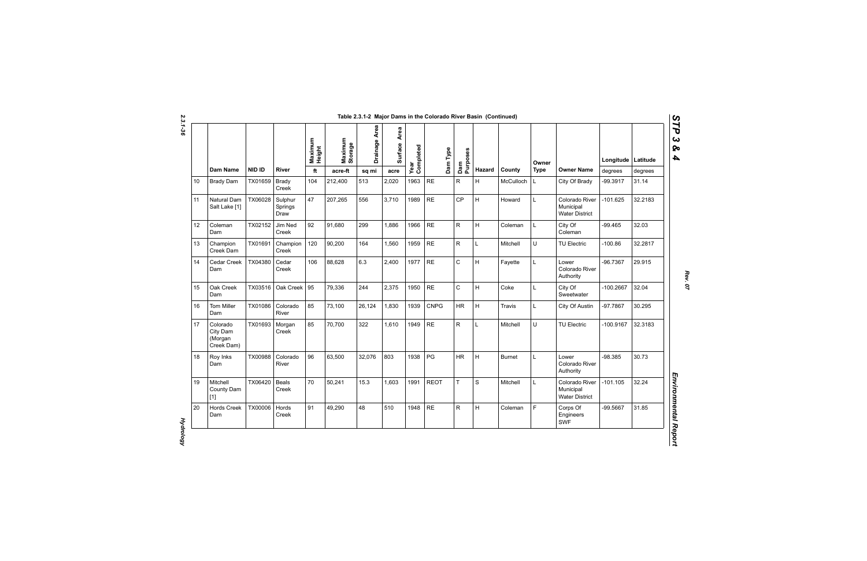| N  |
|----|
|    |
| ట  |
|    |
|    |
|    |
| دە |
|    |
|    |

|    | Dam Name                                      | <b>NID ID</b> | <b>River</b>               | Maximum<br>Height<br>ft | Maximum<br>Storage<br>$\operatorname{\sf acre\text{-}ft}$ | Drainage Area<br>sq mi | Area<br><b>Surface</b><br>acre | Completed<br>Year | Dam Type    | Dam<br>Purposes | Hazard      | County        | Owner<br><b>Type</b> | <b>Owner Name</b>                                    | Longitude   Latitude<br>degrees | degrees |
|----|-----------------------------------------------|---------------|----------------------------|-------------------------|-----------------------------------------------------------|------------------------|--------------------------------|-------------------|-------------|-----------------|-------------|---------------|----------------------|------------------------------------------------------|---------------------------------|---------|
| 10 | <b>Brady Dam</b>                              | TX01659       | <b>Brady</b><br>Creek      | 104                     | 212,400                                                   | 513                    | 2,020                          | 1963              | <b>RE</b>   | $\mathsf{R}$    | H           | McCulloch     | L                    | City Of Brady                                        | -99.3917                        | 31.14   |
| 11 | Natural Dam<br>Salt Lake [1]                  | TX06028       | Sulphur<br>Springs<br>Draw | 47                      | 207,265                                                   | 556                    | 3.710                          | 1989              | $\sf RE$    | <b>CP</b>       | H.          | Howard        | L                    | Colorado River<br>Municipal<br><b>Water District</b> | $-101.625$                      | 32.2183 |
| 12 | Coleman<br>Dam                                | TX02152       | Jim Ned<br>Creek           | 92                      | 91,680                                                    | 299                    | 1,886                          | 1966              | <b>RE</b>   | R               | H           | Coleman       | L                    | City Of<br>Coleman                                   | $-99.465$                       | 32.03   |
| 13 | Champion<br>Creek Dam                         | TX01691       | Champion<br>Creek          | 120                     | 90,200                                                    | 164                    | 1,560                          | 1959              | <b>RE</b>   | $\mathsf{R}$    | L           | Mitchell      | U                    | TU Electric                                          | $-100.86$                       | 32.2817 |
| 14 | Cedar Creek<br>Dam                            | TX04380       | Cedar<br>Creek             | 106                     | 88,628                                                    | 6.3                    | 2,400                          | 1977              | <b>RE</b>   | $\mathsf C$     | H           | Fayette       | Г                    | Lower<br>Colorado River<br>Authority                 | -96.7367                        | 29.915  |
| 15 | Oak Creek<br>Dam                              | TX03516       | Oak Creek                  | 95                      | 79.336                                                    | 244                    | 2,375                          | 1950              | <b>RE</b>   | $\mathsf{C}$    | H           | Coke          | L                    | City Of<br>Sweetwater                                | $-100.2667$                     | 32.04   |
| 16 | Tom Miller<br>Dam                             | TX01086       | Colorado<br>River          | 85                      | 73,100                                                    | 26,124                 | 1,830                          | 1939              | <b>CNPG</b> | <b>HR</b>       | H           | Travis        | L                    | City Of Austin                                       | -97.7867                        | 30.295  |
| 17 | Colorado<br>City Dam<br>(Morgan<br>Creek Dam) | TX01693       | Morgan<br>Creek            | 85                      | 70,700                                                    | 322                    | 1,610                          | 1949              | <b>RE</b>   | R               | L           | Mitchell      | U                    | TU Electric                                          | -100.9167                       | 32.3183 |
| 18 | Roy Inks<br>Dam                               | TX00988       | Colorado<br>River          | 96                      | 63,500                                                    | 32,076                 | 803                            | 1938              | PG          | <b>HR</b>       | H           | <b>Burnet</b> | L                    | Lower<br>Colorado River<br>Authority                 | $-98.385$                       | 30.73   |
| 19 | Mitchell<br>County Dam<br>$[1]$               | TX06420       | Beals<br>Creek             | 70                      | 50,241                                                    | 15.3                   | 1,603                          | 1991              | <b>REOT</b> | T.              | $\mathbf S$ | Mitchell      | L                    | Colorado River<br>Municipal<br><b>Water District</b> | -101.105                        | 32.24   |
| 20 | <b>Hords Creek</b><br>Dam                     | TX00006       | Hords<br>Creek             | 91                      | 49,290                                                    | 48                     | 510                            | 1948              | $\sf RE$    | $\mathsf R$     | H           | Coleman       | F                    | Corps Of<br>Engineers<br><b>SWF</b>                  | -99.5667                        | 31.85   |

*Rev. 07*

*STP 3 & 4*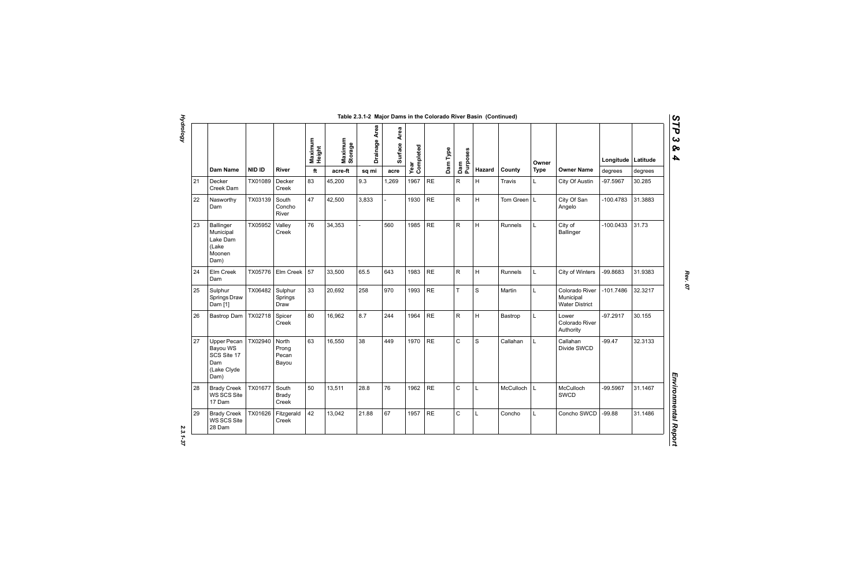|    |                                                                      |               |                                  | Maximum<br>Height | Maximum<br>Storage | Drainage Area | Area<br>Surface | Year<br>Completed | Dam Type  |    |             |                  | Owner       |                                                      | Longitude   | Latitude |
|----|----------------------------------------------------------------------|---------------|----------------------------------|-------------------|--------------------|---------------|-----------------|-------------------|-----------|----|-------------|------------------|-------------|------------------------------------------------------|-------------|----------|
|    | <b>Dam Name</b>                                                      | <b>NID ID</b> | <b>River</b>                     | ft                | acre-ft            | sq mi         | acre            |                   |           |    | Hazard      | County           | <b>Type</b> | <b>Owner Name</b>                                    | degrees     | degrees  |
| 21 | Decker<br>Creek Dam                                                  | TX01089       | Decker<br>Creek                  | 83                | 45,200             | 9.3           | 1,269           | 1967              | RE        | R  | H           | Travis           | L.          | City Of Austin                                       | -97.5967    | 30.285   |
| 22 | Nasworthy<br>Dam                                                     | TX03139       | South<br>Concho<br>River         | 47                | 42,500             | 3,833         |                 | 1930              | RE        | R  | H           | Tom Green   L    |             | City Of San<br>Angelo                                | $-100.4783$ | 31.3883  |
| 23 | Ballinger<br>Municipal<br>Lake Dam<br>(Lake<br>Moonen<br>Dam)        | TX05952       | Valley<br>Creek                  | 76                | 34,353             |               | 560             | 1985              | <b>RE</b> | R  | H           | Runnels          | L           | City of<br><b>Ballinger</b>                          | $-100.0433$ | 31.73    |
| 24 | Elm Creek<br>Dam                                                     | TX05776       | Elm Creek                        | 57                | 33,500             | 65.5          | 643             | 1983              | <b>RE</b> | R. | H           | Runnels          | L           | <b>City of Winters</b>                               | -99.8683    | 31.9383  |
| 25 | Sulphur<br>Springs Draw<br>Dam [1]                                   | TX06482       | Sulphur<br>Springs<br>Draw       | 33                | 20,692             | 258           | 970             | 1993              | $\sf RE$  | T  | S           | Martin           | L           | Colorado River<br>Municipal<br><b>Water District</b> | -101.7486   | 32.3217  |
| 26 | Bastrop Dam                                                          | TX02718       | Spicer<br>Creek                  | 80                | 16,962             | 8.7           | 244             | 1964              | $\sf RE$  | R  | H           | Bastrop          | Г           | Lower<br>Colorado River<br>Authority                 | $-97.2917$  | 30.155   |
| 27 | Upper Pecan<br>Bayou WS<br>SCS Site 17<br>Dam<br>(Lake Clyde<br>Dam) | TX02940       | North<br>Prong<br>Pecan<br>Bayou | 63                | 16,550             | 38            | 449             | 1970              | <b>RE</b> | C  | $\mathbf S$ | Callahan         | L           | Callahan<br>Divide SWCD                              | $-99.47$    | 32.3133  |
| 28 | <b>Brady Creek</b><br>WS SCS Site<br>17 Dam                          | TX01677       | South<br><b>Brady</b><br>Creek   | 50                | 13,511             | 28.8          | 76              | 1962              | <b>RE</b> | C  | Г           | <b>McCulloch</b> | L           | <b>McCulloch</b><br>SWCD                             | -99.5967    | 31.1467  |
| 29 | <b>Brady Creek</b><br>WS SCS Site<br>28 Dam                          | TX01626       | Fitzgerald<br>Creek              | 42                | 13,042             | 21.88         | 67              | 1957              | <b>RE</b> | C  | Г           | Concho           | L           | Concho SWCD                                          | $-99.88$    | 31.1486  |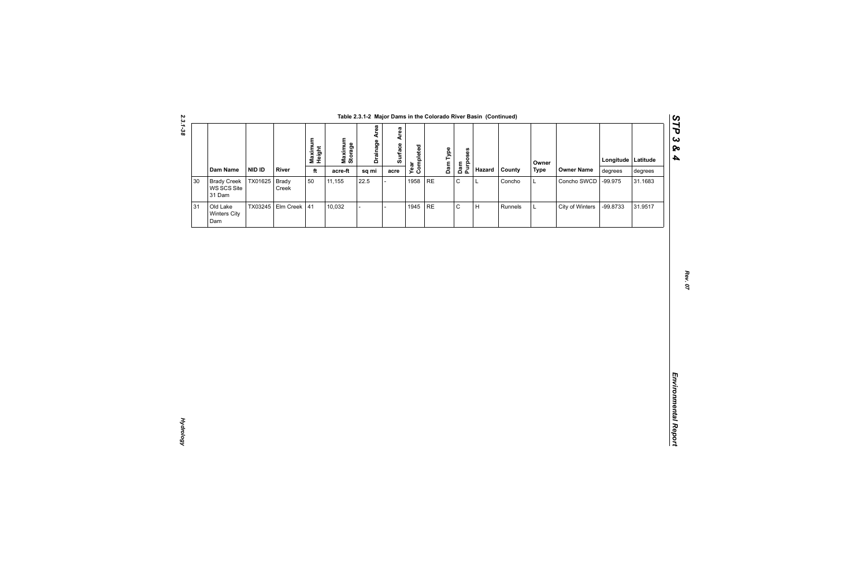|        |                                             |         |                       |                   |                    |                      |                 |                   |    |                             | Table 2.3.1-2 Major Dams in the Colorado River Basin (Continued) |         |             |                   |                    |         |
|--------|---------------------------------------------|---------|-----------------------|-------------------|--------------------|----------------------|-----------------|-------------------|----|-----------------------------|------------------------------------------------------------------|---------|-------------|-------------------|--------------------|---------|
|        | Dam Name                                    | NID ID  | River                 | Maximum<br>Height | Maximum<br>Storage | <b>Drainage Area</b> | Area<br>Surface | Year<br>Completed |    | Dam Type<br>Dam<br>Purposes | Hazard                                                           | County  | Owner       | <b>Owner Name</b> | Longitude Latitude |         |
|        |                                             |         |                       | $\mathsf{ft}$     | acre-ft            | sq mi                | acre            |                   |    |                             |                                                                  |         | <b>Type</b> |                   | degrees            | degrees |
| $30\,$ | <b>Brady Creek</b><br>WS SCS Site<br>31 Dam | TX01625 | <b>Brady</b><br>Creek | 50                | 11,155             | 22.5                 |                 | 1958              | RE | $\mathsf C$                 | L                                                                | Concho  | L           | Concho SWCD       | $-99.975$          | 31.1683 |
| 31     | Old Lake<br>Winters City<br>Dam             |         | TX03245 Elm Creek 41  |                   | 10,032             |                      |                 | 1945              | RE | $\mathtt{C}$                | H                                                                | Runnels | L           | City of Winters   | -99.8733           | 31.9517 |
|        |                                             |         |                       |                   |                    |                      |                 |                   |    |                             |                                                                  |         |             |                   |                    |         |
|        |                                             |         |                       |                   |                    |                      |                 |                   |    |                             |                                                                  |         |             |                   |                    |         |
|        |                                             |         |                       |                   |                    |                      |                 |                   |    |                             |                                                                  |         |             |                   |                    |         |
|        |                                             |         |                       |                   |                    |                      |                 |                   |    |                             |                                                                  |         |             |                   |                    |         |
|        |                                             |         |                       |                   |                    |                      |                 |                   |    |                             |                                                                  |         |             |                   |                    |         |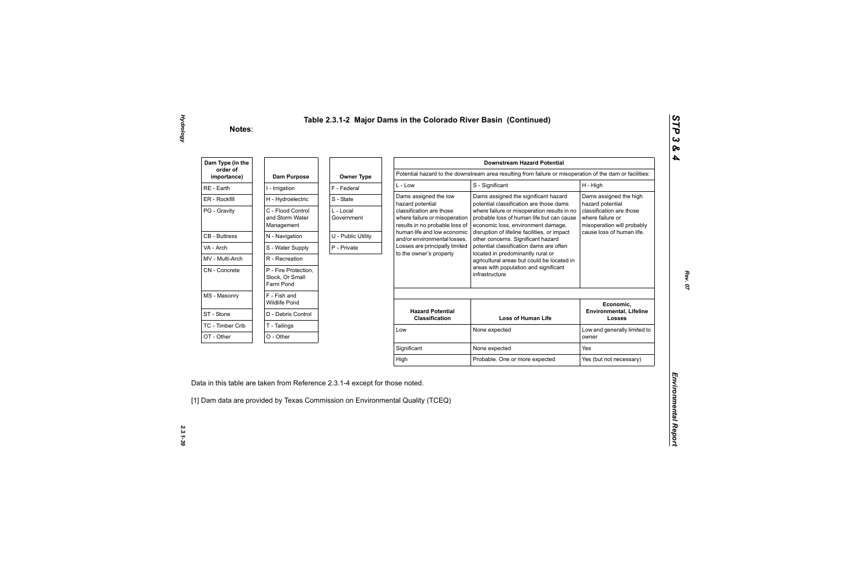| Dam Type (in the        |                                                      |                         |                                                                                             | <b>Downstream Hazard Potential</b>                                                                                             |                                                                            |
|-------------------------|------------------------------------------------------|-------------------------|---------------------------------------------------------------------------------------------|--------------------------------------------------------------------------------------------------------------------------------|----------------------------------------------------------------------------|
| order of<br>importance) | Dam Purpose                                          | <b>Owner Type</b>       |                                                                                             | Potential hazard to the downstream area resulting from failure or misoperation of the dam or facilities:                       |                                                                            |
| RE - Earth              | I - Irrigation                                       | F - Federal             | $L - Low$                                                                                   | S - Significant                                                                                                                | H - High                                                                   |
| ER - Rockfill           | H - Hydroelectric                                    | S - State               | Dams assigned the low<br>hazard potential                                                   | Dams assigned the significant hazard<br>potential classification are those dams                                                | Dams assigned the high<br>hazard potential                                 |
| PG - Gravity            | C - Flood Control<br>and Storm Water<br>Management   | L - Local<br>Government | classification are those<br>where failure or misoperation<br>results in no probable loss of | where failure or misoperation results in no<br>probable loss of human life but can cause<br>economic loss, environment damage, | classification are those<br>where failure or<br>misoperation will probably |
| <b>CB - Buttress</b>    | N - Navigation                                       | U - Public Utility      | human life and low economic<br>and/or environmental losses.                                 | disruption of lifeline facilities, or impact<br>other concerns. Significant hazard                                             | cause loss of human life.                                                  |
| VA - Arch               | S - Water Supply                                     | P - Private             | Losses are principally limited                                                              | potential classification dams are often                                                                                        |                                                                            |
| MV - Multi-Arch         | R - Recreation                                       |                         | to the owner's property                                                                     | located in predominantly rural or<br>agricultural areas but could be located in                                                |                                                                            |
| CN - Concrete           | P - Fire Protection,<br>Stock, Or Small<br>Farm Pond |                         |                                                                                             | areas with population and significant<br>infrastructure                                                                        |                                                                            |
| MS - Masonry            | F - Fish and<br><b>Wildlife Pond</b>                 |                         |                                                                                             |                                                                                                                                | Economic,                                                                  |
| ST - Stone              | D - Debris Control                                   |                         | <b>Hazard Potential</b><br><b>Classification</b>                                            | <b>Loss of Human Life</b>                                                                                                      | <b>Environmental, Lifeline</b><br><b>Losses</b>                            |
| TC - Timber Crib        | T - Tailings                                         |                         | Low                                                                                         | None expected                                                                                                                  | Low and generally limited to                                               |
| OT - Other              | O - Other                                            |                         |                                                                                             |                                                                                                                                | owner                                                                      |
|                         |                                                      |                         | Significant                                                                                 | None expected                                                                                                                  | Yes                                                                        |
|                         |                                                      |                         |                                                                                             |                                                                                                                                | Yes (but not necessary)                                                    |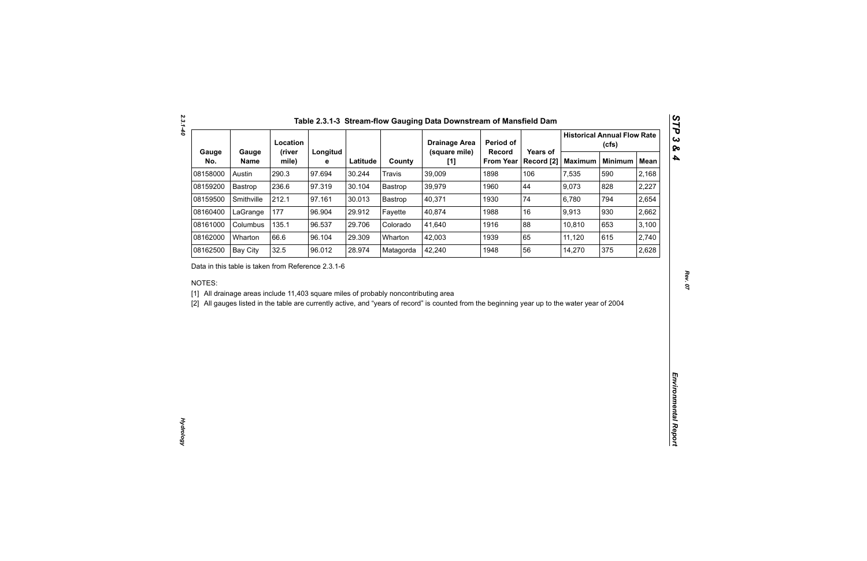|              |                                                    | Location        |               |          |                                                                                     | <b>Drainage Area</b>                                                                                                                           | Period of                  |                        |                | <b>Historical Annual Flow Rate</b><br>(cfs) |             |
|--------------|----------------------------------------------------|-----------------|---------------|----------|-------------------------------------------------------------------------------------|------------------------------------------------------------------------------------------------------------------------------------------------|----------------------------|------------------------|----------------|---------------------------------------------|-------------|
| Gauge<br>No. | Gauge<br><b>Name</b>                               | (river<br>mile) | Longitud<br>е | Latitude | County                                                                              | (square mile)<br>[1]                                                                                                                           | Record<br><b>From Year</b> | Years of<br>Record [2] | <b>Maximum</b> | <b>Minimum</b>                              | <b>Mean</b> |
| 08158000     | Austin                                             | 290.3           | 97.694        | 30.244   | <b>Travis</b>                                                                       | 39,009                                                                                                                                         | 1898                       | 106                    | 7,535          | 590                                         | 2,168       |
| 08159200     | Bastrop                                            | 236.6           | 97.319        | 30.104   | Bastrop                                                                             | 39,979                                                                                                                                         | 1960                       | 44                     | 9,073          | 828                                         | 2,227       |
| 08159500     | Smithville                                         | 212.1           | 97.161        | 30.013   | Bastrop                                                                             | 40,371                                                                                                                                         | 1930                       | 74                     | 6,780          | 794                                         | 2,654       |
| 08160400     | LaGrange                                           | 177             | 96.904        | 29.912   | Fayette                                                                             | 40,874                                                                                                                                         | 1988                       | 16                     | 9,913          | 930                                         | 2,662       |
| 08161000     | Columbus                                           | 135.1           | 96.537        | 29.706   | Colorado                                                                            | 41,640                                                                                                                                         | 1916                       | 88                     | 10,810         | 653                                         | 3,100       |
| 08162000     | Wharton                                            | 66.6            | 96.104        | 29.309   | Wharton                                                                             | 42,003                                                                                                                                         | 1939                       | 65                     | 11,120         | 615                                         | 2,740       |
| 08162500     | <b>Bay City</b>                                    | 32.5            | 96.012        | 28.974   | Matagorda                                                                           | 42,240                                                                                                                                         | 1948                       | 56                     | 14,270         | 375                                         | 2,628       |
| NOTES:       | Data in this table is taken from Reference 2.3.1-6 |                 |               |          | [1] All drainage areas include 11,403 square miles of probably noncontributing area | [2] All gauges listed in the table are currently active, and "years of record" is counted from the beginning year up to the water year of 2004 |                            |                        |                |                                             |             |
|              |                                                    |                 |               |          |                                                                                     |                                                                                                                                                |                            |                        |                |                                             |             |
|              |                                                    |                 |               |          |                                                                                     |                                                                                                                                                |                            |                        |                |                                             |             |
|              |                                                    |                 |               |          |                                                                                     |                                                                                                                                                |                            |                        |                |                                             |             |
|              |                                                    |                 |               |          |                                                                                     |                                                                                                                                                |                            |                        |                |                                             |             |
|              |                                                    |                 |               |          |                                                                                     |                                                                                                                                                |                            |                        |                |                                             |             |
|              |                                                    |                 |               |          |                                                                                     |                                                                                                                                                |                            |                        |                |                                             |             |
|              |                                                    |                 |               |          |                                                                                     |                                                                                                                                                |                            |                        |                |                                             |             |
|              |                                                    |                 |               |          |                                                                                     |                                                                                                                                                |                            |                        |                |                                             |             |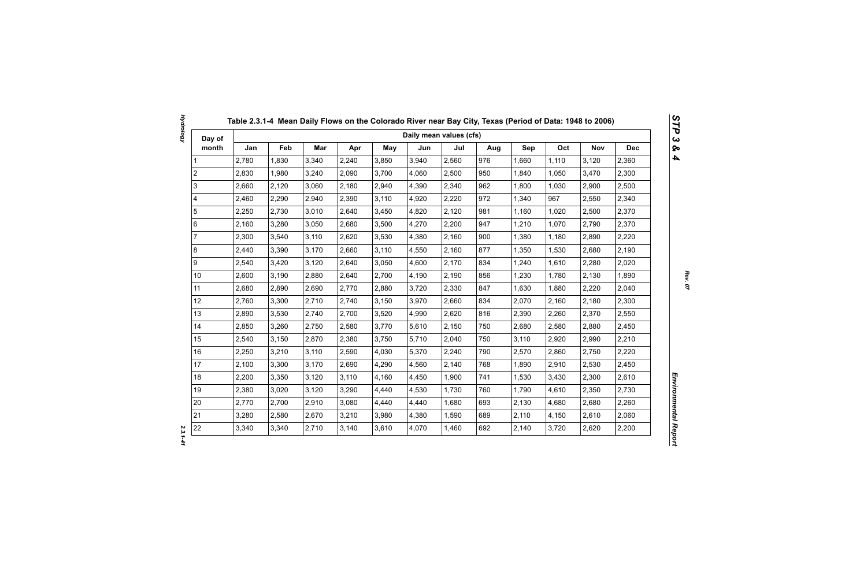| Day of                  |       |       |       |       |            | Daily mean values (cfs) |       |     |       |       |            |            |
|-------------------------|-------|-------|-------|-------|------------|-------------------------|-------|-----|-------|-------|------------|------------|
| month                   | Jan   | Feb   | Mar   | Apr   | <b>May</b> | Jun                     | Jul   | Aug | Sep   | Oct   | <b>Nov</b> | <b>Dec</b> |
| 1                       | 2,780 | 1,830 | 3,340 | 2,240 | 3,850      | 3,940                   | 2,560 | 976 | 1,660 | 1,110 | 3,120      | 2,360      |
| $\overline{2}$          | 2,830 | 1,980 | 3,240 | 2,090 | 3,700      | 4,060                   | 2,500 | 950 | 1,840 | 1,050 | 3,470      | 2,300      |
| 3                       | 2,660 | 2,120 | 3,060 | 2,180 | 2,940      | 4,390                   | 2,340 | 962 | 1,800 | 1,030 | 2,900      | 2,500      |
| $\overline{\mathbf{4}}$ | 2,460 | 2,290 | 2,940 | 2,390 | 3,110      | 4,920                   | 2,220 | 972 | 1,340 | 967   | 2,550      | 2,340      |
| $\sqrt{5}$              | 2,250 | 2,730 | 3,010 | 2,640 | 3,450      | 4,820                   | 2,120 | 981 | 1,160 | 1,020 | 2,500      | 2,370      |
| $\,6\,$                 | 2,160 | 3,280 | 3,050 | 2,680 | 3,500      | 4,270                   | 2,200 | 947 | 1,210 | 1,070 | 2,790      | 2,370      |
| $\overline{7}$          | 2,300 | 3,540 | 3,110 | 2,620 | 3,530      | 4,380                   | 2,160 | 900 | 1,380 | 1,180 | 2,890      | 2,220      |
| $\bf 8$                 | 2,440 | 3,390 | 3,170 | 2,660 | 3,110      | 4,550                   | 2,160 | 877 | 1,350 | 1,530 | 2,680      | 2,190      |
| $\boldsymbol{9}$        | 2,540 | 3,420 | 3,120 | 2,640 | 3,050      | 4,600                   | 2,170 | 834 | 1,240 | 1,610 | 2,280      | 2,020      |
| 10 <sup>1</sup>         | 2,600 | 3,190 | 2,880 | 2,640 | 2,700      | 4,190                   | 2,190 | 856 | 1,230 | 1,780 | 2,130      | 1,890      |
| 11                      | 2,680 | 2,890 | 2,690 | 2,770 | 2,880      | 3,720                   | 2,330 | 847 | 1,630 | 1,880 | 2,220      | 2,040      |
| 12                      | 2,760 | 3,300 | 2,710 | 2,740 | 3,150      | 3,970                   | 2,660 | 834 | 2,070 | 2,160 | 2,180      | 2,300      |
| 13                      | 2,890 | 3,530 | 2,740 | 2,700 | 3,520      | 4,990                   | 2,620 | 816 | 2,390 | 2,260 | 2,370      | 2,550      |
| 14                      | 2,850 | 3,260 | 2,750 | 2,580 | 3,770      | 5,610                   | 2,150 | 750 | 2,680 | 2,580 | 2,880      | 2,450      |
| 15                      | 2,540 | 3,150 | 2,870 | 2,380 | 3,750      | 5,710                   | 2,040 | 750 | 3,110 | 2,920 | 2,990      | 2,210      |
| 16                      | 2,250 | 3,210 | 3,110 | 2,590 | 4,030      | 5,370                   | 2,240 | 790 | 2,570 | 2,860 | 2,750      | 2,220      |
| 17                      | 2,100 | 3,300 | 3,170 | 2,690 | 4,290      | 4,560                   | 2,140 | 768 | 1,890 | 2,910 | 2,530      | 2,450      |
| 18                      | 2,200 | 3,350 | 3,120 | 3,110 | 4,160      | 4,450                   | 1,900 | 741 | 1,530 | 3,430 | 2,300      | 2,610      |
| 19                      | 2,380 | 3,020 | 3,120 | 3,290 | 4,440      | 4,530                   | 1,730 | 760 | 1,790 | 4,610 | 2,350      | 2,730      |
| 20                      | 2,770 | 2,700 | 2,910 | 3,080 | 4,440      | 4,440                   | 1,680 | 693 | 2,130 | 4,680 | 2,680      | 2,260      |
| 21                      | 3,280 | 2,580 | 2,670 | 3,210 | 3,980      | 4,380                   | 1,590 | 689 | 2,110 | 4,150 | 2,610      | 2,060      |
| 22                      | 3,340 | 3,340 | 2,710 | 3,140 | 3,610      | 4,070                   | 1,460 | 692 | 2,140 | 3,720 | 2,620      | 2,200      |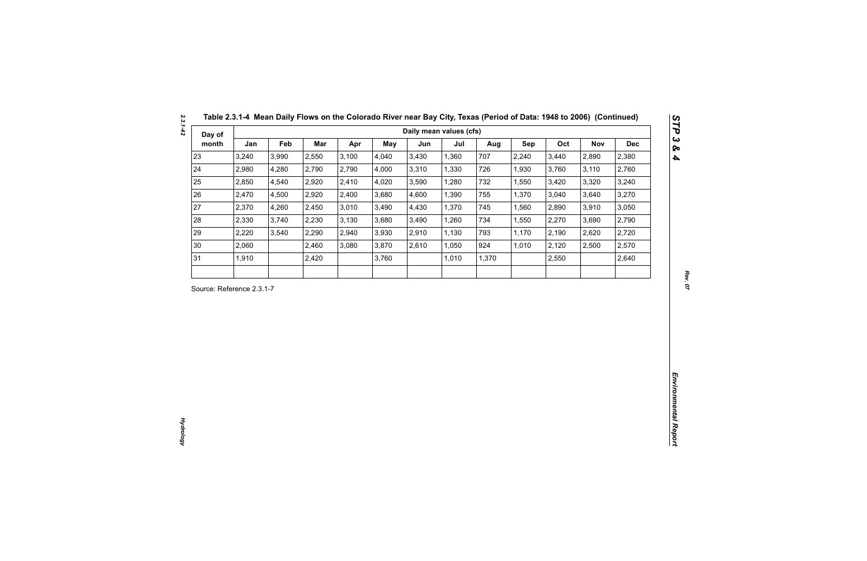| Day of<br>month<br>3,240<br>2,980<br>2,850<br>2,470<br>2,370<br>2,330<br>2,220<br>2,060<br>1,910 | Jan<br>Feb<br>3,990<br>4,280<br>4,540<br>4,500<br>4,260<br>3,740<br>3,540 | Mar<br>2,550<br>2,790<br>2,920<br>2,920<br>2,450<br>2,230<br>2,290<br>2,460<br>2,420 | Apr<br>3,100<br>2,790<br>2,410<br>2,400<br>3,010<br>3,130<br>2,940<br>3,080 | May<br>4,040<br>4,000<br>4,020<br>3,680<br>3,490<br>3,680<br>3,930 | Jun<br>3,430<br>3,310<br>3,590<br>4,600<br>4,430<br>3,490 | Jul<br>1,360<br>1,330<br>1,280<br>1,390<br>1,370<br>1,260 | Aug<br>707<br>726<br>732<br>755<br>745 | Sep<br>2,240<br>1,930<br>1,550<br>1,370<br>1,560 | Oct<br>3,440<br>3,760<br>3,420<br>3,040<br>2,890 | Nov<br>2,890<br>3,110<br>3,320<br>3,640 | <b>Dec</b><br>2,380<br>2,760<br>3,240<br>3,270 |
|--------------------------------------------------------------------------------------------------|---------------------------------------------------------------------------|--------------------------------------------------------------------------------------|-----------------------------------------------------------------------------|--------------------------------------------------------------------|-----------------------------------------------------------|-----------------------------------------------------------|----------------------------------------|--------------------------------------------------|--------------------------------------------------|-----------------------------------------|------------------------------------------------|
| 23<br>24<br>25<br>26<br>27<br>28<br>29<br>30<br>31<br>Source: Reference 2.3.1-7                  |                                                                           |                                                                                      |                                                                             |                                                                    |                                                           |                                                           |                                        |                                                  |                                                  |                                         |                                                |
|                                                                                                  |                                                                           |                                                                                      |                                                                             |                                                                    |                                                           |                                                           |                                        |                                                  |                                                  |                                         |                                                |
|                                                                                                  |                                                                           |                                                                                      |                                                                             |                                                                    |                                                           |                                                           |                                        |                                                  |                                                  |                                         |                                                |
|                                                                                                  |                                                                           |                                                                                      |                                                                             |                                                                    |                                                           |                                                           |                                        |                                                  |                                                  |                                         |                                                |
|                                                                                                  |                                                                           |                                                                                      |                                                                             |                                                                    |                                                           |                                                           |                                        |                                                  |                                                  |                                         |                                                |
|                                                                                                  |                                                                           |                                                                                      |                                                                             |                                                                    |                                                           |                                                           |                                        |                                                  |                                                  | 3,910                                   | 3,050                                          |
|                                                                                                  |                                                                           |                                                                                      |                                                                             |                                                                    |                                                           |                                                           | 734                                    | 1,550                                            | 2,270                                            | 3,690                                   | 2,790                                          |
|                                                                                                  |                                                                           |                                                                                      |                                                                             |                                                                    | 2,910                                                     | 1,130                                                     | 793                                    | 1,170                                            | 2,190                                            | 2,620                                   | 2,720                                          |
|                                                                                                  |                                                                           |                                                                                      |                                                                             | 3,870                                                              | 2,610                                                     | 1,050                                                     | 924                                    | 1,010                                            | 2,120                                            | 2,500                                   | 2,570                                          |
|                                                                                                  |                                                                           |                                                                                      |                                                                             | 3,760                                                              |                                                           | 1,010                                                     | 1,370                                  |                                                  | 2,550                                            |                                         | 2,640                                          |
|                                                                                                  |                                                                           |                                                                                      |                                                                             |                                                                    |                                                           |                                                           |                                        |                                                  |                                                  |                                         |                                                |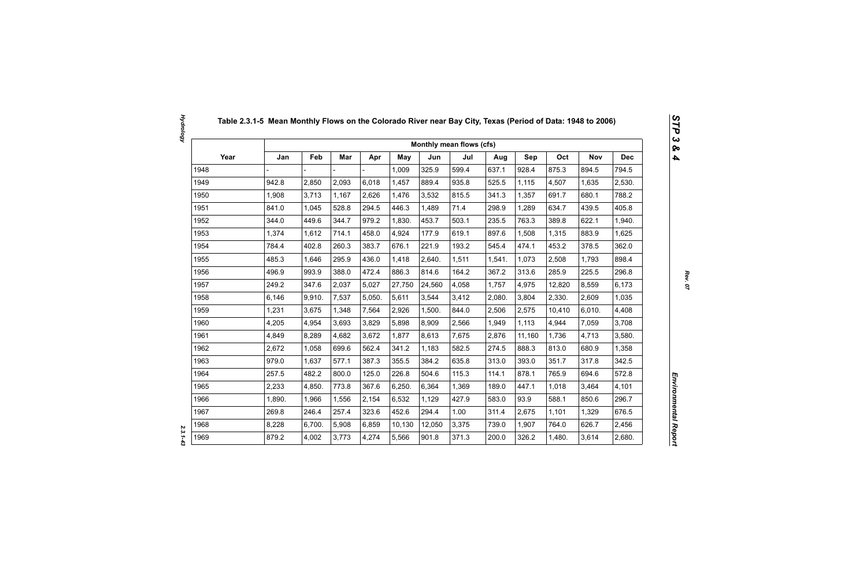|      |        |        |       |        |            |        | Monthly mean flows (cfs) |        |            |        |            |            |
|------|--------|--------|-------|--------|------------|--------|--------------------------|--------|------------|--------|------------|------------|
| Year | Jan    | Feb    | Mar   | Apr    | <b>May</b> | Jun    | Jul                      | Aug    | <b>Sep</b> | Oct    | <b>Nov</b> | <b>Dec</b> |
| 1948 |        |        |       |        | 1,009      | 325.9  | 599.4                    | 637.1  | 928.4      | 875.3  | 894.5      | 794.5      |
| 1949 | 942.8  | 2,850  | 2,093 | 6,018  | 1,457      | 889.4  | 935.8                    | 525.5  | 1,115      | 4,507  | 1,635      | 2,530.     |
| 1950 | 1,908  | 3,713  | 1,167 | 2,626  | 1,476      | 3,532  | 815.5                    | 341.3  | 1,357      | 691.7  | 680.1      | 788.2      |
| 1951 | 841.0  | 1,045  | 528.8 | 294.5  | 446.3      | 1,489  | 71.4                     | 298.9  | 1,289      | 634.7  | 439.5      | 405.8      |
| 1952 | 344.0  | 449.6  | 344.7 | 979.2  | 1,830.     | 453.7  | 503.1                    | 235.5  | 763.3      | 389.8  | 622.1      | 1,940.     |
| 1953 | 1,374  | 1,612  | 714.1 | 458.0  | 4,924      | 177.9  | 619.1                    | 897.6  | 1,508      | 1,315  | 883.9      | 1,625      |
| 1954 | 784.4  | 402.8  | 260.3 | 383.7  | 676.1      | 221.9  | 193.2                    | 545.4  | 474.1      | 453.2  | 378.5      | 362.0      |
| 1955 | 485.3  | 1,646  | 295.9 | 436.0  | 1,418      | 2,640. | 1,511                    | 1,541. | 1,073      | 2,508  | 1,793      | 898.4      |
| 1956 | 496.9  | 993.9  | 388.0 | 472.4  | 886.3      | 814.6  | 164.2                    | 367.2  | 313.6      | 285.9  | 225.5      | 296.8      |
| 1957 | 249.2  | 347.6  | 2,037 | 5,027  | 27,750     | 24,560 | 4,058                    | 1,757  | 4,975      | 12,820 | 8,559      | 6,173      |
| 1958 | 6,146  | 9,910. | 7,537 | 5,050. | 5,611      | 3,544  | 3,412                    | 2,080. | 3,804      | 2,330. | 2,609      | 1,035      |
| 1959 | 1,231  | 3,675  | 1,348 | 7,564  | 2,926      | 1,500. | 844.0                    | 2,506  | 2,575      | 10,410 | 6,010.     | 4,408      |
| 1960 | 4,205  | 4,954  | 3,693 | 3,829  | 5,898      | 8,909  | 2,566                    | 1,949  | 1,113      | 4,944  | 7,059      | 3,708      |
| 1961 | 4,849  | 8,289  | 4,682 | 3,672  | 1,877      | 8,613  | 7,675                    | 2,876  | 11,160     | 1,736  | 4,713      | 3,580.     |
| 1962 | 2,672  | 1,058  | 699.6 | 562.4  | 341.2      | 1,183  | 582.5                    | 274.5  | 888.3      | 813.0  | 680.9      | 1,358      |
| 1963 | 979.0  | 1,637  | 577.1 | 387.3  | 355.5      | 384.2  | 635.8                    | 313.0  | 393.0      | 351.7  | 317.8      | 342.5      |
| 1964 | 257.5  | 482.2  | 800.0 | 125.0  | 226.8      | 504.6  | 115.3                    | 114.1  | 878.1      | 765.9  | 694.6      | 572.8      |
| 1965 | 2,233  | 4,850. | 773.8 | 367.6  | 6,250.     | 6,364  | 1,369                    | 189.0  | 447.1      | 1,018  | 3,464      | 4,101      |
| 1966 | 1,890. | 1,966  | 1,556 | 2,154  | 6,532      | 1,129  | 427.9                    | 583.0  | 93.9       | 588.1  | 850.6      | 296.7      |
| 1967 | 269.8  | 246.4  | 257.4 | 323.6  | 452.6      | 294.4  | 1.00                     | 311.4  | 2,675      | 1,101  | 1,329      | 676.5      |
| 1968 | 8,228  | 6,700. | 5,908 | 6,859  | 10,130     | 12,050 | 3,375                    | 739.0  | 1,907      | 764.0  | 626.7      | 2,456      |
| 1969 | 879.2  | 4,002  | 3,773 | 4,274  | 5,566      | 901.8  | 371.3                    | 200.0  | 326.2      | 1,480. | 3,614      | 2,680.     |

 $2.3.1 - 4.3$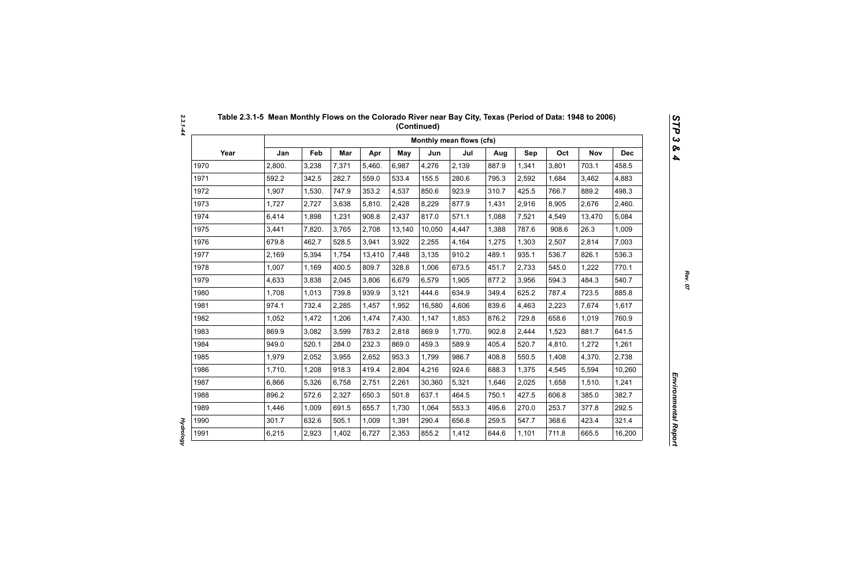|      |        |        |       |        |            |        | Monthly mean flows (cfs) |       |       |        |            |            |
|------|--------|--------|-------|--------|------------|--------|--------------------------|-------|-------|--------|------------|------------|
| Year | Jan    | Feb    | Mar   | Apr    | <b>May</b> | Jun    | Jul                      | Aug   | Sep   | Oct    | <b>Nov</b> | <b>Dec</b> |
| 1970 | 2,800. | 3,238  | 7,371 | 5,460. | 6,987      | 4,276  | 2,139                    | 887.9 | 1,341 | 3,801  | 703.1      | 458.5      |
| 1971 | 592.2  | 342.5  | 282.7 | 559.0  | 533.4      | 155.5  | 280.6                    | 795.3 | 2,592 | 1,684  | 3,462      | 4,883      |
| 1972 | 1,907  | 1,530. | 747.9 | 353.2  | 4,537      | 850.6  | 923.9                    | 310.7 | 425.5 | 766.7  | 889.2      | 498.3      |
| 1973 | 1,727  | 2,727  | 3,638 | 5,810. | 2,428      | 8,229  | 877.9                    | 1,431 | 2,916 | 8,905  | 2,676      | 2,460.     |
| 1974 | 6,414  | 1,898  | 1,231 | 908.8  | 2,437      | 817.0  | 571.1                    | 1,088 | 7,521 | 4,549  | 13,470     | 5,084      |
| 1975 | 3,441  | 7,820. | 3,765 | 2,708  | 13,140     | 10,050 | 4,447                    | 1,388 | 787.6 | 908.6  | 26.3       | 1,009      |
| 1976 | 679.8  | 462.7  | 528.5 | 3,941  | 3,922      | 2,255  | 4,164                    | 1,275 | 1,303 | 2,507  | 2,814      | 7,003      |
| 1977 | 2,169  | 5,394  | 1,754 | 13,410 | 7,448      | 3,135  | 910.2                    | 489.1 | 935.1 | 536.7  | 826.1      | 536.3      |
| 1978 | 1,007  | 1,169  | 400.5 | 809.7  | 328.8      | 1,006  | 673.5                    | 451.7 | 2,733 | 545.0  | 1,222      | 770.1      |
| 1979 | 4,633  | 3,838  | 2,045 | 3,806  | 6,679      | 6,579  | 1,905                    | 877.2 | 3,956 | 594.3  | 484.3      | 540.7      |
| 1980 | 1,708  | 1,013  | 739.8 | 939.9  | 3,121      | 444.6  | 634.9                    | 349.4 | 625.2 | 787.4  | 723.5      | 885.8      |
| 1981 | 974.1  | 732.4  | 2,285 | 1,457  | 1,952      | 16,580 | 4,606                    | 839.6 | 4,463 | 2,223  | 7,674      | 1,617      |
| 1982 | 1,052  | 1,472  | 1,206 | 1,474  | 7,430.     | 1,147  | 1,853                    | 876.2 | 729.8 | 658.6  | 1,019      | 760.9      |
| 1983 | 869.9  | 3,082  | 3,599 | 783.2  | 2,818      | 869.9  | 1,770.                   | 902.8 | 2,444 | 1,523  | 881.7      | 641.5      |
| 1984 | 949.0  | 520.1  | 284.0 | 232.3  | 869.0      | 459.3  | 589.9                    | 405.4 | 520.7 | 4,810. | 1,272      | 1,261      |
| 1985 | 1,979  | 2,052  | 3,955 | 2,652  | 953.3      | 1,799  | 986.7                    | 408.8 | 550.5 | 1,408  | 4,370.     | 2,738      |
| 1986 | 1,710. | 1,208  | 918.3 | 419.4  | 2,804      | 4,216  | 924.6                    | 688.3 | 1,375 | 4,545  | 5,594      | 10,260     |
| 1987 | 6,866  | 5,326  | 6,758 | 2,751  | 2,261      | 30,360 | 5,321                    | 1,646 | 2,025 | 1,658  | 1,510.     | 1,241      |
| 1988 | 896.2  | 572.6  | 2,327 | 650.3  | 501.8      | 637.1  | 464.5                    | 750.1 | 427.5 | 606.8  | 385.0      | 382.7      |
| 1989 | 1,446  | 1,009  | 691.5 | 655.7  | 1,730      | 1,064  | 553.3                    | 495.6 | 270.0 | 253.7  | 377.8      | 292.5      |
| 1990 | 301.7  | 632.6  | 505.1 | 1,009  | 1,391      | 290.4  | 656.8                    | 259.5 | 547.7 | 368.6  | 423.4      | 321.4      |
| 1991 | 6,215  | 2,923  | 1,402 | 6,727  | 2,353      | 855.2  | 1,412                    | 644.6 | 1,101 | 711.8  | 665.5      | 16,200     |

**Hydrology** *Hydrology*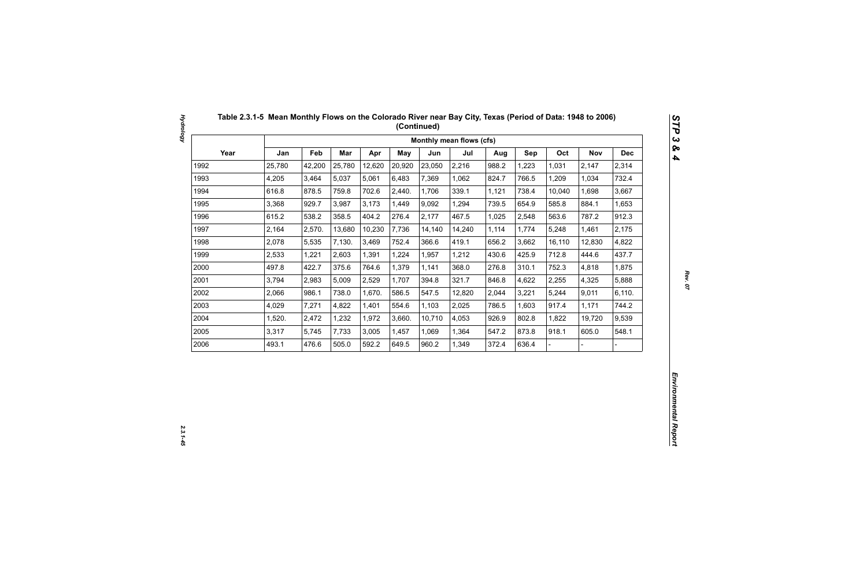|      |        |        |            |        |        |        | Monthly mean flows (cfs) |       |       |        |            |            |
|------|--------|--------|------------|--------|--------|--------|--------------------------|-------|-------|--------|------------|------------|
| Year | Jan    | Feb    | <b>Mar</b> | Apr    | May    | Jun    | Jul                      | Aug   | Sep   | Oct    | <b>Nov</b> | <b>Dec</b> |
| 1992 | 25,780 | 42,200 | 25,780     | 12,620 | 20,920 | 23,050 | 2,216                    | 988.2 | 1,223 | 1,031  | 2,147      | 2,314      |
| 1993 | 4,205  | 3,464  | 5,037      | 5,061  | 6,483  | 7,369  | 1,062                    | 824.7 | 766.5 | 1,209  | 1,034      | 732.4      |
| 1994 | 616.8  | 878.5  | 759.8      | 702.6  | 2,440. | 1,706  | 339.1                    | 1,121 | 738.4 | 10,040 | 1,698      | 3,667      |
| 1995 | 3,368  | 929.7  | 3,987      | 3,173  | 1,449  | 9,092  | 1,294                    | 739.5 | 654.9 | 585.8  | 884.1      | 1,653      |
| 1996 | 615.2  | 538.2  | 358.5      | 404.2  | 276.4  | 2,177  | 467.5                    | 1,025 | 2,548 | 563.6  | 787.2      | 912.3      |
| 1997 | 2,164  | 2,570. | 13,680     | 10,230 | 7,736  | 14,140 | 14,240                   | 1,114 | 1,774 | 5,248  | 1,461      | 2,175      |
| 1998 | 2,078  | 5,535  | 7,130.     | 3,469  | 752.4  | 366.6  | 419.1                    | 656.2 | 3,662 | 16,110 | 12,830     | 4,822      |
| 1999 | 2,533  | 1,221  | 2,603      | 1,391  | 1,224  | 1,957  | 1,212                    | 430.6 | 425.9 | 712.8  | 444.6      | 437.7      |
| 2000 | 497.8  | 422.7  | 375.6      | 764.6  | 1,379  | 1,141  | 368.0                    | 276.8 | 310.1 | 752.3  | 4,818      | 1,875      |
| 2001 | 3,794  | 2,983  | 5,009      | 2,529  | 1,707  | 394.8  | 321.7                    | 846.8 | 4,622 | 2,255  | 4,325      | 5,888      |
| 2002 | 2,066  | 986.1  | 738.0      | 1,670. | 586.5  | 547.5  | 12,820                   | 2,044 | 3,221 | 5,244  | 9,011      | 6,110.     |
| 2003 | 4,029  | 7,271  | 4,822      | 1,401  | 554.6  | 1,103  | 2,025                    | 786.5 | 1,603 | 917.4  | 1,171      | 744.2      |
| 2004 | 1,520. | 2,472  | 1,232      | 1,972  | 3,660. | 10,710 | 4,053                    | 926.9 | 802.8 | 1,822  | 19,720     | 9,539      |
| 2005 | 3,317  | 5,745  | 7,733      | 3,005  | 1,457  | 1,069  | 1,364                    | 547.2 | 873.8 | 918.1  | 605.0      | 548.1      |
| 2006 | 493.1  | 476.6  | 505.0      | 592.2  | 649.5  | 960.2  | 1,349                    | 372.4 | 636.4 |        |            |            |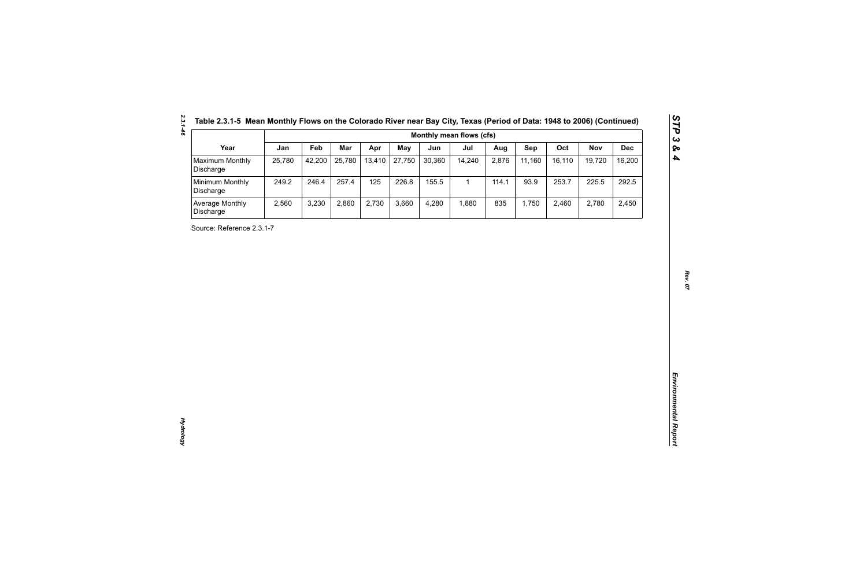| Table 2.3.1-5 Mean Monthly Flows on the Colorado River near Bay City, Texas (Period of Data: 1948 to 2006) (Continue |  |  |
|----------------------------------------------------------------------------------------------------------------------|--|--|
|----------------------------------------------------------------------------------------------------------------------|--|--|

| Year<br>Maximum Monthly<br>Discharge<br>Minimum Monthly<br>Discharge<br>Average Monthly<br>Discharge<br>Source: Reference 2.3.1-7 | Jan<br>25,780<br>249.2<br>2,560 | Feb<br>42,200<br>246.4<br>3,230 | Mar<br>25,780<br>257.4<br>2,860 | Apr<br>13,410<br>125<br>2,730 | <b>May</b><br>27,750<br>226.8<br>3,660 | Jun<br>30,360<br>155.5<br>4,280 | Jul<br>14,240<br>$\mathbf{1}$<br>1,880 | Aug<br>2,876<br>114.1<br>835 | Sep<br>11,160<br>93.9<br>1,750 | Oct<br>16,110<br>253.7<br>2,460 | <b>Nov</b><br>19,720<br>225.5<br>2,780 | <b>Dec</b><br>16,200<br>292.5<br>2,450 |
|-----------------------------------------------------------------------------------------------------------------------------------|---------------------------------|---------------------------------|---------------------------------|-------------------------------|----------------------------------------|---------------------------------|----------------------------------------|------------------------------|--------------------------------|---------------------------------|----------------------------------------|----------------------------------------|
|                                                                                                                                   |                                 |                                 |                                 |                               |                                        |                                 |                                        |                              |                                |                                 |                                        |                                        |
|                                                                                                                                   |                                 |                                 |                                 |                               |                                        |                                 |                                        |                              |                                |                                 |                                        |                                        |
|                                                                                                                                   |                                 |                                 |                                 |                               |                                        |                                 |                                        |                              |                                |                                 |                                        |                                        |
|                                                                                                                                   |                                 |                                 |                                 |                               |                                        |                                 |                                        |                              |                                |                                 |                                        |                                        |
|                                                                                                                                   |                                 |                                 |                                 |                               |                                        |                                 |                                        |                              |                                |                                 |                                        |                                        |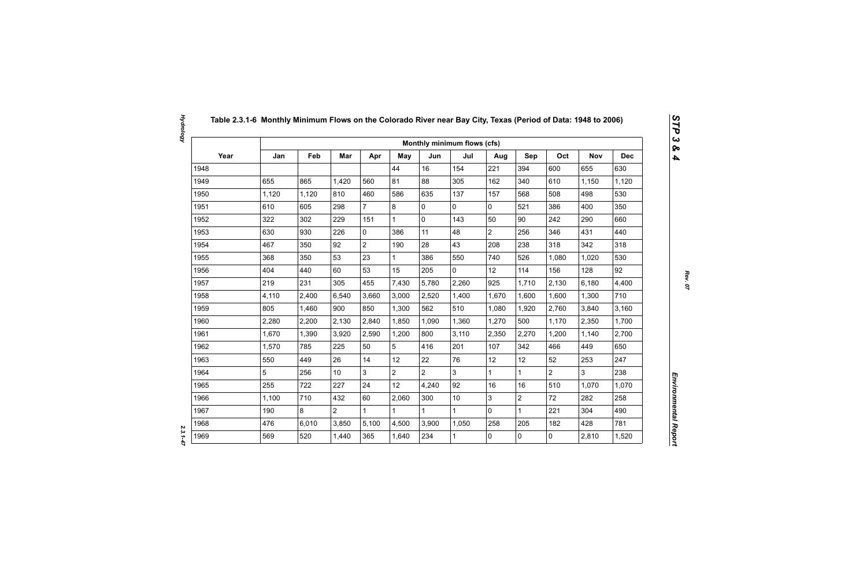|      |       |       |                 |                |                |                | Monthly minimum flows (cfs) |                |                |                |                |            |
|------|-------|-------|-----------------|----------------|----------------|----------------|-----------------------------|----------------|----------------|----------------|----------------|------------|
| Year | Jan   | Feb   | Mar             | Apr            | May            | Jun            | Jul                         | Aug            | Sep            | Oct            | <b>Nov</b>     | <b>Dec</b> |
| 1948 |       |       |                 |                | 44             | 16             | 154                         | 221            | 394            | 600            | 655            | 630        |
| 1949 | 655   | 865   | 1,420           | 560            | 81             | 88             | 305                         | 162            | 340            | 610            | 1,150          | 1,120      |
| 1950 | 1,120 | 1,120 | 810             | 460            | 586            | 635            | 137                         | 157            | 568            | 508            | 498            | 530        |
| 1951 | 610   | 605   | 298             | $\overline{7}$ | 8              | $\mathbf 0$    | 0                           | $\mathbf 0$    | 521            | 386            | 400            | 350        |
| 1952 | 322   | 302   | 229             | 151            | $\mathbf{1}$   | $\mathbf 0$    | 143                         | 50             | 90             | 242            | 290            | 660        |
| 1953 | 630   | 930   | 226             | $\mathbf 0$    | 386            | 11             | 48                          | $\overline{2}$ | 256            | 346            | 431            | 440        |
| 1954 | 467   | 350   | 92              | $\overline{2}$ | 190            | 28             | 43                          | 208            | 238            | 318            | 342            | 318        |
| 1955 | 368   | 350   | 53              | 23             | $\mathbf{1}$   | 386            | 550                         | 740            | 526            | 1,080          | 1,020          | 530        |
| 1956 | 404   | 440   | 60              | 53             | 15             | 205            | $\overline{0}$              | 12             | 114            | 156            | 128            | 92         |
| 1957 | 219   | 231   | 305             | 455            | 7,430          | 5,780          | 2,260                       | 925            | 1,710          | 2,130          | 6,180          | 4,400      |
| 1958 | 4,110 | 2,400 | 6,540           | 3,660          | 3,000          | 2,520          | 1,400                       | 1,670          | 1,600          | 1,600          | 1,300          | 710        |
| 1959 | 805   | 1,460 | 900             | 850            | 1,300          | 562            | 510                         | 1,080          | 1,920          | 2,760          | 3,840          | 3,160      |
| 1960 | 2,280 | 2,200 | 2,130           | 2,840          | 1,850          | 1,090          | 1,360                       | 1,270          | 500            | 1,170          | 2,350          | 1,700      |
| 1961 | 1,670 | 1,390 | 3,920           | 2,590          | 1,200          | 800            | 3,110                       | 2,350          | 2,270          | 1,200          | 1,140          | 2,700      |
| 1962 | 1,570 | 785   | 225             | 50             | 5              | 416            | 201                         | 107            | 342            | 466            | 449            | 650        |
| 1963 | 550   | 449   | 26              | 14             | 12             | 22             | 76                          | 12             | 12             | 52             | 253            | 247        |
| 1964 | 5     | 256   | 10 <sup>°</sup> | $\overline{3}$ | $\overline{2}$ | $\overline{2}$ | $\overline{3}$              | $\mathbf{1}$   | $\mathbf{1}$   | $\overline{2}$ | $\overline{3}$ | 238        |
| 1965 | 255   | 722   | 227             | 24             | 12             | 4,240          | 92                          | 16             | 16             | 510            | 1,070          | 1,070      |
| 1966 | 1,100 | 710   | 432             | 60             | 2,060          | 300            | 10                          | 3              | $\overline{2}$ | 72             | 282            | 258        |
| 1967 | 190   | 8     | $\overline{2}$  | $\mathbf 1$    | $\mathbf{1}$   |                | $\mathbf{1}$                | $\mathbf 0$    | $\mathbf{1}$   | 221            | 304            | 490        |
| 1968 | 476   | 6,010 | 3,850           | 5,100          | 4,500          | 3,900          | 1,050                       | 258            | 205            | 182            | 428            | 781        |
| 1969 | 569   | 520   | 1,440           | 365            | 1,640          | 234            | $\mathbf{1}$                | 0              | $\mathbf 0$    | $\mathbf 0$    | 2,810          | 1,520      |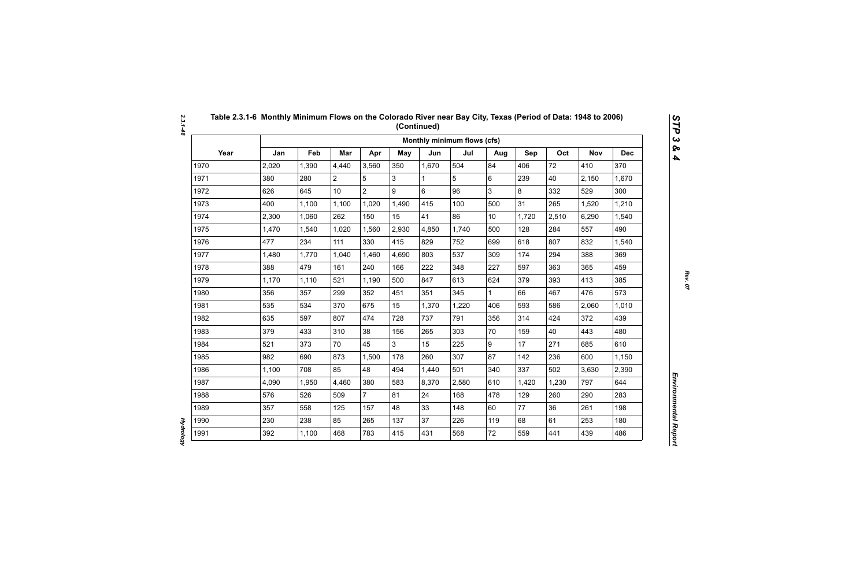|      |       |       |                |                |       |       | Monthly minimum flows (cfs) |              |       |       |            |            |
|------|-------|-------|----------------|----------------|-------|-------|-----------------------------|--------------|-------|-------|------------|------------|
| Year | Jan   | Feb   | Mar            | Apr            | May   | Jun   | Jul                         | Aug          | Sep   | Oct   | <b>Nov</b> | <b>Dec</b> |
| 1970 | 2,020 | 1,390 | 4,440          | 3,560          | 350   | 1,670 | 504                         | 84           | 406   | 72    | 410        | 370        |
| 1971 | 380   | 280   | $\overline{2}$ | 5              | 3     |       | 5                           | 6            | 239   | 40    | 2,150      | 1,670      |
| 1972 | 626   | 645   | 10             | $\overline{2}$ | 9     | 6     | 96                          | 3            | 8     | 332   | 529        | 300        |
| 1973 | 400   | 1,100 | 1,100          | 1,020          | 1,490 | 415   | 100                         | 500          | 31    | 265   | 1,520      | 1,210      |
| 1974 | 2,300 | 1,060 | 262            | 150            | 15    | 41    | 86                          | 10           | 1,720 | 2,510 | 6,290      | 1,540      |
| 1975 | 1,470 | 1,540 | 1,020          | 1,560          | 2,930 | 4,850 | 1,740                       | 500          | 128   | 284   | 557        | 490        |
| 1976 | 477   | 234   | 111            | 330            | 415   | 829   | 752                         | 699          | 618   | 807   | 832        | 1,540      |
| 1977 | 1,480 | 1,770 | 1,040          | 1,460          | 4,690 | 803   | 537                         | 309          | 174   | 294   | 388        | 369        |
| 1978 | 388   | 479   | 161            | 240            | 166   | 222   | 348                         | 227          | 597   | 363   | 365        | 459        |
| 1979 | 1,170 | 1,110 | 521            | 1,190          | 500   | 847   | 613                         | 624          | 379   | 393   | 413        | 385        |
| 1980 | 356   | 357   | 299            | 352            | 451   | 351   | 345                         | $\mathbf{1}$ | 66    | 467   | 476        | 573        |
| 1981 | 535   | 534   | 370            | 675            | 15    | 1,370 | 1,220                       | 406          | 593   | 586   | 2,060      | 1,010      |
| 1982 | 635   | 597   | 807            | 474            | 728   | 737   | 791                         | 356          | 314   | 424   | 372        | 439        |
| 1983 | 379   | 433   | 310            | 38             | 156   | 265   | 303                         | 70           | 159   | 40    | 443        | 480        |
| 1984 | 521   | 373   | 70             | 45             | 3     | 15    | 225                         | 9            | 17    | 271   | 685        | 610        |
| 1985 | 982   | 690   | 873            | 1,500          | 178   | 260   | 307                         | 87           | 142   | 236   | 600        | 1,150      |
| 1986 | 1,100 | 708   | 85             | 48             | 494   | 1,440 | 501                         | 340          | 337   | 502   | 3,630      | 2,390      |
| 1987 | 4,090 | 1,950 | 4,460          | 380            | 583   | 8,370 | 2,580                       | 610          | 1,420 | 1,230 | 797        | 644        |
| 1988 | 576   | 526   | 509            | $\overline{7}$ | 81    | 24    | 168                         | 478          | 129   | 260   | 290        | 283        |
| 1989 | 357   | 558   | 125            | 157            | 48    | 33    | 148                         | 60           | 77    | 36    | 261        | 198        |
| 1990 | 230   | 238   | 85             | 265            | 137   | 37    | 226                         | 119          | 68    | 61    | 253        | 180        |
| 1991 | 392   | 1,100 | 468            | 783            | 415   | 431   | 568                         | 72           | 559   | 441   | 439        | 486        |

**Hydrology** *Hydrology*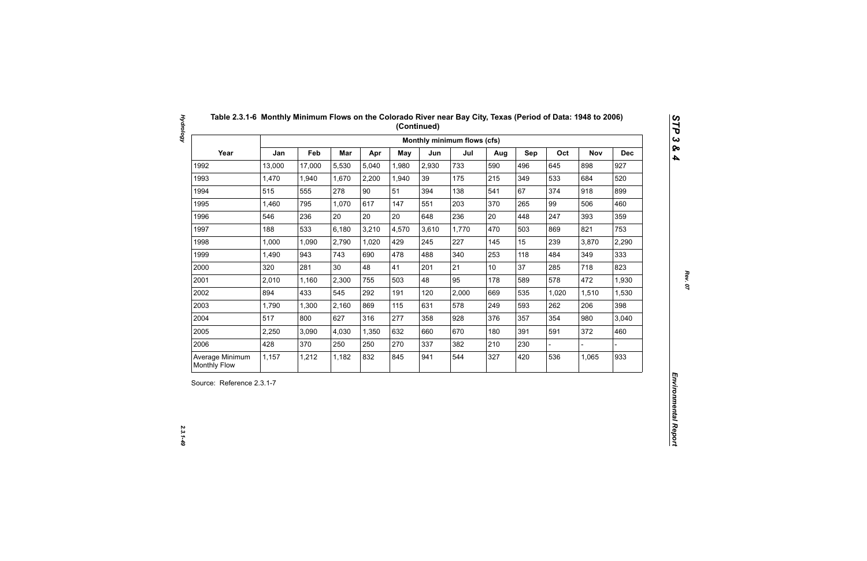| Year<br>Jan<br>Feb<br>Mar<br>Oct<br>Apr<br><b>May</b><br>Jun<br>Jul<br>Sep<br><b>Nov</b><br>Aug<br>13,000<br>5,530<br>5,040<br>2,930<br>733<br>496<br>898<br>1992<br>17,000<br>1,980<br>590<br>645<br>1993<br>1,470<br>2,200<br>39<br>175<br>215<br>349<br>533<br>684<br>1,940<br>1,670<br>1,940<br>90<br>67<br>1994<br>515<br>555<br>278<br>51<br>138<br>374<br>918<br>394<br>541<br>1995<br>1,460<br>795<br>1,070<br>617<br>203<br>265<br>99<br>506<br>147<br>551<br>370<br>20<br>20<br>20<br>236<br>20<br>393<br>1996<br>546<br>236<br>448<br>247<br>648<br>1997<br>188<br>533<br>6,180<br>3,210<br>4,570<br>3,610<br>1,770<br>503<br>821<br>470<br>869<br>2,790<br>1,020<br>227<br>15<br>239<br>1998<br>1,000<br>1,090<br>429<br>245<br>145<br>3,870<br>1999<br>1,490<br>943<br>743<br>690<br>478<br>488<br>340<br>253<br>118<br>349<br>484<br>21<br>37<br>2000<br>281<br>30<br>48<br>41<br>285<br>718<br>320<br>201<br>10 <sub>1</sub><br>2001<br>2,300<br>48<br>95<br>178<br>589<br>578<br>472<br>2,010<br>1,160<br>755<br>503<br>2002<br>894<br>433<br>545<br>292<br>2,000<br>535<br>191<br>120<br>669<br>1,020<br>1,510<br>2003<br>869<br>578<br>593<br>1,790<br>1,300<br>2,160<br>115<br>631<br>249<br>262<br>206<br>2004<br>517<br>277<br>354<br>980<br>800<br>627<br>316<br>928<br>357<br>358<br>376<br>2005<br>670<br>372<br>2,250<br>3,090<br>4,030<br>1,350<br>632<br>180<br>391<br>591<br>660<br>2006<br>428<br>370<br>250<br>250<br>270<br>337<br>382<br>210<br>230 |  |  |  | Monthly minimum flows (cfs) |  |  |            |
|-------------------------------------------------------------------------------------------------------------------------------------------------------------------------------------------------------------------------------------------------------------------------------------------------------------------------------------------------------------------------------------------------------------------------------------------------------------------------------------------------------------------------------------------------------------------------------------------------------------------------------------------------------------------------------------------------------------------------------------------------------------------------------------------------------------------------------------------------------------------------------------------------------------------------------------------------------------------------------------------------------------------------------------------------------------------------------------------------------------------------------------------------------------------------------------------------------------------------------------------------------------------------------------------------------------------------------------------------------------------------------------------------------------------------------------------------------------------------------------|--|--|--|-----------------------------|--|--|------------|
|                                                                                                                                                                                                                                                                                                                                                                                                                                                                                                                                                                                                                                                                                                                                                                                                                                                                                                                                                                                                                                                                                                                                                                                                                                                                                                                                                                                                                                                                                     |  |  |  |                             |  |  | <b>Dec</b> |
|                                                                                                                                                                                                                                                                                                                                                                                                                                                                                                                                                                                                                                                                                                                                                                                                                                                                                                                                                                                                                                                                                                                                                                                                                                                                                                                                                                                                                                                                                     |  |  |  |                             |  |  | 927        |
|                                                                                                                                                                                                                                                                                                                                                                                                                                                                                                                                                                                                                                                                                                                                                                                                                                                                                                                                                                                                                                                                                                                                                                                                                                                                                                                                                                                                                                                                                     |  |  |  |                             |  |  | 520        |
|                                                                                                                                                                                                                                                                                                                                                                                                                                                                                                                                                                                                                                                                                                                                                                                                                                                                                                                                                                                                                                                                                                                                                                                                                                                                                                                                                                                                                                                                                     |  |  |  |                             |  |  | 899        |
|                                                                                                                                                                                                                                                                                                                                                                                                                                                                                                                                                                                                                                                                                                                                                                                                                                                                                                                                                                                                                                                                                                                                                                                                                                                                                                                                                                                                                                                                                     |  |  |  |                             |  |  | 460        |
|                                                                                                                                                                                                                                                                                                                                                                                                                                                                                                                                                                                                                                                                                                                                                                                                                                                                                                                                                                                                                                                                                                                                                                                                                                                                                                                                                                                                                                                                                     |  |  |  |                             |  |  | 359        |
|                                                                                                                                                                                                                                                                                                                                                                                                                                                                                                                                                                                                                                                                                                                                                                                                                                                                                                                                                                                                                                                                                                                                                                                                                                                                                                                                                                                                                                                                                     |  |  |  |                             |  |  | 753        |
|                                                                                                                                                                                                                                                                                                                                                                                                                                                                                                                                                                                                                                                                                                                                                                                                                                                                                                                                                                                                                                                                                                                                                                                                                                                                                                                                                                                                                                                                                     |  |  |  |                             |  |  | 2,290      |
|                                                                                                                                                                                                                                                                                                                                                                                                                                                                                                                                                                                                                                                                                                                                                                                                                                                                                                                                                                                                                                                                                                                                                                                                                                                                                                                                                                                                                                                                                     |  |  |  |                             |  |  | 333        |
|                                                                                                                                                                                                                                                                                                                                                                                                                                                                                                                                                                                                                                                                                                                                                                                                                                                                                                                                                                                                                                                                                                                                                                                                                                                                                                                                                                                                                                                                                     |  |  |  |                             |  |  | 823        |
|                                                                                                                                                                                                                                                                                                                                                                                                                                                                                                                                                                                                                                                                                                                                                                                                                                                                                                                                                                                                                                                                                                                                                                                                                                                                                                                                                                                                                                                                                     |  |  |  |                             |  |  | 1,930      |
|                                                                                                                                                                                                                                                                                                                                                                                                                                                                                                                                                                                                                                                                                                                                                                                                                                                                                                                                                                                                                                                                                                                                                                                                                                                                                                                                                                                                                                                                                     |  |  |  |                             |  |  | 1,530      |
|                                                                                                                                                                                                                                                                                                                                                                                                                                                                                                                                                                                                                                                                                                                                                                                                                                                                                                                                                                                                                                                                                                                                                                                                                                                                                                                                                                                                                                                                                     |  |  |  |                             |  |  | 398        |
|                                                                                                                                                                                                                                                                                                                                                                                                                                                                                                                                                                                                                                                                                                                                                                                                                                                                                                                                                                                                                                                                                                                                                                                                                                                                                                                                                                                                                                                                                     |  |  |  |                             |  |  | 3,040      |
|                                                                                                                                                                                                                                                                                                                                                                                                                                                                                                                                                                                                                                                                                                                                                                                                                                                                                                                                                                                                                                                                                                                                                                                                                                                                                                                                                                                                                                                                                     |  |  |  |                             |  |  | 460        |
|                                                                                                                                                                                                                                                                                                                                                                                                                                                                                                                                                                                                                                                                                                                                                                                                                                                                                                                                                                                                                                                                                                                                                                                                                                                                                                                                                                                                                                                                                     |  |  |  |                             |  |  |            |
| 832<br>544<br>420<br>536<br>Average Minimum<br>1,157<br>1,212<br>1,182<br>845<br>327<br>1,065<br>941<br><b>Monthly Flow</b>                                                                                                                                                                                                                                                                                                                                                                                                                                                                                                                                                                                                                                                                                                                                                                                                                                                                                                                                                                                                                                                                                                                                                                                                                                                                                                                                                         |  |  |  |                             |  |  | 933        |

 $2.3.1 - 49$ 

*Hydrology 2.3.1-49*

**Hydrology**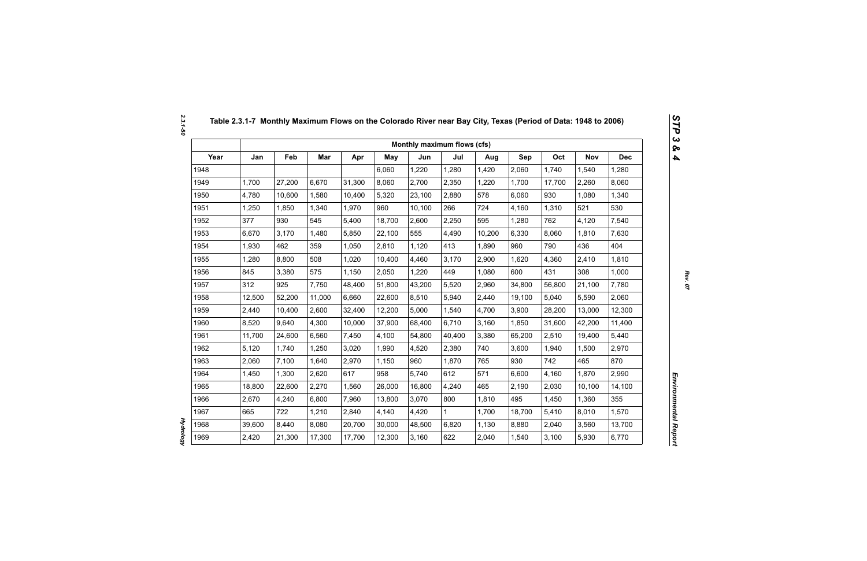|      |        |        |        |        |            | Monthly maximum flows (cfs) |        |        |        |        |            |            |
|------|--------|--------|--------|--------|------------|-----------------------------|--------|--------|--------|--------|------------|------------|
| Year | Jan    | Feb    | Mar    | Apr    | <b>May</b> | Jun                         | Jul    | Aug    | Sep    | Oct    | <b>Nov</b> | <b>Dec</b> |
| 1948 |        |        |        |        | 6,060      | 1,220                       | 1,280  | 1,420  | 2,060  | 1,740  | 1,540      | 1,280      |
| 1949 | 1,700  | 27,200 | 6,670  | 31,300 | 8,060      | 2,700                       | 2,350  | 1,220  | 1,700  | 17,700 | 2,260      | 8,060      |
| 1950 | 4,780  | 10,600 | 1,580  | 10,400 | 5,320      | 23,100                      | 2,880  | 578    | 6,060  | 930    | 1,080      | 1,340      |
| 1951 | 1,250  | 1,850  | 1,340  | 1,970  | 960        | 10,100                      | 266    | 724    | 4,160  | 1,310  | 521        | 530        |
| 1952 | 377    | 930    | 545    | 5,400  | 18,700     | 2,600                       | 2,250  | 595    | 1,280  | 762    | 4,120      | 7,540      |
| 1953 | 6,670  | 3,170  | 1,480  | 5,850  | 22,100     | 555                         | 4,490  | 10,200 | 6,330  | 8,060  | 1,810      | 7,630      |
| 1954 | 1,930  | 462    | 359    | 1,050  | 2,810      | 1,120                       | 413    | 1,890  | 960    | 790    | 436        | 404        |
| 1955 | 1,280  | 8,800  | 508    | 1,020  | 10,400     | 4,460                       | 3,170  | 2,900  | 1,620  | 4,360  | 2,410      | 1,810      |
| 1956 | 845    | 3,380  | 575    | 1,150  | 2,050      | 1,220                       | 449    | 1,080  | 600    | 431    | 308        | 1,000      |
| 1957 | 312    | 925    | 7,750  | 48,400 | 51,800     | 43,200                      | 5,520  | 2,960  | 34,800 | 56,800 | 21,100     | 7,780      |
| 1958 | 12,500 | 52,200 | 11,000 | 6,660  | 22,600     | 8,510                       | 5,940  | 2,440  | 19,100 | 5,040  | 5,590      | 2,060      |
| 1959 | 2,440  | 10,400 | 2,600  | 32,400 | 12,200     | 5,000                       | 1,540  | 4,700  | 3,900  | 28,200 | 13,000     | 12,300     |
| 1960 | 8,520  | 9,640  | 4,300  | 10,000 | 37,900     | 68,400                      | 6,710  | 3,160  | 1,850  | 31,600 | 42,200     | 11,400     |
| 1961 | 11,700 | 24,600 | 6,560  | 7,450  | 4,100      | 54,800                      | 40,400 | 3,380  | 65,200 | 2,510  | 19,400     | 5,440      |
| 1962 | 5,120  | 1,740  | 1,250  | 3,020  | 1,990      | 4,520                       | 2,380  | 740    | 3,600  | 1,940  | 1,500      | 2,970      |
| 1963 | 2,060  | 7,100  | 1,640  | 2,970  | 1,150      | 960                         | 1,870  | 765    | 930    | 742    | 465        | 870        |
| 1964 | 1,450  | 1,300  | 2,620  | 617    | 958        | 5,740                       | 612    | 571    | 6,600  | 4,160  | 1,870      | 2,990      |
| 1965 | 18,800 | 22,600 | 2,270  | 1,560  | 26,000     | 16,800                      | 4,240  | 465    | 2,190  | 2,030  | 10,100     | 14,100     |
| 1966 | 2,670  | 4,240  | 6,800  | 7,960  | 13,800     | 3,070                       | 800    | 1,810  | 495    | 1,450  | 1,360      | 355        |
| 1967 | 665    | 722    | 1,210  | 2,840  | 4,140      | 4,420                       | 1      | 1,700  | 18,700 | 5,410  | 8,010      | 1,570      |
| 1968 | 39,600 | 8,440  | 8,080  | 20,700 | 30,000     | 48,500                      | 6,820  | 1,130  | 8,880  | 2,040  | 3,560      | 13,700     |
| 1969 | 2,420  | 21,300 | 17,300 | 17,700 | 12,300     | 3,160                       | 622    | 2,040  | 1,540  | 3,100  | 5,930      | 6,770      |

*Hydrology* 

**Hydrology**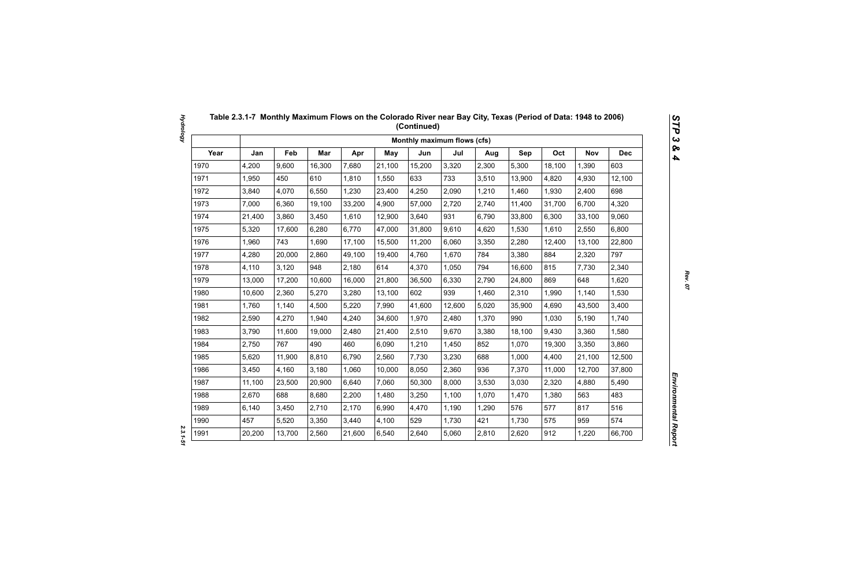|      |        |        |        |        |            | Monthly maximum flows (cfs) |        |       |        |        |            |            |
|------|--------|--------|--------|--------|------------|-----------------------------|--------|-------|--------|--------|------------|------------|
| Year | Jan    | Feb    | Mar    | Apr    | <b>May</b> | Jun                         | Jul    | Aug   | Sep    | Oct    | <b>Nov</b> | <b>Dec</b> |
| 1970 | 4,200  | 9,600  | 16,300 | 7,680  | 21,100     | 15,200                      | 3,320  | 2,300 | 5,300  | 18,100 | 1,390      | 603        |
| 1971 | 1,950  | 450    | 610    | 1,810  | 1,550      | 633                         | 733    | 3,510 | 13,900 | 4,820  | 4,930      | 12,100     |
| 1972 | 3,840  | 4,070  | 6,550  | 1,230  | 23,400     | 4,250                       | 2,090  | 1,210 | 1,460  | 1,930  | 2,400      | 698        |
| 1973 | 7,000  | 6,360  | 19,100 | 33,200 | 4,900      | 57,000                      | 2,720  | 2,740 | 11,400 | 31,700 | 6,700      | 4,320      |
| 1974 | 21,400 | 3,860  | 3,450  | 1,610  | 12,900     | 3,640                       | 931    | 6,790 | 33,800 | 6,300  | 33,100     | 9,060      |
| 1975 | 5,320  | 17,600 | 6,280  | 6,770  | 47,000     | 31,800                      | 9,610  | 4,620 | 1,530  | 1,610  | 2,550      | 6,800      |
| 1976 | 1,960  | 743    | 1,690  | 17,100 | 15,500     | 11,200                      | 6,060  | 3,350 | 2,280  | 12,400 | 13,100     | 22,800     |
| 1977 | 4,280  | 20,000 | 2,860  | 49,100 | 19,400     | 4,760                       | 1,670  | 784   | 3,380  | 884    | 2,320      | 797        |
| 1978 | 4,110  | 3,120  | 948    | 2,180  | 614        | 4,370                       | 1,050  | 794   | 16,600 | 815    | 7,730      | 2,340      |
| 1979 | 13,000 | 17,200 | 10,600 | 16,000 | 21,800     | 36,500                      | 6,330  | 2,790 | 24,800 | 869    | 648        | 1,620      |
| 1980 | 10,600 | 2,360  | 5,270  | 3,280  | 13,100     | 602                         | 939    | 1,460 | 2,310  | 1,990  | 1,140      | 1,530      |
| 1981 | 1,760  | 1,140  | 4,500  | 5,220  | 7,990      | 41,600                      | 12,600 | 5,020 | 35,900 | 4,690  | 43,500     | 3,400      |
| 1982 | 2,590  | 4,270  | 1,940  | 4,240  | 34,600     | 1,970                       | 2,480  | 1,370 | 990    | 1,030  | 5,190      | 1,740      |
| 1983 | 3,790  | 11,600 | 19,000 | 2,480  | 21,400     | 2,510                       | 9,670  | 3,380 | 18,100 | 9,430  | 3,360      | 1,580      |
| 1984 | 2,750  | 767    | 490    | 460    | 6,090      | 1,210                       | 1,450  | 852   | 1,070  | 19,300 | 3,350      | 3,860      |
| 1985 | 5,620  | 11,900 | 8,810  | 6,790  | 2,560      | 7,730                       | 3,230  | 688   | 1,000  | 4,400  | 21,100     | 12,500     |
| 1986 | 3,450  | 4,160  | 3,180  | 1,060  | 10,000     | 8,050                       | 2,360  | 936   | 7,370  | 11,000 | 12,700     | 37,800     |
| 1987 | 11,100 | 23,500 | 20,900 | 6,640  | 7,060      | 50,300                      | 8,000  | 3,530 | 3,030  | 2,320  | 4,880      | 5,490      |
| 1988 | 2,670  | 688    | 8,680  | 2,200  | 1,480      | 3,250                       | 1,100  | 1,070 | 1,470  | 1,380  | 563        | 483        |
| 1989 | 6,140  | 3,450  | 2,710  | 2,170  | 6,990      | 4,470                       | 1,190  | 1,290 | 576    | 577    | 817        | 516        |
| 1990 | 457    | 5,520  | 3,350  | 3,440  | 4,100      | 529                         | 1,730  | 421   | 1,730  | 575    | 959        | 574        |
| 1991 | 20,200 | 13,700 | 2,560  | 21,600 | 6,540      | 2,640                       | 5,060  | 2,810 | 2,620  | 912    | 1,220      | 66,700     |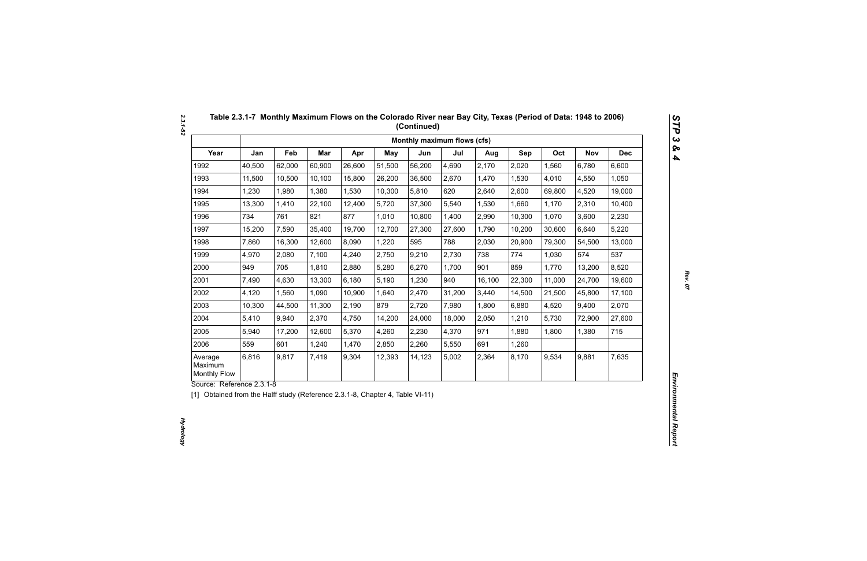|                                           |        |        |        |        |            | Monthly maximum flows (cfs) |        |        |        |        |            |            |
|-------------------------------------------|--------|--------|--------|--------|------------|-----------------------------|--------|--------|--------|--------|------------|------------|
| Year                                      | Jan    | Feb    | Mar    | Apr    | <b>May</b> | Jun                         | Jul    | Aug    | Sep    | Oct    | <b>Nov</b> | <b>Dec</b> |
| 1992                                      | 40,500 | 62,000 | 60,900 | 26,600 | 51,500     | 56,200                      | 4,690  | 2,170  | 2,020  | 1,560  | 6,780      | 6,600      |
| 1993                                      | 11,500 | 10,500 | 10,100 | 15,800 | 26,200     | 36,500                      | 2,670  | 1,470  | 1,530  | 4,010  | 4,550      | 1,050      |
| 1994                                      | 1,230  | 1,980  | 1,380  | 1,530  | 10,300     | 5,810                       | 620    | 2,640  | 2,600  | 69,800 | 4,520      | 19,000     |
| 1995                                      | 13,300 | 1,410  | 22,100 | 12,400 | 5,720      | 37,300                      | 5,540  | 1,530  | 1,660  | 1,170  | 2,310      | 10,400     |
| 1996                                      | 734    | 761    | 821    | 877    | 1,010      | 10,800                      | 1,400  | 2,990  | 10,300 | 1,070  | 3,600      | 2,230      |
| 1997                                      | 15,200 | 7,590  | 35,400 | 19,700 | 12,700     | 27,300                      | 27,600 | 1,790  | 10,200 | 30,600 | 6,640      | 5,220      |
| 1998                                      | 7,860  | 16,300 | 12,600 | 8,090  | 1,220      | 595                         | 788    | 2,030  | 20,900 | 79,300 | 54,500     | 13,000     |
| 1999                                      | 4,970  | 2,080  | 7,100  | 4,240  | 2,750      | 9,210                       | 2,730  | 738    | 774    | 1,030  | 574        | 537        |
| 2000                                      | 949    | 705    | 1,810  | 2,880  | 5,280      | 6,270                       | 1,700  | 901    | 859    | 1,770  | 13,200     | 8,520      |
| 2001                                      | 7,490  | 4,630  | 13,300 | 6,180  | 5,190      | 1,230                       | 940    | 16,100 | 22,300 | 11,000 | 24,700     | 19,600     |
| 2002                                      | 4,120  | 1,560  | 1,090  | 10,900 | 1,640      | 2,470                       | 31,200 | 3,440  | 14,500 | 21,500 | 45,800     | 17,100     |
| 2003                                      | 10,300 | 44,500 | 11,300 | 2,190  | 879        | 2,720                       | 7,980  | 1,800  | 6,880  | 4,520  | 9,400      | 2,070      |
| 2004                                      | 5,410  | 9,940  | 2,370  | 4,750  | 14,200     | 24,000                      | 18,000 | 2,050  | 1,210  | 5,730  | 72,900     | 27,600     |
| 2005                                      | 5,940  | 17,200 | 12,600 | 5,370  | 4,260      | 2,230                       | 4,370  | 971    | 1,880  | 1,800  | 1,380      | 715        |
| 2006                                      | 559    | 601    | 1,240  | 1,470  | 2,850      | 2,260                       | 5,550  | 691    | 1,260  |        |            |            |
| Average<br>Maximum<br><b>Monthly Flow</b> | 6,816  | 9,817  | 7,419  | 9,304  | 12,393     | 14,123                      | 5,002  | 2,364  | 8,170  | 9,534  | 9,881      | 7,635      |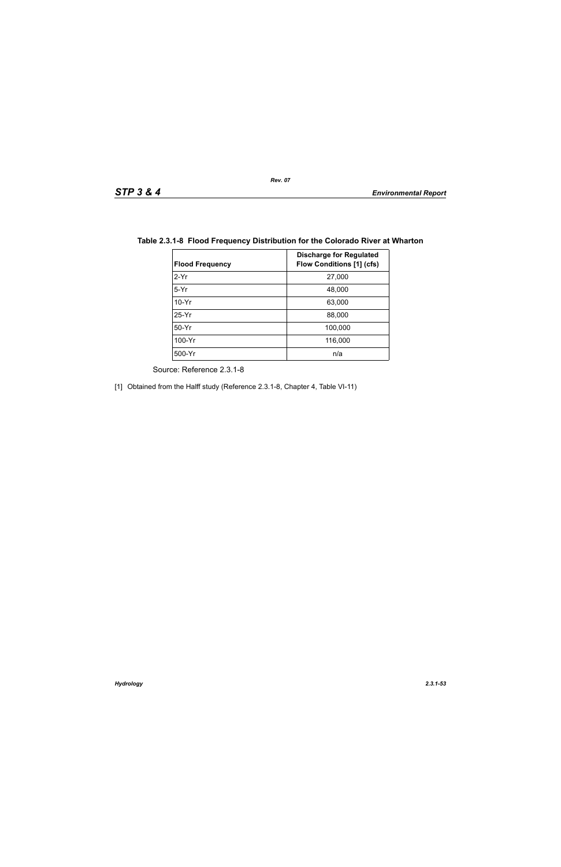| <b>Flood Frequency</b> | <b>Discharge for Regulated</b><br><b>Flow Conditions [1] (cfs)</b> |
|------------------------|--------------------------------------------------------------------|
| $2-Yr$                 | 27,000                                                             |
| $5-Yr$                 | 48,000                                                             |
| $10-Yr$                | 63,000                                                             |
| $25-Yr$                | 88,000                                                             |
| $50-Yr$                | 100,000                                                            |
| 100-Yr                 | 116,000                                                            |
| 500-Yr                 | n/a                                                                |

## **Table 2.3.1-8 Flood Frequency Distribution for the Colorado River at Wharton**

Source: Reference 2.3.1-8

[1] Obtained from the Halff study (Reference 2.3.1-8, Chapter 4, Table VI-11)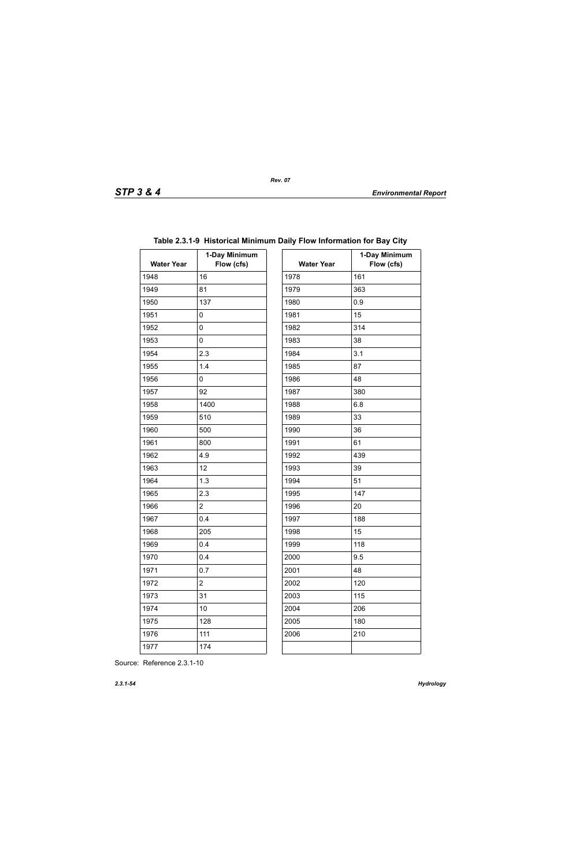| <b>Water Year</b> | 1-Day Minimum<br>Flow (cfs) | <b>Water Year</b> | $\ddagger$ |
|-------------------|-----------------------------|-------------------|------------|
| 1948              | 16                          | 1978              | 161        |
| 1949              | 81                          | 1979              | 363        |
| 1950              | 137                         | 1980              | 0.9        |
| 1951              | 0                           | 1981              | 15         |
| 1952              | 0                           | 1982              | 314        |
| 1953              | 0                           | 1983              | 38         |
| 1954              | 2.3                         | 1984              | 3.1        |
| 1955              | 1.4                         | 1985              | 87         |
| 1956              | 0                           | 1986              | 48         |
| 1957              | 92                          | 1987              | 380        |
| 1958              | 1400                        | 1988              | 6.8        |
| 1959              | 510                         | 1989              | 33         |
| 1960              | 500                         | 1990              | 36         |
| 1961              | 800                         | 1991              | 61         |
| 1962              | 4.9                         | 1992              | 439        |
| 1963              | 12                          | 1993              | 39         |
| 1964              | 1.3                         | 1994              | 51         |
| 1965              | 2.3                         | 1995              | 147        |
| 1966              | $\overline{2}$              | 1996              | 20         |
| 1967              | 0.4                         | 1997              | 188        |
| 1968              | 205                         | 1998              | 15         |
| 1969              | 0.4                         | 1999              | 118        |
| 1970              | 0.4                         | 2000              | 9.5        |
| 1971              | 0.7                         | 2001              | 48         |
| 1972              | $\overline{c}$              | 2002              | 120        |
| 1973              | 31                          | 2003              | 115        |
| 1974              | 10                          | 2004              | 206        |
| 1975              | 128                         | 2005              | 180        |
| 1976              | 111                         | 2006              | 210        |
| 1977              | 174                         |                   |            |

# **Table 2.3.1-9 Historical Minimum Daily Flow Information for Bay City**

| ay Minimum<br>Flow (cfs) | <b>Water Year</b> | 1-Day Minimum<br>Flow (cfs) |
|--------------------------|-------------------|-----------------------------|
|                          | 1978              | 161                         |
|                          | 1979              | 363                         |
|                          | 1980              | 0.9                         |
|                          | 1981              | 15                          |
|                          | 1982              | 314                         |
|                          | 1983              | 38                          |
|                          | 1984              | 3.1                         |
|                          | 1985              | 87                          |
|                          | 1986              | 48                          |
|                          | 1987              | 380                         |
|                          | 1988              | 6.8                         |
|                          | 1989              | 33                          |
|                          | 1990              | 36                          |
|                          | 1991              | 61                          |
|                          | 1992              | 439                         |
|                          | 1993              | 39                          |
|                          | 1994              | 51                          |
|                          | 1995              | 147                         |
|                          | 1996              | 20                          |
|                          | 1997              | 188                         |
|                          | 1998              | 15                          |
|                          | 1999              | 118                         |
|                          | 2000              | 9.5                         |
|                          | 2001              | 48                          |
|                          | 2002              | 120                         |
|                          | 2003              | 115                         |
|                          | 2004              | 206                         |
|                          | 2005              | 180                         |
|                          | 2006              | 210                         |
|                          |                   |                             |

Source: Reference 2.3.1-10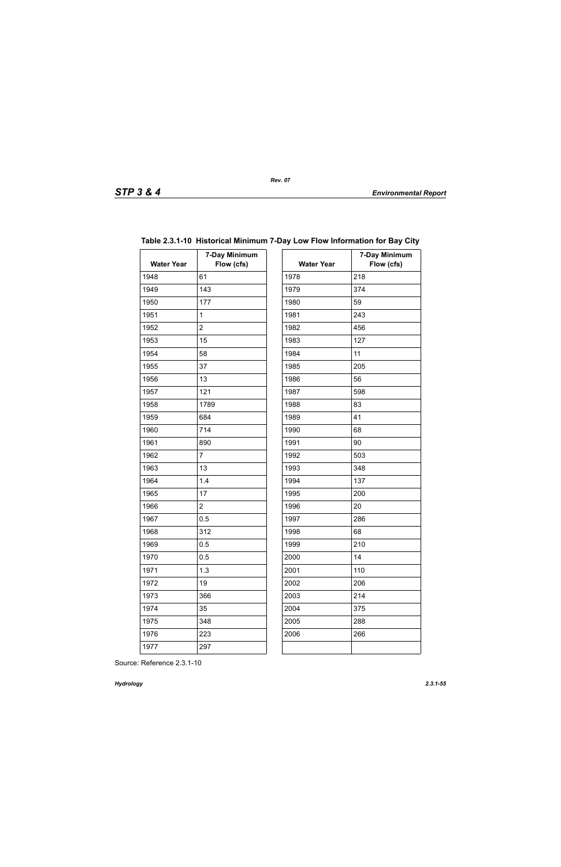| <b>Water Year</b> | 7-Day Minimum<br>Flow (cfs) | <b>Water Year</b> | 7.  |
|-------------------|-----------------------------|-------------------|-----|
| 1948              | 61                          | 1978              | 218 |
| 1949              | 143                         | 1979              | 374 |
| 1950              | 177                         | 1980              | 59  |
| 1951              | $\mathbf{1}$                | 1981              | 243 |
| 1952              | $\overline{2}$              | 1982              | 456 |
| 1953              | 15                          | 1983              | 127 |
| 1954              | 58                          | 1984              | 11  |
| 1955              | 37                          | 1985              | 205 |
| 1956              | 13                          | 1986              | 56  |
| 1957              | 121                         | 1987              | 598 |
| 1958              | 1789                        | 1988              | 83  |
| 1959              | 684                         | 1989              | 41  |
| 1960              | 714                         | 1990              | 68  |
| 1961              | 890                         | 1991              | 90  |
| 1962              | $\overline{7}$              | 1992              | 503 |
| 1963              | 13                          | 1993              | 348 |
| 1964              | 1.4                         | 1994              | 137 |
| 1965              | 17                          | 1995              | 200 |
| 1966              | $\overline{2}$              | 1996              | 20  |
| 1967              | 0.5                         | 1997              | 286 |
| 1968              | 312                         | 1998              | 68  |
| 1969              | 0.5                         | 1999              | 210 |
| 1970              | 0.5                         | 2000              | 14  |
| 1971              | 1.3                         | 2001              | 110 |
| 1972              | 19                          | 2002              | 206 |
| 1973              | 366                         | 2003              | 214 |
| 1974              | 35                          | 2004              | 375 |
| 1975              | 348                         | 2005              | 288 |
| 1976              | 223                         | 2006              | 266 |
| 1977              | 297                         |                   |     |
|                   |                             |                   |     |

## **Table 2.3.1-10 Historical Minimum 7-Day Low Flow Information for Bay City**

| ay Minimum<br>Flow (cfs) | <b>Water Year</b> | 7-Day Minimum<br>Flow (cfs) |
|--------------------------|-------------------|-----------------------------|
|                          | 1978              | 218                         |
|                          | 1979              | 374                         |
|                          | 1980              | 59                          |
|                          | 1981              | 243                         |
|                          | 1982              | 456                         |
|                          | 1983              | 127                         |
|                          | 1984              | 11                          |
|                          | 1985              | 205                         |
|                          | 1986              | 56                          |
|                          | 1987              | 598                         |
|                          | 1988              | 83                          |
|                          | 1989              | 41                          |
|                          | 1990              | 68                          |
|                          | 1991              | 90                          |
|                          | 1992              | 503                         |
|                          | 1993              | 348                         |
|                          | 1994              | 137                         |
|                          | 1995              | 200                         |
|                          | 1996              | 20                          |
|                          | 1997              | 286                         |
|                          | 1998              | 68                          |
|                          | 1999              | 210                         |
|                          | 2000              | 14                          |
|                          | 2001              | 110                         |
|                          | 2002              | 206                         |
|                          | 2003              | 214                         |
|                          | 2004              | 375                         |
|                          | 2005              | 288                         |
|                          | 2006              | 266                         |
|                          |                   |                             |
|                          |                   |                             |

Source: Reference 2.3.1-10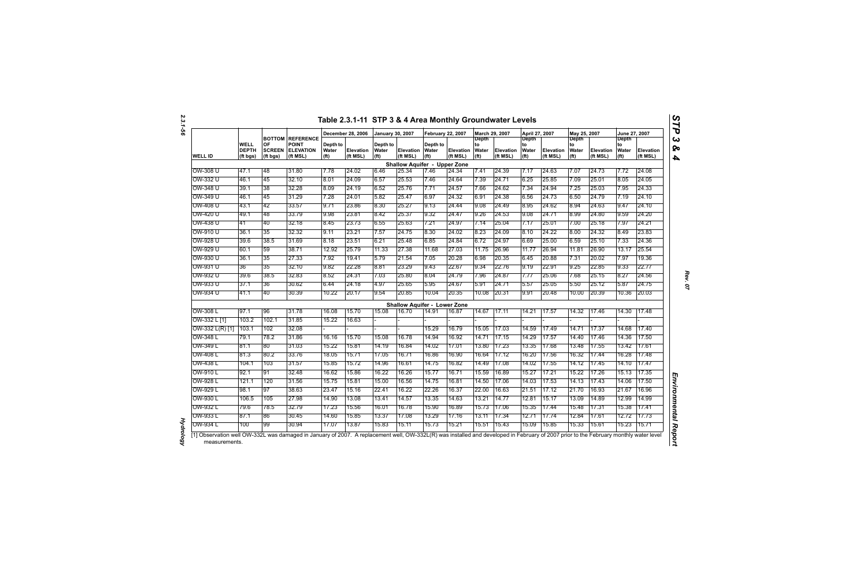|                   |                                  |                                 |                                                                         |                                        | December 28, 2006     | <b>January 30, 2007</b>                |                                     | <b>February 22, 2007</b>               |                       | March 29, 2007                            |                              | April 27, 2007                                   |                              | May 25, 2007                                     |                       | June 27, 2007                             |                       |
|-------------------|----------------------------------|---------------------------------|-------------------------------------------------------------------------|----------------------------------------|-----------------------|----------------------------------------|-------------------------------------|----------------------------------------|-----------------------|-------------------------------------------|------------------------------|--------------------------------------------------|------------------------------|--------------------------------------------------|-----------------------|-------------------------------------------|-----------------------|
| <b>WELL ID</b>    | WELL<br><b>DEPTH</b><br>(ft bgs) | OF<br><b>SCREEN</b><br>(ft bgs) | <b>BOTTOM REFERENCE</b><br><b>POINT</b><br><b>ELEVATION</b><br>(ft MSL) | Depth to<br>Water<br>(f <sup>t</sup> ) | Elevation<br>(ft MSL) | Depth to<br>Water<br>(f <sup>t</sup> ) | <b>Elevation</b><br>(ft MSL)        | Depth to<br>Water<br>(f <sup>t</sup> ) | Elevation<br>(ft MSL) | Depth<br>to<br>Water<br>(f <sup>t</sup> ) | <b>Elevation</b><br>(ft MSL) | <b>Depth</b><br>to<br>Water<br>(f <sup>t</sup> ) | <b>Elevation</b><br>(ft MSL) | <b>Depth</b><br>to<br>Water<br>(f <sup>t</sup> ) | Elevation<br>(ft MSL) | Depth<br>to<br>Water<br>(f <sup>t</sup> ) | Elevation<br>(ft MSL) |
|                   |                                  |                                 |                                                                         |                                        |                       |                                        | <b>Shallow Aquifer - Upper Zone</b> |                                        |                       |                                           |                              |                                                  |                              |                                                  |                       |                                           |                       |
| OW-308 U          | 47.1                             | 48                              | 31.80                                                                   | 7.78                                   | 24.02                 | 6.46                                   | 25.34                               | 7.46                                   | 24.34                 | 7.41                                      | 24.39                        | 7.17                                             | 24.63                        | 7.07                                             | 24.73                 | 7.72                                      | 24.08                 |
| OW-332 U          | 46.1                             | 45                              | 32.10                                                                   | 8.01                                   | 24.09                 | 6.57                                   | 25.53                               | 7.46                                   | 24.64                 | 7.39                                      | 24.71                        | 6.25                                             | 25.85                        | 7.09                                             | 25.01                 | 8.05                                      | 24.05                 |
| OW-348 U          | 39.1                             | 38                              | 32.28                                                                   | 8.09                                   | 24.19                 | 6.52                                   | 25.76                               | 7.71                                   | 24.57                 | 7.66                                      | 24.62                        | 7.34                                             | 24.94                        | 7.25                                             | 25.03                 | 7.95                                      | 24.33                 |
| OW-349 U          | 46.1                             | 45                              | 31.29                                                                   | 7.28                                   | 24.01                 | 5.82                                   | 25.47                               | 6.97                                   | 24.32                 | 6.91                                      | 24.38                        | 6.56                                             | 24.73                        | 6.50                                             | 24.79                 | 7.19                                      | 24.10                 |
| OW-408 U          | 43.1                             | 42                              | 33.57                                                                   | 9.71                                   | 23.86                 | 8.30                                   | 25.27                               | 9.13                                   | 24.44                 | 9.08                                      | 24.49                        | 8.95                                             | 24.62                        | 8.94                                             | 24.63                 | 9.47                                      | 24.10                 |
| OW-420 U          | 49.1                             | 48                              | 33.79                                                                   | 9.98                                   | 23.81                 | 8.42                                   | 25.37                               | 9.32                                   | 24.47                 | 9.26                                      | 24.53                        | 9.08                                             | 24.71                        | 8.99                                             | 24.80                 | 9.59                                      | 24.20                 |
| OW-438 U          | 41                               | 40                              | 32.18                                                                   | 8.45                                   | 23.73                 | 6.55                                   | 25.63                               | 7.21                                   | 24.97                 | 7.14                                      | 25.04                        | 7.17                                             | 25.01                        | 7.00                                             | 25.18                 | 7.97                                      | 24.21                 |
| OW-910 U          | 36.1                             | 35                              | 32.32                                                                   | 9.11                                   | 23.21                 | 7.57                                   | 24.75                               | 8.30                                   | 24.02                 | 8.23                                      | 24.09                        | 8.10                                             | 24.22                        | 8.00                                             | 24.32                 | 8.49                                      | 23.83                 |
| OW-928 U          | 39.6                             | 38.5                            | 31.69                                                                   | 8.18                                   | 23.51                 | 6.21                                   | 25.48                               | 6.85                                   | 24.84                 | 6.72                                      | 24.97                        | 6.69                                             | 25.00                        | 6.59                                             | 25.10                 | 7.33                                      | 24.36                 |
| OW-929 U          | 60.1                             | 59                              | 38.71                                                                   | 12.92                                  | 25.79                 | 11.33                                  | 27.38                               | 11.68                                  | 27.03                 | 11.75                                     | 26.96                        | 11.77                                            | 26.94                        | 11.81                                            | 26.90                 | 13.17                                     | 25.54                 |
| OW-930 U          | 36.1                             | 35                              | 27.33                                                                   | 7.92                                   | 19.41                 | 5.79                                   | 21.54                               | 7.05                                   | 20.28                 | 6.98                                      | 20.35                        | 6.45                                             | 20.88                        | 7.31                                             | 20.02                 | 7.97                                      | 19.36                 |
| OW-931 U          | 36                               | 35                              | 32.10                                                                   | 9.82                                   | 22.28                 | 8.81                                   | 23.29                               | 9.43                                   | 22.67                 | 9.34                                      | 22.76                        | 9.19                                             | 22.91                        | 9.25                                             | 22.85                 | 9.33                                      | 22.77                 |
| OW-932 U          | 39.6                             | 38.5                            | 32.83                                                                   | 8.52                                   | 24.31                 | 7.03                                   | 25.80                               | 8.04                                   | 24.79                 | 7.96                                      | 24.87                        | 7.77                                             | 25.06                        | 7.68                                             | 25.15                 | 8.27                                      | 24.56                 |
| OW-933 U          | 37.1                             | 36                              | 30.62                                                                   | 6.44                                   | 24.18                 | 4.97                                   | 25.65                               | 5.95                                   | 24.67                 | 5.91                                      | 24.71                        | 5.57                                             | 25.05                        | 5.50                                             | 25.12                 | 5.87                                      | 24.75                 |
| OW-934 U          | 41.1                             | 40                              | 30.39                                                                   | 10.22                                  | 20.17                 | 9.54                                   | 20.85                               | 10.04                                  | 20.35                 | 10.08                                     | 20.31                        | 9.91                                             | 20.48                        | 10.00                                            | 20.39                 | 10.36                                     | 20.03                 |
|                   |                                  |                                 |                                                                         |                                        |                       |                                        | <b>Shallow Aquifer - Lower Zone</b> |                                        |                       |                                           |                              |                                                  |                              |                                                  |                       |                                           |                       |
| OW-308 L          | 97.1                             | 96                              | 31.78                                                                   | 16.08                                  | 15.70                 | 15.08                                  | 16.70                               | 14.91                                  | 16.87                 | 14.67                                     | 17.11                        | 14.21                                            | 17.57                        | 14.32                                            | 17.46                 | 14.30                                     | 17.48                 |
| OW-332 L [1]      | 103.2                            | 102.1                           | 31.85                                                                   | 15.22                                  | 16.63                 |                                        |                                     |                                        |                       |                                           |                              |                                                  |                              |                                                  |                       |                                           |                       |
| $OW-332 L(R)$ [1] | 103.1                            | 102                             | 32.08                                                                   |                                        |                       |                                        |                                     | 15.29                                  | 16.79                 | 15.05                                     | 17.03                        | 14.59                                            | 17.49                        | 14.71                                            | 17.37                 | 14.68                                     | 17.40                 |
| OW-348 L          | 79.1                             | 78.2                            | 31.86                                                                   | 16.16                                  | 15.70                 | 15.08                                  | 16.78                               | 14.94                                  | 16.92                 | 14.71                                     | 17.15                        | 14.29                                            | 17.57                        | 14.40                                            | 17.46                 | 14.36                                     | 17.50                 |
| OW-349 L          | 81.1                             | 80                              | 31.03                                                                   | 15.22                                  | 15.81                 | 14.19                                  | 16.84                               | 14.02                                  | 17.01                 | 13.80                                     | 17.23                        | 13.35                                            | 17.68                        | 13.48                                            | 17.55                 | 13.42                                     | 17.61                 |
| OW-408 L          | 81.3                             | 80.2                            | 33.76                                                                   | 18.05                                  | 15.71                 | 17.05                                  | 16.71                               | 16.86                                  | 16.90                 | 16.64                                     | 17.12                        | 16.20                                            | 17.56                        | 16.32                                            | 17.44                 | 16.28                                     | 17.48                 |
| OW-438 L          | 104.1                            | 103                             | 31.57                                                                   | 15.85                                  | 15.72                 | 14.96                                  | 16.61                               | 14.75                                  | 16.82                 | 14.49                                     | 17.08                        | 14.02                                            | 17.55                        | 14.12                                            | 17.45                 | 14.10                                     | 17.47                 |
| OW-910 L          | 92.1                             | 91                              | 32.48                                                                   | 16.62                                  | 15.86                 | 16.22                                  | 16.26                               | 15.77                                  | 16.71                 | 15.59                                     | 16.89                        | 15.27                                            | 17.21                        | 15.22                                            | 17.26                 | 15.13                                     | 17.35                 |
| OW-928 L          | 121.1                            | 120                             | 31.56                                                                   | 15.75                                  | 15.81                 | 15.00                                  | 16.56                               | 14.75                                  | 16.81                 | 14.50                                     | 17.06                        | 14.03                                            | 17.53                        | 14.13                                            | 17.43                 | 14.06                                     | 17.50                 |
| OW-929 L          | 98.1                             | 97                              | 38.63                                                                   | 23.47                                  | 15.16                 | 22.41                                  | 16.22                               | 22.26                                  | 16.37                 | 22.00                                     | 16.63                        | 21.51                                            | 17.12                        | 21.70                                            | 16.93                 | 21.67                                     | 16.96                 |
| OW-930 L          | 106.5                            | 105                             | 27.98                                                                   | 14.90                                  | 13.08                 | 13.41                                  | 14.57                               | 13.35                                  | 14.63                 | 13.21                                     | 14.77                        | 12.81                                            | 15.17                        | 13.09                                            | 14.89                 | 12.99                                     | 14.99                 |
| OW-932 L          | 79.6                             | 785                             | 32.79                                                                   | 17.23                                  | 15.56                 | 16.01                                  | 16.78                               | 15.90                                  | 16.89                 | 15.73                                     | 17.06                        | 15.35                                            | 17.44                        | 15.48                                            | 17.31                 | 15.38                                     | 17.41                 |
| OW-933 L          | 87.1                             | 86                              | 30.45                                                                   | 14.60                                  | 15.85                 | 13.37                                  | 17.08                               | 13.29                                  | 17.16                 | 13.11                                     | 17.34                        | 12.71                                            | 17.74                        | 12.84                                            | 17.61                 | 12.72                                     | 17.73                 |
| OW-934 L          | 100                              | 99                              | 30.94                                                                   | 17.07                                  | 13.87                 | 15.83                                  | 15.11                               | 15.73                                  | 15.21                 | 15.51                                     | 15.43                        | 15.09                                            | 15.85                        | 15.33                                            | 15.61                 | 15.23                                     | 15.71                 |

*Hydrology* 

**Hydrology** 

*Rev. 07*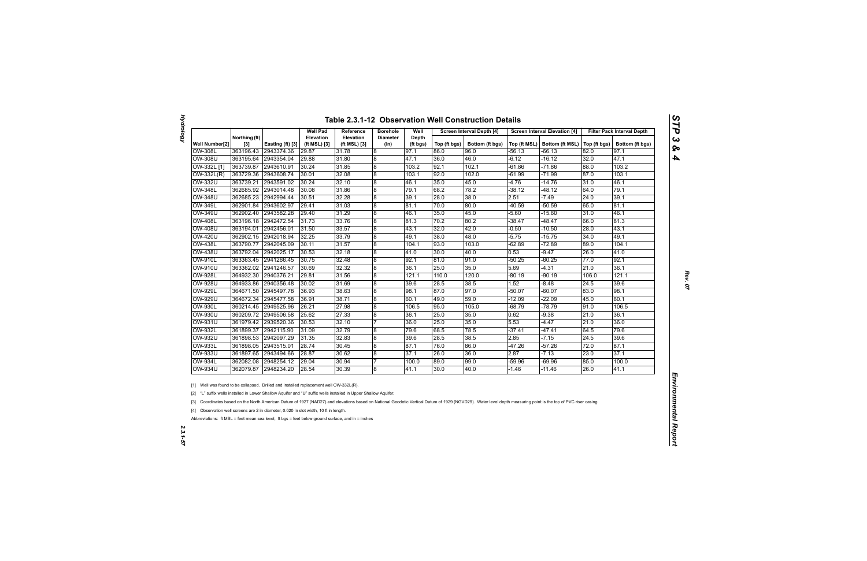| Ĩ,<br>۱ |
|---------|
|         |
|         |
|         |
| Q<br>o  |
|         |

|  |  | <b>Table 2.3.1-12 Observation Well Construction Details</b> |  |
|--|--|-------------------------------------------------------------|--|
|--|--|-------------------------------------------------------------|--|

|                |                        |                  | <b>Well Pad</b>           | Reference                        | <b>Borehole</b>         | Well              |              | Screen Interval Depth [4] |          | <b>Screen Interval Elevation [4]</b> |              | <b>Filter Pack Interval Depth</b> |
|----------------|------------------------|------------------|---------------------------|----------------------------------|-------------------------|-------------------|--------------|---------------------------|----------|--------------------------------------|--------------|-----------------------------------|
| Well Number[2] | Northing (ft)<br>$[3]$ | Easting (ft) [3] | Elevation<br>(ft MSL) [3] | <b>Elevation</b><br>(ft MSL) [3] | <b>Diameter</b><br>(in) | Depth<br>(ft bgs) | Top (ft bgs) | Bottom (ft bgs)           |          | Top (ft MSL)   Bottom (ft MSL)       | Top (ft bgs) | Bottom (ft bgs)                   |
| OW-308L        | 363196.43              | 2943374.36       | 29.87                     | 31.78                            | $\boldsymbol{8}$        | 97.1              | 86.0         | 96.0                      | -56.13   | -66.13                               | 82.0         | 97.1                              |
| <b>OW-308U</b> | 363195.64              | 2943354.04       | 29.88                     | 31.80                            | 8                       | 47.1              | 36.0         | 46.0                      | -6.12    | -16.12                               | 32.0         | 47.1                              |
| OW-332L [1]    | 363739.87              | 2943610.91       | 30.24                     | 31.85                            | $\bf 8$                 | 103.2             | 92.1         | 102.1                     | $-61.86$ | $-71.86$                             | 88.0         | 103.2                             |
| OW-332L(R)     | 363729.36              | 2943608.74       | 30.01                     | 32.08                            | $\boldsymbol{8}$        | 103.1             | 92.0         | 102.0                     | $-61.99$ | $-71.99$                             | 87.0         | 103.1                             |
| OW-332U        | 363739.21              | 2943591.02       | 30.24                     | 32.10                            | $\overline{8}$          | 46.1              | 35.0         | 45.0                      | $-4.76$  | $-14.76$                             | 31.0         | 46.1                              |
| <b>OW-348L</b> | 362685.92              | 2943014.48       | 30.08                     | 31.86                            | 8                       | 79.1              | 68.2         | 78.2                      | $-38.12$ | $-48.12$                             | 64.0         | 79.1                              |
| OW-348U        | 362685.23              | 2942994.44       | 30.51                     | 32.28                            | 8                       | 39.1              | 28.0         | 38.0                      | 2.51     | $-7.49$                              | 24.0         | 39.1                              |
| <b>OW-349L</b> | 362901.84              | 2943602.97       | 29.41                     | 31.03                            | 8                       | 81.1              | 70.0         | 80.0                      | $-40.59$ | $-50.59$                             | 65.0         | 81.1                              |
| OW-349U        | 362902.40              | 2943582.28       | 29.40                     | 31.29                            | 8                       | 46.1              | 35.0         | 45.0                      | $-5.60$  | $-15.60$                             | 31.0         | 46.1                              |
| <b>OW-408L</b> | 363196.18              | 2942472.54       | 31.73                     | 33.76                            | 8                       | 81.3              | 70.2         | 80.2                      | $-38.47$ | $-48.47$                             | 66.0         | 81.3                              |
| <b>OW-408U</b> | 363194.01              | 2942456.01       | 31.50                     | 33.57                            | $\overline{8}$          | 43.1              | 32.0         | 42.0                      | -0.50    | $-10.50$                             | 28.0         | 43.1                              |
| <b>OW-420U</b> | 362902.15              | 2942018.94       | 32.25                     | 33.79                            | $\bf 8$                 | 49.1              | 38.0         | 48.0                      | $-5.75$  | $-15.75$                             | 34.0         | 49.1                              |
| <b>OW-438L</b> | 363790.77              | 2942045.09       | 30.11                     | 31.57                            | 8                       | 104.1             | 93.0         | 103.0                     | $-62.89$ | $-72.89$                             | 89.0         | 104.1                             |
| <b>OW-438U</b> | 363792.04              | 2942025.17       | 30.53                     | 32.18                            | $\overline{8}$          | 41.0              | 30.0         | 40.0                      | 0.53     | $-9.47$                              | 26.0         | 41.0                              |
| <b>OW-910L</b> | 363363.45              | 2941266.45       | 30.75                     | 32.48                            | 8                       | 92.1              | 81.0         | 91.0                      | $-50.25$ | $-60.25$                             | 77.0         | 92.1                              |
| <b>OW-910U</b> | 363362.02              | 2941246.57       | 30.69                     | 32.32                            | 8                       | 36.1              | 25.0         | 35.0                      | 5.69     | $-4.31$                              | 21.0         | 36.1                              |
| <b>OW-928L</b> | 364932.30              | 2940376.21       | 29.81                     | 31.56                            | 8                       | 121.1             | 110.0        | 120.0                     | $-80.19$ | $-90.19$                             | 106.0        | 121.1                             |
| <b>OW-928U</b> | 364933.86              | 2940356.48       | 30.02                     | 31.69                            | $\boldsymbol{8}$        | 39.6              | 28.5         | 38.5                      | 1.52     | $-8.48$                              | 24.5         | 39.6                              |
| <b>OW-929L</b> | 364671.50              | 2945497.78       | 36.93                     | 38.63                            | 8                       | 98.1              | 87.0         | 97.0                      | $-50.07$ | $-60.07$                             | 83.0         | 98.1                              |
| <b>OW-929U</b> | 364672.34              | 2945477.58       | 36.91                     | 38.71                            | 8                       | 60.1              | 49.0         | 59.0                      | $-12.09$ | $-22.09$                             | 45.0         | 60.1                              |
| OW-930L        | 360214.45              | 2949525.96       | 26.21                     | 27.98                            | $\boldsymbol{8}$        | 106.5             | 95.0         | 105.0                     | -68.79   | $-78.79$                             | 91.0         | 106.5                             |
| OW-930U        | 360209.72              | 2949506.58       | 25.62                     | 27.33                            | 8                       | 36.1              | 25.0         | 35.0                      | 0.62     | $-9.38$                              | 21.0         | 36.1                              |
| <b>OW-931U</b> | 361979.42              | 2939520.36       | 30.53                     | 32.10                            | 17                      | 36.0              | 25.0         | 35.0                      | 5.53     | $-4.47$                              | 21.0         | 36.0                              |
| <b>OW-932L</b> | 361899.37              | 2942115.90       | 31.09                     | 32.79                            | 8                       | 79.6              | 68.5         | 78.5                      | $-37.41$ | -47.41                               | 64.5         | 79.6                              |
| <b>OW-932U</b> | 361898.53              | 2942097.29       | 31.35                     | 32.83                            | $\boldsymbol{8}$        | 39.6              | 28.5         | 38.5                      | 2.85     | -7.15                                | 24.5         | 39.6                              |
| <b>OW-933L</b> | 361898.05              | 2943515.01       | 28.74                     | 30.45                            | 8                       | 87.1              | 76.0         | 86.0                      | $-47.26$ | $-57.26$                             | 72.0         | 87.1                              |
| <b>OW-933U</b> | 361897.65              | 2943494.66       | 28.87                     | 30.62                            | $\boldsymbol{8}$        | 37.1              | 26.0         | 36.0                      | 2.87     | $-7.13$                              | 23.0         | 37.1                              |
| <b>OW-934L</b> | 362082.08              | 2948254.12       | 29.04                     | 30.94                            | 7                       | 100.0             | 89.0         | 99.0                      | -59.96   | $-69.96$                             | 85.0         | 100.0                             |
| <b>OW-934U</b> | 362079.87              | 2948234.20       | 28.54                     | 30.39                            | 8                       | 41.1              | 30.0         | 40.0                      | $-1.46$  | $-11.46$                             | 26.0         | 41.1                              |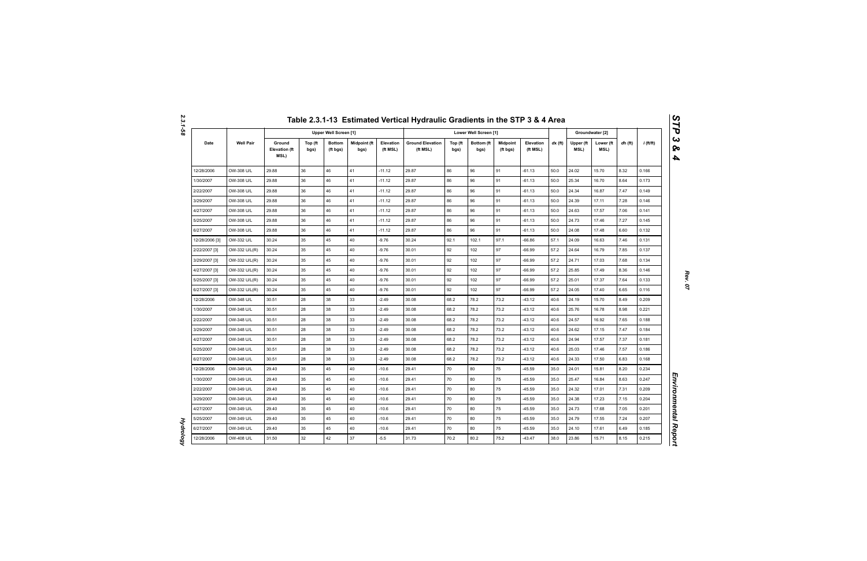*Hydrology* 

**Hydrology** 

|                |                  |                                        |                 |                              |                      |                       | Table 2.3.1-13 Estimated Vertical Hydraulic Gradients in the STP 3 & 4 Area |                 |                       |                             |                       |           |                   |                   |         |             |
|----------------|------------------|----------------------------------------|-----------------|------------------------------|----------------------|-----------------------|-----------------------------------------------------------------------------|-----------------|-----------------------|-----------------------------|-----------------------|-----------|-------------------|-------------------|---------|-------------|
|                |                  |                                        |                 | <b>Upper Well Screen [1]</b> |                      |                       |                                                                             |                 | Lower Well Screen [1] |                             |                       |           |                   | Groundwater [2]   |         |             |
| Date           | <b>Well Pair</b> | Ground<br><b>Elevation (ft</b><br>MSL) | Top (ft<br>bgs) | <b>Bottom</b><br>(ft bgs)    | Midpoint (ft<br>bgs) | Elevation<br>(ft MSL) | <b>Ground Elevation</b><br>(ft MSL)                                         | Top (ft<br>bgs) | Bottom (ft<br>bgs)    | <b>Midpoint</b><br>(ft bgs) | Elevation<br>(ft MSL) | $dx$ (ft) | Upper (ft<br>MSL) | Lower (ft<br>MSL) | dh (ft) | $i$ (ft/ft) |
| 12/28/2006     | OW-308 U/L       | 29.88                                  | 36              | 46                           | 41                   | $-11.12$              | 29.87                                                                       | 86              | 96                    | 91                          | $-61.13$              | 50.0      | 24.02             | 15.70             | 8.32    | 0.166       |
| 1/30/2007      | OW-308 U/L       | 29.88                                  | 36              | 46                           | 41                   | $-11.12$              | 29.87                                                                       | 86              | 96                    | 91                          | $-61.13$              | 50.0      | 25.34             | 16.70             | 8.64    | 0.173       |
| 2/22/2007      | OW-308 U/L       | 29.88                                  | 36              | 46                           | 41                   | $-11.12$              | 29.87                                                                       | 86              | 96                    | 91                          | $-61.13$              | 50.0      | 24.34             | 16.87             | 7.47    | 0.149       |
| 3/29/2007      | OW-308 U/L       | 29.88                                  | 36              | 46                           | 41                   | $-11.12$              | 29.87                                                                       | 86              | 96                    | 91                          | $-61.13$              | 50.0      | 24.39             | 17.11             | 7.28    | 0.146       |
| 4/27/2007      | OW-308 U/L       | 29.88                                  | 36              | 46                           | 41                   | $-11.12$              | 29.87                                                                       | 86              | 96                    | 91                          | $-61.13$              | 50.0      | 24.63             | 17.57             | 7.06    | 0.141       |
| 5/25/2007      | OW-308 U/L       | 29.88                                  | 36              | 46                           | 41                   | $-11.12$              | 29.87                                                                       | 86              | 96                    | 91                          | $-61.13$              | 50.0      | 24.73             | 17.46             | 7.27    | 0.145       |
| 6/27/2007      | OW-308 U/L       | 29.88                                  | 36              | 46                           | 41                   | $-11.12$              | 29.87                                                                       | 86              | 96                    | 91                          | $-61.13$              | 50.0      | 24.08             | 17.48             | 6.60    | 0.132       |
| 12/28/2006 [3] | OW-332 U/L       | 30.24                                  | 35              | 45                           | 40                   | $-9.76$               | 30.24                                                                       | 92.1            | 102.1                 | 97.1                        | $-66.86$              | 57.1      | 24.09             | 16.63             | 7.46    | 0.131       |
| 2/22/2007 [3]  | OW-332 U/L(R)    | 30.24                                  | 35              | 45                           | 40                   | $-9.76$               | 30.01                                                                       | 92              | 102                   | 97                          | $-66.99$              | 57.2      | 24.64             | 16.79             | 7.85    | 0.137       |
| 3/29/2007 [3]  | OW-332 U/L(R)    | 30.24                                  | 35              | 45                           | 40                   | $-9.76$               | 30.01                                                                       | 92              | 102                   | 97                          | $-66.99$              | 57.2      | 24.71             | 17.03             | 7.68    | 0.134       |
| 4/27/2007 [3]  | OW-332 U/L(R)    | 30.24                                  | 35              | 45                           | 40                   | $-9.76$               | 30.01                                                                       | 92              | 102                   | 97                          | $-66.99$              | 57.2      | 25.85             | 17.49             | 8.36    | 0.146       |
| 5/25/2007 [3]  | OW-332 U/L(R)    | 30.24                                  | 35              | 45                           | 40                   | $-9.76$               | 30.01                                                                       | 92              | 102                   | 97                          | $-66.99$              | 57.2      | 25.01             | 17.37             | 7.64    | 0.133       |
| 6/27/2007 [3]  | OW-332 U/L(R)    | 30.24                                  | 35              | 45                           | 40                   | $-9.76$               | 30.01                                                                       | 92              | 102                   | 97                          | $-66.99$              | 57.2      | 24.05             | 17.40             | 6.65    | 0.116       |
| 12/28/2006     | OW-348 U/L       | 30.51                                  | 28              | 38                           | 33                   | $-2.49$               | 30.08                                                                       | 68.2            | 78.2                  | 73.2                        | $-43.12$              | 40.6      | 24.19             | 15.70             | 8.49    | 0.209       |
| 1/30/2007      | OW-348 U/L       | 30.51                                  | 28              | 38                           | 33                   | $-2.49$               | 30.08                                                                       | 68.2            | 78.2                  | 73.2                        | $-43.12$              | 40.6      | 25.76             | 16.78             | 8.98    | 0.221       |
| 2/22/2007      | OW-348 U/L       | 30.51                                  | 28              | 38                           | 33                   | $-2.49$               | 30.08                                                                       | 68.2            | 78.2                  | 73.2                        | $-43.12$              | 40.6      | 24.57             | 16.92             | 7.65    | 0.188       |
| 3/29/2007      | OW-348 U/L       | 30.51                                  | 28              | 38                           | 33                   | $-2.49$               | 30.08                                                                       | 68.2            | 78.2                  | 73.2                        | $-43.12$              | 40.6      | 24.62             | 17.15             | 7.47    | 0.184       |
| 4/27/2007      | OW-348 U/L       | 30.51                                  | 28              | 38                           | 33                   | $-2.49$               | 30.08                                                                       | 68.2            | 78.2                  | 73.2                        | $-43.12$              | 40.6      | 24.94             | 17.57             | 7.37    | 0.181       |
| 5/25/2007      | OW-348 U/L       | 30.51                                  | 28              | 38                           | 33                   | $-2.49$               | 30.08                                                                       | 68.2            | 78.2                  | 73.2                        | $-43.12$              | 40.6      | 25.03             | 17.46             | 7.57    | 0.186       |
| 6/27/2007      | OW-348 U/L       | 30.51                                  | 28              | 38                           | 33                   | $-2.49$               | 30.08                                                                       | 68.2            | 78.2                  | 73.2                        | $-43.12$              | 40.6      | 24.33             | 17.50             | 6.83    | 0.168       |
| 12/28/2006     | OW-349 U/L       | 29.40                                  | 35              | 45                           | 40                   | $-10.6$               | 29.41                                                                       | 70              | 80                    | 75                          | $-45.59$              | 35.0      | 24.01             | 15.81             | 8.20    | 0.234       |
| 1/30/2007      | OW-349 U/L       | 29.40                                  | 35              | 45                           | 40                   | $-10.6$               | 29.41                                                                       | 70              | 80                    | 75                          | $-45.59$              | 35.0      | 25.47             | 16.84             | 8.63    | 0.247       |
| 2/22/2007      | OW-349 U/L       | 29.40                                  | 35              | 45                           | 40                   | $-10.6$               | 29.41                                                                       | 70              | 80                    | 75                          | -45.59                | 35.0      | 24.32             | 17.01             | 7.31    | 0.209       |
| 3/29/2007      | OW-349 U/L       | 29.40                                  | 35              | 45                           | 40                   | $-10.6$               | 29.41                                                                       | 70              | 80                    | 75                          | -45.59                | 35.0      | 24.38             | 17.23             | 7.15    | 0.204       |
| 4/27/2007      | OW-349 U/L       | 29.40                                  | 35              | 45                           | 40                   | $-10.6$               | 29.41                                                                       | 70              | 80                    | 75                          | $-45.59$              | 35.0      | 24.73             | 17.68             | 7.05    | 0.201       |
| 5/25/2007      | OW-349 U/L       | 29.40                                  | 35              | 45                           | 40                   | $-10.6$               | 29.41                                                                       | 70              | 80                    | 75                          | $-45.59$              | 35.0      | 24.79             | 17.55             | 7.24    | 0.207       |
| 6/27/2007      | OW-349 U/L       | 29.40                                  | 35              | 45                           | 40                   | $-10.6$               | 29.41                                                                       | 70              | 80                    | 75                          | $-45.59$              | 35.0      | 24.10             | 17.61             | 6.49    | 0.185       |
| 12/28/2006     | OW-408 U/L       | 31.50                                  | 32              | 42                           | 37                   | $-5.5$                | 31.73                                                                       | 70.2            | 80.2                  | 75.2                        | $-43.47$              | 38.0      | 23.86             | 15.71             | 8.15    | 0.215       |

*Rev. 07*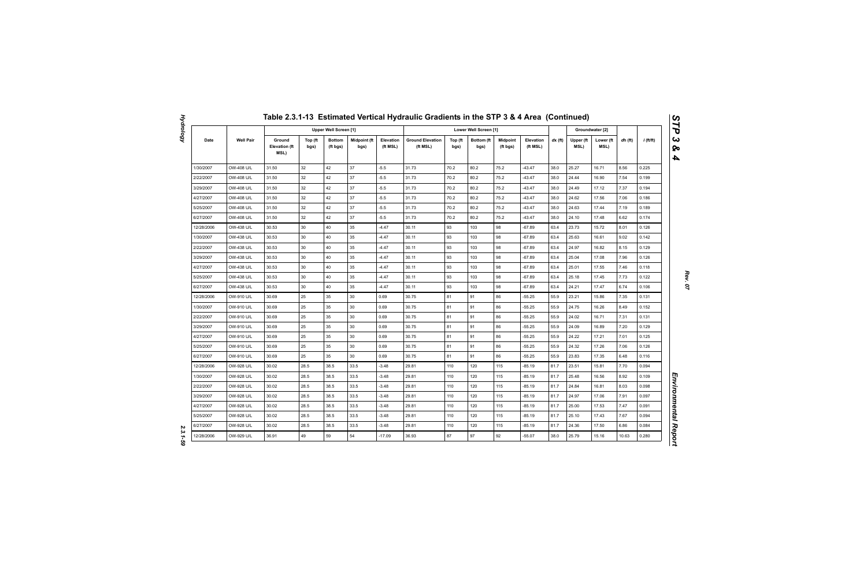|            |                  |                                        |                 |                           |                             |                       | Table 2.3.1-13 Estimated Vertical Hydraulic Gradients in the STP 3 & 4 Area (Continued) |                 |                       |                             |                       |           |                   |                   |         |             |
|------------|------------------|----------------------------------------|-----------------|---------------------------|-----------------------------|-----------------------|-----------------------------------------------------------------------------------------|-----------------|-----------------------|-----------------------------|-----------------------|-----------|-------------------|-------------------|---------|-------------|
|            |                  |                                        |                 | Upper Well Screen [1]     |                             |                       |                                                                                         |                 | Lower Well Screen [1] |                             |                       |           |                   | Groundwater [2]   |         |             |
| Date       | <b>Well Pair</b> | Ground<br><b>Elevation (ft</b><br>MSL) | Top (ft<br>bgs) | <b>Bottom</b><br>(ft bgs) | <b>Midpoint (ft</b><br>bgs) | Elevation<br>(ft MSL) | <b>Ground Elevation</b><br>(ft MSL)                                                     | Top (ft<br>bgs) | Bottom (ft<br>bgs)    | <b>Midpoint</b><br>(ft bgs) | Elevation<br>(ft MSL) | $dx$ (ft) | Upper (ft<br>MSL) | Lower (ft<br>MSL) | dh (ft) | $i$ (ft/ft) |
| 1/30/2007  | OW-408 U/L       | 31.50                                  | 32              | 42                        | 37                          | $-5.5$                | 31.73                                                                                   | 70.2            | 80.2                  | 75.2                        | $-43.47$              | 38.0      | 25.27             | 16.71             | 8.56    | 0.225       |
| 2/22/2007  | OW-408 U/L       | 31.50                                  | 32              | 42                        | 37                          | $-5.5$                | 31.73                                                                                   | 70.2            | 80.2                  | 75.2                        | $-43.47$              | 38.0      | 24.44             | 16.90             | 7.54    | 0.199       |
| 3/29/2007  | OW-408 U/L       | 31.50                                  | 32              | 42                        | 37                          | $-5.5$                | 31.73                                                                                   | 70.2            | 80.2                  | 75.2                        | $-43.47$              | 38.0      | 24.49             | 17.12             | 7.37    | 0.194       |
| 4/27/2007  | OW-408 U/L       | 31.50                                  | 32              | 42                        | 37                          | $-5.5$                | 31.73                                                                                   | 70.2            | 80.2                  | 75.2                        | $-43.47$              | 38.0      | 24.62             | 17.56             | 7.06    | 0.186       |
| 5/25/2007  | OW-408 U/L       | 31.50                                  | 32              | 42                        | 37                          | $-5.5$                | 31.73                                                                                   | 70.2            | 80.2                  | 75.2                        | $-43.47$              | 38.0      | 24.63             | 17.44             | 7.19    | 0.189       |
| 6/27/2007  | OW-408 U/L       | 31.50                                  | 32              | 42                        | 37                          | $-5.5$                | 31.73                                                                                   | 70.2            | 80.2                  | 75.2                        | $-43.47$              | 38.0      | 24.10             | 17.48             | 6.62    | 0.174       |
| 12/28/2006 | OW-438 U/L       | 30.53                                  | 30              | 40                        | 35                          | $-4.47$               | 30.11                                                                                   | 93              | 103                   | 98                          | $-67.89$              | 63.4      | 23.73             | 15.72             | 8.01    | 0.126       |
| 1/30/2007  | OW-438 U/L       | 30.53                                  | 30              | 40                        | 35                          | $-4.47$               | 30.11                                                                                   | 93              | 103                   | 98                          | $-67.89$              | 63.4      | 25.63             | 16.61             | 9.02    | 0.142       |
| 2/22/2007  | OW-438 U/L       | 30.53                                  | 30              | 40                        | 35                          | $-4.47$               | 30.11                                                                                   | 93              | 103                   | 98                          | $-67.89$              | 63.4      | 24.97             | 16.82             | 8.15    | 0.129       |
| 3/29/2007  | OW-438 U/L       | 30.53                                  | 30              | 40                        | 35                          | $-4.47$               | 30.11                                                                                   | 93              | 103                   | 98                          | $-67.89$              | 63.4      | 25.04             | 17.08             | 7.96    | 0.126       |
| 4/27/2007  | OW-438 U/L       | 30.53                                  | 30              | 40                        | 35                          | $-4.47$               | 30.11                                                                                   | 93              | 103                   | 98                          | $-67.89$              | 63.4      | 25.01             | 17.55             | 7.46    | 0.118       |
| 5/25/2007  | OW-438 U/L       | 30.53                                  | 30              | 40                        | 35                          | $-4.47$               | 30.11                                                                                   | 93              | 103                   | 98                          | $-67.89$              | 63.4      | 25.18             | 17.45             | 7.73    | 0.122       |
| 6/27/2007  | OW-438 U/L       | 30.53                                  | 30              | 40                        | 35                          | $-4.47$               | 30.11                                                                                   | 93              | 103                   | 98                          | $-67.89$              | 63.4      | 24.21             | 17.47             | 6.74    | 0.106       |
| 12/28/2006 | OW-910 U/L       | 30.69                                  | 25              | 35                        | 30                          | 0.69                  | 30.75                                                                                   | 81              | 91                    | 86                          | $-55.25$              | 55.9      | 23.21             | 15.86             | 7.35    | 0.131       |
| 1/30/2007  | OW-910 U/L       | 30.69                                  | 25              | 35                        | 30                          | 0.69                  | 30.75                                                                                   | 81              | 91                    | 86                          | $-55.25$              | 55.9      | 24.75             | 16.26             | 8.49    | 0.152       |
| 2/22/2007  | OW-910 U/L       | 30.69                                  | 25              | 35                        | 30                          | 0.69                  | 30.75                                                                                   | 81              | 91                    | 86                          | $-55.25$              | 55.9      | 24.02             | 16.71             | 7.31    | 0.131       |
| 3/29/2007  | OW-910 U/L       | 30.69                                  | 25              | 35                        | 30                          | 0.69                  | 30.75                                                                                   | 81              | 91                    | 86                          | $-55.25$              | 55.9      | 24.09             | 16.89             | 7.20    | 0.129       |
| 4/27/2007  | OW-910 U/L       | 30.69                                  | 25              | 35                        | 30                          | 0.69                  | 30.75                                                                                   | 81              | 91                    | 86                          | $-55.25$              | 55.9      | 24.22             | 17.21             | 7.01    | 0.125       |
| 5/25/2007  | OW-910 U/L       | 30.69                                  | 25              | 35                        | 30                          | 0.69                  | 30.75                                                                                   | 81              | 91                    | 86                          | $-55.25$              | 55.9      | 24.32             | 17.26             | 7.06    | 0.126       |
| 6/27/2007  | OW-910 U/L       | 30.69                                  | 25              | 35                        | 30                          | 0.69                  | 30.75                                                                                   | 81              | 91                    | 86                          | $-55.25$              | 55.9      | 23.83             | 17.35             | 6.48    | 0.116       |
| 12/28/2006 | OW-928 U/L       | 30.02                                  | 28.5            | 38.5                      | 33.5                        | $-3.48$               | 29.81                                                                                   | 110             | 120                   | 115                         | $-85.19$              | 81.7      | 23.51             | 15.81             | 7.70    | 0.094       |
| 1/30/2007  | OW-928 U/L       | 30.02                                  | 28.5            | 38.5                      | 33.5                        | $-3.48$               | 29.81                                                                                   | 110             | 120                   | 115                         | -85.19                | 81.7      | 25.48             | 16.56             | 8.92    | 0.109       |
| 2/22/2007  | OW-928 U/L       | 30.02                                  | 28.5            | 38.5                      | 33.5                        | $-3.48$               | 29.81                                                                                   | 110             | 120                   | 115                         | $-85.19$              | 81.7      | 24.84             | 16.81             | 8.03    | 0.098       |
| 3/29/2007  | OW-928 U/L       | 30.02                                  | 28.5            | 38.5                      | 33.5                        | $-3.48$               | 29.81                                                                                   | 110             | 120                   | 115                         | -85.19                | 81.7      | 24.97             | 17.06             | 7.91    | 0.097       |
| 4/27/2007  | OW-928 U/L       | 30.02                                  | 28.5            | 38.5                      | 33.5                        | $-3.48$               | 29.81                                                                                   | 110             | 120                   | 115                         | $-85.19$              | 81.7      | 25.00             | 17.53             | 7.47    | 0.091       |
| 5/25/2007  | OW-928 U/L       | 30.02                                  | 28.5            | 38.5                      | 33.5                        | $-3.48$               | 29.81                                                                                   | 110             | 120                   | 115                         | -85.19                | 81.7      | 25.10             | 17.43             | 7.67    | 0.094       |
| 6/27/2007  | OW-928 U/L       | 30.02                                  | 28.5            | 38.5                      | 33.5                        | $-3.48$               | 29.81                                                                                   | 110             | 120                   | 115                         | $-85.19$              | 81.7      | 24.36             | 17.50             | 6.86    | 0.084       |
| 12/28/2006 | OW-929 U/L       | 36.91                                  | 49              | 59                        | 54                          | $-17.09$              | 36.93                                                                                   | 87              | 97                    | 92                          | $-55.07$              | 38.0      | 25.79             | 15.16             | 10.63   | 0.280       |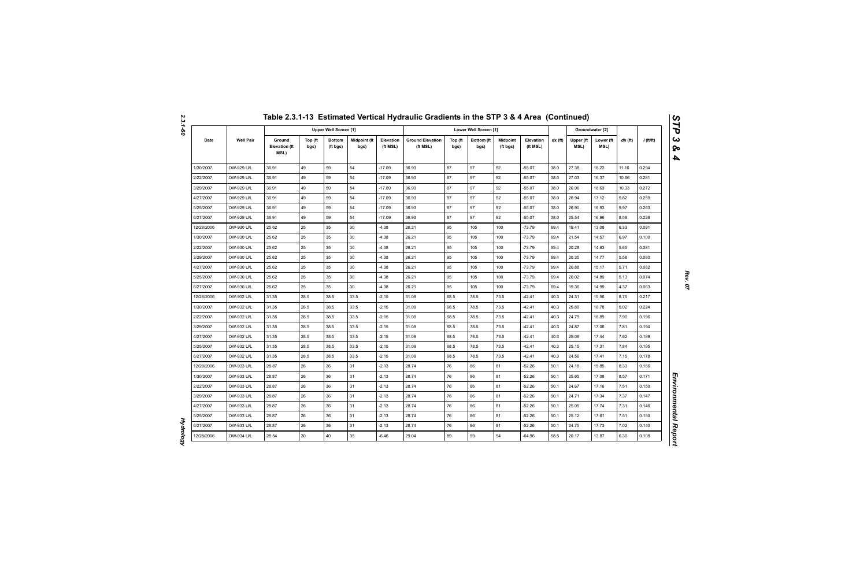|            |                  |                                        |                 |                           |                      |                       | Table 2.3.1-13 Estimated Vertical Hydraulic Gradients in the STP 3 & 4 Area (Continued) |                 |                       |                             |                       |           |                   |                   |         |             |
|------------|------------------|----------------------------------------|-----------------|---------------------------|----------------------|-----------------------|-----------------------------------------------------------------------------------------|-----------------|-----------------------|-----------------------------|-----------------------|-----------|-------------------|-------------------|---------|-------------|
|            |                  |                                        |                 | Upper Well Screen [1]     |                      |                       |                                                                                         |                 | Lower Well Screen [1] |                             |                       |           |                   | Groundwater [2]   |         |             |
| Date       | <b>Well Pair</b> | Ground<br><b>Elevation (ft</b><br>MSL) | Top (ft<br>bgs) | <b>Bottom</b><br>(ft bgs) | Midpoint (ft<br>bgs) | Elevation<br>(ft MSL) | <b>Ground Elevation</b><br>(ft MSL)                                                     | Top (ft<br>bgs) | Bottom (ft<br>bgs)    | <b>Midpoint</b><br>(ft bgs) | Elevation<br>(ft MSL) | $dx$ (ft) | Upper (ft<br>MSL) | Lower (ft<br>MSL) | dh (ft) | $i$ (ft/ft) |
| 1/30/2007  | OW-929 U/L       | 36.91                                  | 49              | 59                        | 54                   | $-17.09$              | 36.93                                                                                   | 87              | 97                    | 92                          | $-55.07$              | 38.0      | 27.38             | 16.22             | 11.16   | 0.294       |
| 2/22/2007  | OW-929 U/L       | 36.91                                  | 49              | 59                        | 54                   | $-17.09$              | 36.93                                                                                   | 87              | 97                    | 92                          | $-55.07$              | 38.0      | 27.03             | 16.37             | 10.66   | 0.281       |
| 3/29/2007  | OW-929 U/L       | 36.91                                  | 49              | 59                        | 54                   | $-17.09$              | 36.93                                                                                   | 87              | 97                    | 92                          | $-55.07$              | 38.0      | 26.96             | 16.63             | 10.33   | 0.272       |
| 4/27/2007  | OW-929 U/L       | 36.91                                  | 49              | 59                        | 54                   | $-17.09$              | 36.93                                                                                   | 87              | 97                    | 92                          | $-55.07$              | 38.0      | 26.94             | 17.12             | 9.82    | 0.259       |
| 5/25/2007  | OW-929 U/L       | 36.91                                  | 49              | 59                        | 54                   | $-17.09$              | 36.93                                                                                   | 87              | 97                    | 92                          | $-55.07$              | 38.0      | 26.90             | 16.93             | 9.97    | 0.263       |
| 6/27/2007  | OW-929 U/L       | 36.91                                  | 49              | 59                        | 54                   | $-17.09$              | 36.93                                                                                   | 87              | 97                    | 92                          | $-55.07$              | 38.0      | 25.54             | 16.96             | 8.58    | 0.226       |
| 12/28/2006 | OW-930 U/L       | 25.62                                  | 25              | 35                        | 30                   | $-4.38$               | 26.21                                                                                   | 95              | 105                   | 100                         | $-73.79$              | 69.4      | 19.41             | 13.08             | 6.33    | 0.091       |
| 1/30/2007  | OW-930 U/L       | 25.62                                  | 25              | 35                        | 30                   | $-4.38$               | 26.21                                                                                   | 95              | 105                   | 100                         | $-73.79$              | 69.4      | 21.54             | 14.57             | 6.97    | 0.100       |
| 2/22/2007  | OW-930 U/L       | 25.62                                  | 25              | 35                        | 30                   | $-4.38$               | 26.21                                                                                   | 95              | 105                   | 100                         | $-73.79$              | 69.4      | 20.28             | 14.63             | 5.65    | 0.081       |
| 3/29/2007  | OW-930 U/L       | 25.62                                  | 25              | 35                        | 30                   | $-4.38$               | 26.21                                                                                   | 95              | 105                   | 100                         | $-73.79$              | 69.4      | 20.35             | 14.77             | 5.58    | 0.080       |
| 4/27/2007  | OW-930 U/L       | 25.62                                  | 25              | 35                        | 30                   | $-4.38$               | 26.21                                                                                   | 95              | 105                   | 100                         | $-73.79$              | 69.4      | 20.88             | 15.17             | 5.71    | 0.082       |
| 5/25/2007  | OW-930 U/L       | 25.62                                  | 25              | 35                        | 30                   | $-4.38$               | 26.21                                                                                   | 95              | 105                   | 100                         | $-73.79$              | 69.4      | 20.02             | 14.89             | 5.13    | 0.074       |
| 6/27/2007  | OW-930 U/L       | 25.62                                  | 25              | 35                        | 30                   | $-4.38$               | 26.21                                                                                   | 95              | 105                   | 100                         | $-73.79$              | 69.4      | 19.36             | 14.99             | 4.37    | 0.063       |
| 12/28/2006 | OW-932 U/L       | 31.35                                  | 28.5            | 38.5                      | 33.5                 | $-2.15$               | 31.09                                                                                   | 68.5            | 78.5                  | 73.5                        | $-42.41$              | 40.3      | 24.31             | 15.56             | 8.75    | 0.217       |
| 1/30/2007  | OW-932 U/L       | 31.35                                  | 28.5            | 38.5                      | 33.5                 | $-2.15$               | 31.09                                                                                   | 68.5            | 78.5                  | 73.5                        | $-42.41$              | 40.3      | 25.80             | 16.78             | 9.02    | 0.224       |
| 2/22/2007  | OW-932 U/L       | 31.35                                  | 28.5            | 38.5                      | 33.5                 | $-2.15$               | 31.09                                                                                   | 68.5            | 78.5                  | 73.5                        | $-42.41$              | 40.3      | 24.79             | 16.89             | 7.90    | 0.196       |
| 3/29/2007  | OW-932 U/L       | 31.35                                  | 28.5            | 38.5                      | 33.5                 | $-2.15$               | 31.09                                                                                   | 68.5            | 78.5                  | 73.5                        | $-42.41$              | 40.3      | 24.87             | 17.06             | 7.81    | 0.194       |
| 4/27/2007  | OW-932 U/L       | 31.35                                  | 28.5            | 38.5                      | 33.5                 | $-2.15$               | 31.09                                                                                   | 68.5            | 78.5                  | 73.5                        | $-42.41$              | 40.3      | 25.06             | 17.44             | 7.62    | 0.189       |
| 5/25/2007  | OW-932 U/L       | 31.35                                  | 28.5            | 38.5                      | 33.5                 | $-2.15$               | 31.09                                                                                   | 68.5            | 78.5                  | 73.5                        | $-42.41$              | 40.3      | 25.15             | 17.31             | 7.84    | 0.195       |
| 6/27/2007  | OW-932 U/L       | 31.35                                  | 28.5            | 38.5                      | 33.5                 | $-2.15$               | 31.09                                                                                   | 68.5            | 78.5                  | 73.5                        | $-42.41$              | 40.3      | 24.56             | 17.41             | 7.15    | 0.178       |
| 12/28/2006 | OW-933 U/L       | 28.87                                  | 26              | 36                        | 31                   | $-2.13$               | 28.74                                                                                   | 76              | 86                    | 81                          | $-52.26$              | 50.1      | 24.18             | 15.85             | 8.33    | 0.166       |
| 1/30/2007  | OW-933 U/L       | 28.87                                  | 26              | 36                        | 31                   | $-2.13$               | 28.74                                                                                   | 76              | 86                    | 81                          | $-52.26$              | 50.1      | 25.65             | 17.08             | 8.57    | 0.171       |
| 2/22/2007  | OW-933 U/L       | 28.87                                  | 26              | 36                        | 31                   | $-2.13$               | 28.74                                                                                   | 76              | 86                    | 81                          | $-52.26$              | 50.1      | 24.67             | 17.16             | 7.51    | 0.150       |
| 3/29/2007  | OW-933 U/L       | 28.87                                  | 26              | 36                        | 31                   | $-2.13$               | 28.74                                                                                   | 76              | 86                    | 81                          | -52.26                | 50.1      | 24.71             | 17.34             | 7.37    | 0.147       |
| 4/27/2007  | OW-933 U/L       | 28.87                                  | 26              | 36                        | 31                   | $-2.13$               | 28.74                                                                                   | 76              | 86                    | 81                          | $-52.26$              | 50.1      | 25.05             | 17.74             | 7.31    | 0.146       |
| 5/25/2007  | OW-933 U/L       | 28.87                                  | 26              | 36                        | 31                   | $-2.13$               | 28.74                                                                                   | 76              | 86                    | 81                          | -52.26                | 50.1      | 25.12             | 17.61             | 7.51    | 0.150       |
| 6/27/2007  | OW-933 U/L       | 28.87                                  | 26              | 36                        | 31                   | $-2.13$               | 28.74                                                                                   | 76              | 86                    | 81                          | $-52.26$              | 50.1      | 24.75             | 17.73             | 7.02    | 0.140       |
| 12/28/2006 | OW-934 U/L       | 28.54                                  | 30              | 40                        | 35                   | $-6.46$               | 29.04                                                                                   | 89              | 99                    | 94                          | $-64.96$              | 58.5      | 20.17             | 13.87             | 6.30    | 0.108       |

*Hydrology* 

**Hydrology**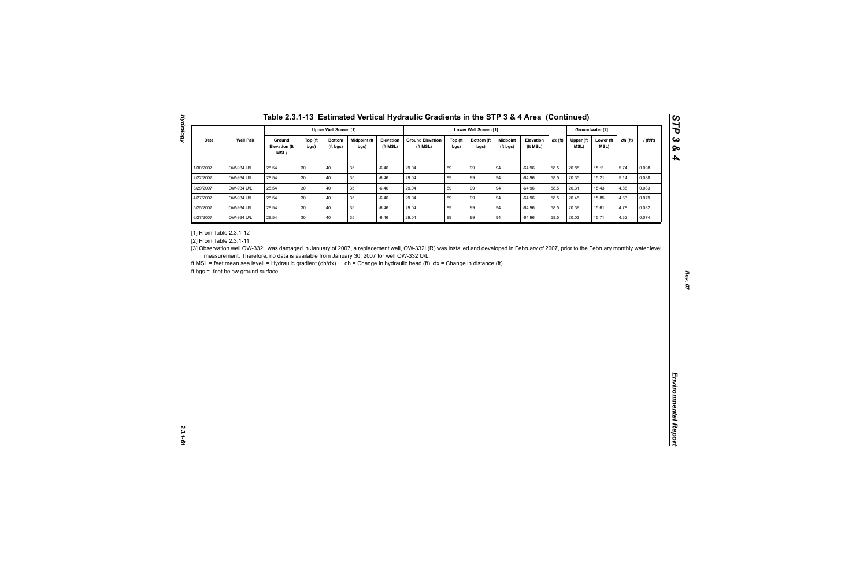| <b>Well Pair</b><br>Ground<br>Midpoint (ft<br><b>Ground Elevation</b><br>$dx$ (ft)<br>$i$ (ft/ft)<br>Date<br>Top (ft<br><b>Bottom</b><br>Elevation<br>Top (ft<br>Bottom (ft<br><b>Midpoint</b><br>Elevation<br>Upper (ft<br>Lower (ft<br>dh (ft)<br><b>Elevation (ft</b><br>MSL)<br>(ft MSL)<br>(ft MSL)<br>(ft MSL)<br>MSL)<br>bgs)<br>(ft bgs)<br>bgs)<br>bgs)<br>bgs)<br>(ft bgs)<br>MSL)<br>40<br>89<br>OW-934 U/L<br>28.54<br>30<br>35<br>$-6.46$<br>29.04<br>99<br>94<br>$-64.96$<br>58.5<br>20.85<br>5.74<br>15.11<br>0.098<br>89<br>28.54<br>30<br>40<br>35<br>29.04<br>99<br>94<br>58.5<br>5.14<br>OW-934 U/L<br>$-6.46$<br>$-64.96$<br>20.35<br>15.21<br>0.088<br>40<br>89<br>94<br>OW-934 U/L<br>28.54<br>30<br>35<br>$-6.46$<br>29.04<br>99<br>58.5<br>20.31<br>15.43<br>4.88<br>0.083<br>$-64.96$<br>30<br>40<br>35<br>89<br>99<br>OW-934 U/L<br>28.54<br>$-6.46$<br>29.04<br>94<br>$-64.96$<br>58.5<br>20.48<br>15.85<br>4.63<br>0.079<br>30<br>40<br>89<br>94<br>28.54<br>35<br>29.04<br>99<br>58.5<br>4.78<br>OW-934 U/L<br>$-6.46$<br>$-64.96$<br>20.39<br>15.61<br>0.082<br>89<br>28.54<br>30<br>40<br>$35\,$<br>29.04<br>99<br>94<br>20.03<br>4.32<br>OW-934 U/L<br>$-6.46$<br>$-64.96$<br>58.5<br>15.71<br>0.074<br>measurement. Therefore, no data is available from January 30, 2007 for well OW-332 U/L. | 1/30/2007<br>2/22/2007<br>3/29/2007<br>4/27/2007<br>5/25/2007<br>6/27/2007<br>[1] From Table 2.3.1-12<br>[2] From Table 2.3.1-11<br>[3] Observation well OW-332L was damaged in January of 2007, a replacement well, OW-332L(R) was installed and developed in February of 2007, prior to the February monthly water level<br>ft MSL = feet mean sea levell = Hydraulic gradient (dh/dx) dh = Change in hydraulic head (ft) dx = Change in distance (ft)<br>ft bgs = feet below ground surface |  |  | <b>Upper Well Screen [1]</b> |  |  | Lower Well Screen [1] |  |  | Groundwater [2] |  |
|---------------------------------------------------------------------------------------------------------------------------------------------------------------------------------------------------------------------------------------------------------------------------------------------------------------------------------------------------------------------------------------------------------------------------------------------------------------------------------------------------------------------------------------------------------------------------------------------------------------------------------------------------------------------------------------------------------------------------------------------------------------------------------------------------------------------------------------------------------------------------------------------------------------------------------------------------------------------------------------------------------------------------------------------------------------------------------------------------------------------------------------------------------------------------------------------------------------------------------------------------------------------------------------------------------------------------------|------------------------------------------------------------------------------------------------------------------------------------------------------------------------------------------------------------------------------------------------------------------------------------------------------------------------------------------------------------------------------------------------------------------------------------------------------------------------------------------------|--|--|------------------------------|--|--|-----------------------|--|--|-----------------|--|
|                                                                                                                                                                                                                                                                                                                                                                                                                                                                                                                                                                                                                                                                                                                                                                                                                                                                                                                                                                                                                                                                                                                                                                                                                                                                                                                                 |                                                                                                                                                                                                                                                                                                                                                                                                                                                                                                |  |  |                              |  |  |                       |  |  |                 |  |
|                                                                                                                                                                                                                                                                                                                                                                                                                                                                                                                                                                                                                                                                                                                                                                                                                                                                                                                                                                                                                                                                                                                                                                                                                                                                                                                                 |                                                                                                                                                                                                                                                                                                                                                                                                                                                                                                |  |  |                              |  |  |                       |  |  |                 |  |
|                                                                                                                                                                                                                                                                                                                                                                                                                                                                                                                                                                                                                                                                                                                                                                                                                                                                                                                                                                                                                                                                                                                                                                                                                                                                                                                                 |                                                                                                                                                                                                                                                                                                                                                                                                                                                                                                |  |  |                              |  |  |                       |  |  |                 |  |
|                                                                                                                                                                                                                                                                                                                                                                                                                                                                                                                                                                                                                                                                                                                                                                                                                                                                                                                                                                                                                                                                                                                                                                                                                                                                                                                                 |                                                                                                                                                                                                                                                                                                                                                                                                                                                                                                |  |  |                              |  |  |                       |  |  |                 |  |
|                                                                                                                                                                                                                                                                                                                                                                                                                                                                                                                                                                                                                                                                                                                                                                                                                                                                                                                                                                                                                                                                                                                                                                                                                                                                                                                                 |                                                                                                                                                                                                                                                                                                                                                                                                                                                                                                |  |  |                              |  |  |                       |  |  |                 |  |
|                                                                                                                                                                                                                                                                                                                                                                                                                                                                                                                                                                                                                                                                                                                                                                                                                                                                                                                                                                                                                                                                                                                                                                                                                                                                                                                                 |                                                                                                                                                                                                                                                                                                                                                                                                                                                                                                |  |  |                              |  |  |                       |  |  |                 |  |
|                                                                                                                                                                                                                                                                                                                                                                                                                                                                                                                                                                                                                                                                                                                                                                                                                                                                                                                                                                                                                                                                                                                                                                                                                                                                                                                                 |                                                                                                                                                                                                                                                                                                                                                                                                                                                                                                |  |  |                              |  |  |                       |  |  |                 |  |
|                                                                                                                                                                                                                                                                                                                                                                                                                                                                                                                                                                                                                                                                                                                                                                                                                                                                                                                                                                                                                                                                                                                                                                                                                                                                                                                                 |                                                                                                                                                                                                                                                                                                                                                                                                                                                                                                |  |  |                              |  |  |                       |  |  |                 |  |

**Hydrology**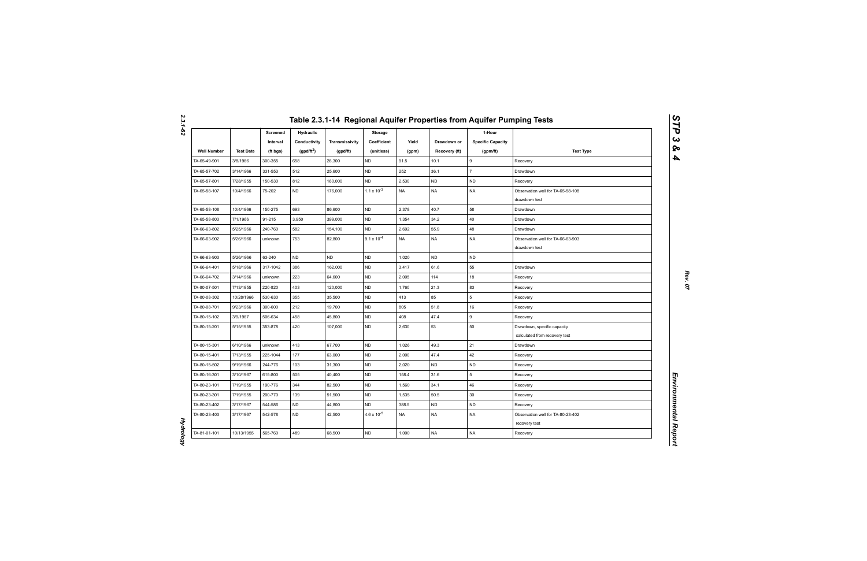|                    |                  | Screened<br>Interval | <b>Hydraulic</b><br>Conductivity | Transmissivity | Storage<br>Coefficient | Yield     | Drawdown or   | 1-Hour<br><b>Specific Capacity</b> |                                                              |
|--------------------|------------------|----------------------|----------------------------------|----------------|------------------------|-----------|---------------|------------------------------------|--------------------------------------------------------------|
| <b>Well Number</b> | <b>Test Date</b> | (ft bgs)             | $(gpd/ft^2)$                     | (gpd/ft)       | (unitless)             | (gpm)     | Recovery (ft) | (gpm/ft)                           | <b>Test Type</b>                                             |
| TA-65-49-901       | 3/8/1966         | 300-355              | 658                              | 26,300         | <b>ND</b>              | 91.5      | 10.1          | $\mathsf g$                        | Recovery                                                     |
| TA-65-57-702       | 3/14/1966        | 331-553              | 512                              | 25,600         | <b>ND</b>              | 252       | 36.1          | $\overline{7}$                     | Drawdown                                                     |
| TA-65-57-801       | 7/28/1955        | 150-530              | 812                              | 160,000        | <b>ND</b>              | 2,530     | <b>ND</b>     | <b>ND</b>                          | Recovery                                                     |
| TA-65-58-107       | 10/4/1966        | 75-202               | ${\sf ND}$                       | 176,000        | $1.1 \times 10^{-3}$   | <b>NA</b> | <b>NA</b>     | <b>NA</b>                          | Observation well for TA-65-58-108<br>drawdown test           |
| TA-65-58-108       | 10/4/1966        | 150-275              | 693                              | 86,600         | <b>ND</b>              | 2,378     | 40.7          | 58                                 | Drawdown                                                     |
| TA-65-58-803       | 7/1/1966         | 91-215               | 3,950                            | 399,000        | <b>ND</b>              | 1,354     | 34.2          | 40                                 | Drawdown                                                     |
| TA-66-63-802       | 5/25/1966        | 240-760              | 582                              | 154,100        | <b>ND</b>              | 2,692     | 55.9          | 48                                 | Drawdown                                                     |
| TA-66-63-902       | 5/26/1966        | unknown              | 753                              | 82,800         | $9.1 \times 10^{-4}$   | <b>NA</b> | <b>NA</b>     | <b>NA</b>                          | Observation well for TA-66-63-903<br>drawdown test           |
| TA-66-63-903       | 5/26/1966        | 63-240               | <b>ND</b>                        | <b>ND</b>      | <b>ND</b>              | 1,020     | <b>ND</b>     | <b>ND</b>                          |                                                              |
| TA-66-64-401       | 5/18/1966        | 317-1042             | 386                              | 162,000        | <b>ND</b>              | 3,417     | 61.6          | 55                                 | Drawdown                                                     |
| TA-66-64-702       | 3/14/1966        | unknown              | 223                              | 64,600         | <b>ND</b>              | 2,005     | 114           | 18                                 | Recovery                                                     |
| TA-80-07-501       | 7/13/1955        | 220-820              | 403                              | 120,000        | <b>ND</b>              | 1,760     | 21.3          | 83                                 | Recovery                                                     |
| TA-80-08-302       | 10/28/1966       | 530-630              | 355                              | 35,500         | <b>ND</b>              | 413       | 85            | 5                                  | Recovery                                                     |
| TA-80-08-701       | 9/23/1966        | 300-600              | 212                              | 19,700         | <b>ND</b>              | 805       | 51.8          | 16                                 | Recovery                                                     |
| TA-80-15-102       | 3/9/1967         | 506-634              | 458                              | 45,800         | <b>ND</b>              | 408       | 47.4          | 9                                  | Recovery                                                     |
| TA-80-15-201       | 5/15/1955        | 353-878              | 420                              | 107,000        | <b>ND</b>              | 2,630     | 53            | 50                                 | Drawdown, specific capacity<br>calculated from recovery test |
| TA-80-15-301       | 6/10/1966        | unknown              | 413                              | 67,700         | <b>ND</b>              | 1,026     | 49.3          | 21                                 | Drawdown                                                     |
| TA-80-15-401       | 7/13/1955        | 225-1044             | 177                              | 63,000         | <b>ND</b>              | 2,000     | 47.4          | 42                                 | Recovery                                                     |
| TA-80-15-502       | 9/19/1966        | 244-776              | 103                              | 31,300         | <b>ND</b>              | 2,020     | <b>ND</b>     | <b>ND</b>                          | Recovery                                                     |
| TA-80-16-301       | 3/10/1967        | 615-800              | 505                              | 40,400         | <b>ND</b>              | 158.4     | 31.6          | 5                                  | Recovery                                                     |
| TA-80-23-101       | 7/19/1955        | 190-776              | 344                              | 82,500         | ND                     | 1,560     | 34.1          | 46                                 | Recovery                                                     |
| TA-80-23-301       | 7/19/1955        | 200-770              | 139                              | 51,500         | <b>ND</b>              | 1,535     | 50.5          | 30                                 | Recovery                                                     |
| TA-80-23-402       | 3/17/1967        | 544-586              | <b>ND</b>                        | 44,800         | <b>ND</b>              | 388.5     | <b>ND</b>     | ${\sf ND}$                         | Recovery                                                     |
| TA-80-23-403       | 3/17/1967        | 542-578              | <b>ND</b>                        | 42,500         | $4.6 \times 10^{-5}$   | <b>NA</b> | <b>NA</b>     | <b>NA</b>                          | Observation well for TA-80-23-402<br>recovery test           |
| TA-81-01-101       | 10/13/1955       | 565-760              | 489                              | 68,500         | <b>ND</b>              | 1,000     | <b>NA</b>     | <b>NA</b>                          | Recovery                                                     |

*2.3.1-62*

*Hydrology* 

**Hydrology**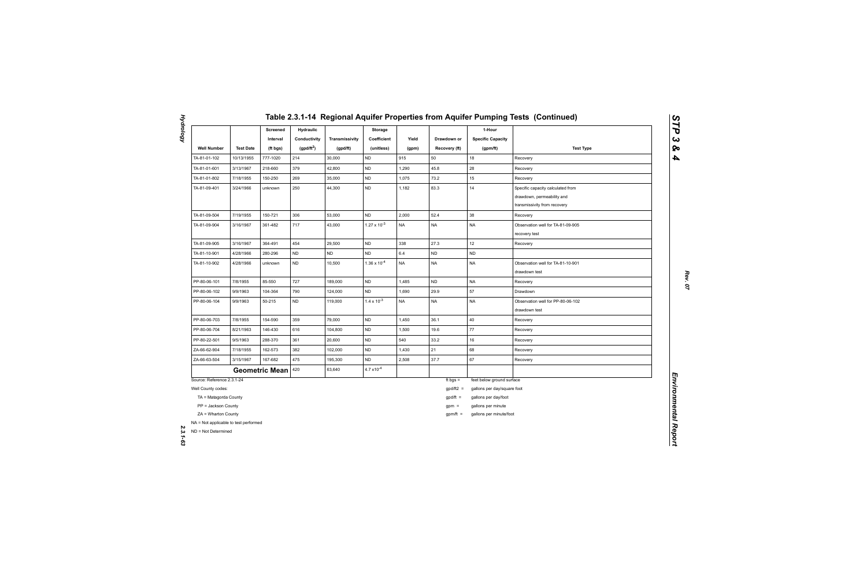|                                                              |                  | Screened<br>Interval  | <b>Hydraulic</b><br>Conductivity | Transmissivity | Storage<br>Coefficient | Yield     | Drawdown or   | 1-Hour<br><b>Specific Capacity</b> |                                                                                                 |
|--------------------------------------------------------------|------------------|-----------------------|----------------------------------|----------------|------------------------|-----------|---------------|------------------------------------|-------------------------------------------------------------------------------------------------|
| <b>Well Number</b>                                           | <b>Test Date</b> | (ft bgs)              | (gpd/ft <sup>2</sup> )           | (gpd/ft)       | (unitless)             | (gpm)     | Recovery (ft) | (gpm/ft)                           | <b>Test Type</b>                                                                                |
| TA-81-01-102                                                 | 10/13/1955       | 777-1020              | 214                              | 30,000         | <b>ND</b>              | 915       | 50            | 18                                 | Recovery                                                                                        |
| TA-81-01-601                                                 | 3/13/1967        | 218-660               | 379                              | 42,800         | <b>ND</b>              | 1,290     | 45.8          | 28                                 | Recovery                                                                                        |
| TA-81-01-802                                                 | 7/18/1955        | 150-250               | 269                              | 35,000         | <b>ND</b>              | 1,075     | 73.2          | 15                                 | Recovery                                                                                        |
| TA-81-09-401                                                 | 3/24/1966        | unknown               | 250                              | 44,300         | <b>ND</b>              | 1,182     | 83.3          | 14                                 | Specific capacity calculated from<br>drawdown, permeability and<br>transmissivity from recovery |
| TA-81-09-504                                                 | 7/19/1955        | 150-721               | 306                              | 53,000         | <b>ND</b>              | 2,000     | 52.4          | 38                                 | Recovery                                                                                        |
| TA-81-09-904                                                 | 3/16/1967        | 361-482               | 717                              | 43,000         | $1.27 \times 10^{-3}$  | <b>NA</b> | <b>NA</b>     | <b>NA</b>                          | Observation well for TA-81-09-905<br>recovery test                                              |
| TA-81-09-905                                                 | 3/16/1967        | 364-491               | 454                              | 29,500         | <b>ND</b>              | 338       | 27.3          | 12                                 | Recovery                                                                                        |
| TA-81-10-901                                                 | 4/28/1966        | 280-296               | <b>ND</b>                        | <b>ND</b>      | <b>ND</b>              | $6.4\,$   | <b>ND</b>     | ND                                 |                                                                                                 |
| TA-81-10-902                                                 | 4/28/1966        | unknown               | <b>ND</b>                        | 10,500         | $1.36 \times 10^{-4}$  | <b>NA</b> | <b>NA</b>     | <b>NA</b>                          | Observation well for TA-81-10-901<br>drawdown test                                              |
| PP-80-06-101                                                 | 7/8/1955         | 85-550                | 727                              | 189,000        | <b>ND</b>              | 1,485     | <b>ND</b>     | <b>NA</b>                          | Recovery                                                                                        |
| PP-80-06-102                                                 | 9/9/1963         | 104-364               | 790                              | 124,000        | ND                     | 1,690     | 29.9          | 57                                 | Drawdown                                                                                        |
| PP-80-06-104                                                 | 9/9/1963         | 50-215                | <b>ND</b>                        | 119,000        | $1.4 \times 10^{-3}$   | <b>NA</b> | <b>NA</b>     | NA                                 | Observation well for PP-80-06-102<br>drawdown test                                              |
| PP-80-06-703                                                 | 7/8/1955         | 154-590               | 359                              | 79,000         | <b>ND</b>              | 1,450     | 36.1          | 40                                 | Recovery                                                                                        |
| PP-80-06-704                                                 | 8/21/1963        | 146-430               | 616                              | 104,800        | <b>ND</b>              | 1,500     | 19.6          | 77                                 | Recovery                                                                                        |
| PP-80-22-501                                                 | 9/5/1963         | 288-370               | 361                              | 20,600         | ND                     | 540       | 33.2          | 16                                 | Recovery                                                                                        |
| ZA-66-62-904                                                 | 7/18/1955        | 162-573               | 382                              | 102,000        | <b>ND</b>              | 1,430     | 21            | 68                                 | Recovery                                                                                        |
| ZA-66-63-504                                                 | 3/15/1967        | 167-682               | 475                              | 195,300        | <b>ND</b>              | 2,508     | 37.7          | 67                                 | Recovery                                                                                        |
|                                                              |                  | <b>Geometric Mean</b> | 420                              | 63,640         | $4.7 \times 10^{-4}$   |           |               |                                    |                                                                                                 |
| Source: Reference 2.3.1-24                                   |                  |                       |                                  |                |                        |           | ft bgs $=$    | feet below ground surface          |                                                                                                 |
| Well County codes:                                           |                  |                       |                                  |                |                        |           | $gpd/ft2 =$   | gallons per day/square foot        |                                                                                                 |
| TA = Matagorda County                                        |                  |                       |                                  |                |                        |           | $gpd/ft =$    | gallons per day/foot               |                                                                                                 |
| PP = Jackson County                                          |                  |                       |                                  |                |                        |           | $gpm =$       | gallons per minute                 |                                                                                                 |
| ZA = Wharton County<br>NA = Not applicable to test performed |                  |                       |                                  |                |                        |           | $gpm/ft =$    | gallons per minute/foot            |                                                                                                 |
| ND = Not Determined                                          |                  |                       |                                  |                |                        |           |               |                                    |                                                                                                 |

**Hydrology** *Hydrology 2.3.1-63*

*STP 3 & 4*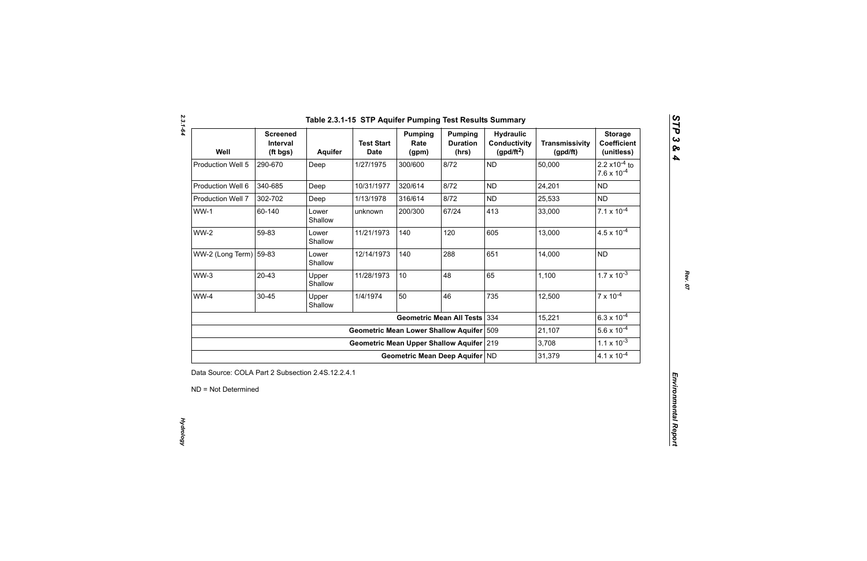| Well                   | <b>Screened</b><br>Interval<br>(ft bgs) | Aquifer          | <b>Test Start</b><br><b>Date</b>            | <b>Pumping</b><br>Rate<br>(gpm) | <b>Pumping</b><br><b>Duration</b><br>(hrs) | <b>Hydraulic</b><br><b>Conductivity</b><br>(gpd/ft <sup>2</sup> ) | <b>Transmissivity</b><br>(gpd/ft) | <b>Storage</b><br><b>Coefficient</b><br>(unitless)       |
|------------------------|-----------------------------------------|------------------|---------------------------------------------|---------------------------------|--------------------------------------------|-------------------------------------------------------------------|-----------------------------------|----------------------------------------------------------|
| Production Well 5      | 290-670                                 | Deep             | 1/27/1975                                   | 300/600                         | 8/72                                       | <b>ND</b>                                                         | 50,000                            | 2.2 $\times$ 10 <sup>-4</sup> to<br>$7.6 \times 10^{-4}$ |
| Production Well 6      | 340-685                                 | Deep             | 10/31/1977                                  | 320/614                         | 8/72                                       | <b>ND</b>                                                         | 24,201                            | <b>ND</b>                                                |
| Production Well 7      | 302-702                                 | Deep             | 1/13/1978                                   | 316/614                         | 8/72                                       | <b>ND</b>                                                         | 25,533                            | <b>ND</b>                                                |
| $WW-1$                 | 60-140                                  | Lower<br>Shallow | unknown                                     | 200/300                         | 67/24                                      | 413                                                               | 33,000                            | $7.1 \times 10^{-4}$                                     |
| <b>WW-2</b>            | 59-83                                   | Lower<br>Shallow | 11/21/1973                                  | 140                             | 120                                        | 605                                                               | 13,000                            | $4.5 \times 10^{-4}$                                     |
| WW-2 (Long Term) 59-83 |                                         | Lower<br>Shallow | 12/14/1973                                  | 140                             | 288                                        | 651                                                               | 14,000                            | <b>ND</b>                                                |
| $WW-3$                 | $20 - 43$                               | Upper<br>Shallow | 11/28/1973                                  | 10                              | 48                                         | 65                                                                | 1,100                             | $1.7 \times 10^{-3}$                                     |
| WW-4                   | $30 - 45$                               | Upper<br>Shallow | 1/4/1974                                    | 50                              | 46                                         | 735                                                               | 12,500                            | $7 \times 10^{-4}$                                       |
|                        |                                         |                  |                                             |                                 | <b>Geometric Mean All Tests</b>            | 334                                                               | 15,221                            | $6.3 \times 10^{-4}$                                     |
|                        |                                         |                  | <b>Geometric Mean Lower Shallow Aquifer</b> |                                 |                                            | 509                                                               | 21,107                            | $5.6 \times 10^{-4}$                                     |
|                        |                                         |                  | Geometric Mean Upper Shallow Aquifer 219    |                                 |                                            |                                                                   | 3,708                             | $1.1 \times 10^{-3}$                                     |
|                        |                                         |                  |                                             | Geometric Mean Deep Aquifer ND  |                                            |                                                                   | 31,379                            | $4.1 \times 10^{-4}$                                     |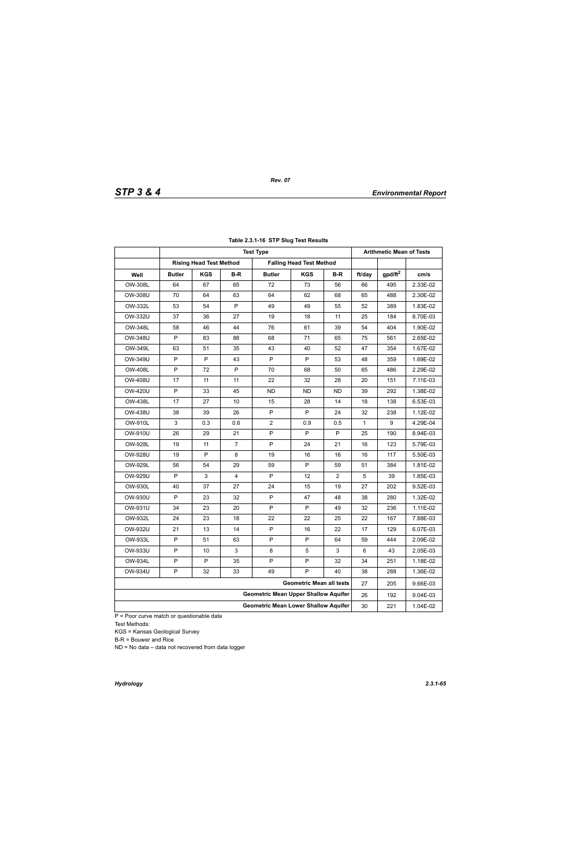|                |               |                                |                | <b>Test Type</b>                            |                                 |     |              | <b>Arithmetic Mean of Tests</b> |          |
|----------------|---------------|--------------------------------|----------------|---------------------------------------------|---------------------------------|-----|--------------|---------------------------------|----------|
|                |               | <b>Rising Head Test Method</b> |                |                                             | <b>Falling Head Test Method</b> |     |              |                                 |          |
| Well           | <b>Butler</b> | <b>KGS</b>                     | B-R            | <b>Butler</b>                               | <b>KGS</b>                      | B-R | ft/day       | gpd/ft <sup>2</sup>             | cm/s     |
| OW-308L        | 64            | 67                             | 65             | 72                                          | 73                              | 56  | 66           | 495                             | 2.33E-02 |
| OW-308U        | 70            | 64                             | 63             | 64                                          | 62                              | 68  | 65           | 488                             | 2.30E-02 |
| OW-332L        | 53            | 54                             | P              | 49                                          | 49                              | 55  | 52           | 389                             | 1.83E-02 |
| OW-332U        | 37            | 36                             | 27             | 19                                          | 18                              | 11  | 25           | 184                             | 8.70E-03 |
| OW-348L        | 58            | 46                             | 44             | 76                                          | 61                              | 39  | 54           | 404                             | 1.90E-02 |
| <b>OW-348U</b> | P             | 83                             | 88             | 68                                          | 71                              | 65  | 75           | 561                             | 2.65E-02 |
| OW-349L        | 63            | 51                             | 35             | 43                                          | 40                              | 52  | 47           | 354                             | 1.67E-02 |
| OW-349U        | P             | P                              | 43             | P                                           | P                               | 53  | 48           | 359                             | 1.69E-02 |
| <b>OW-408L</b> | P             | 72                             | P              | 70                                          | 68                              | 50  | 65           | 486                             | 2.29E-02 |
| OW-408U        | 17            | 11                             | 11             | 22                                          | 32                              | 28  | 20           | 151                             | 7.11E-03 |
| OW-420U        | P             | 33                             | 45             | <b>ND</b>                                   | ND                              | ND. | 39           | 292                             | 1.38E-02 |
| <b>OW-438L</b> | 17            | 27                             | 10             | 15                                          | 28                              | 14  | 18           | 138                             | 6.53E-03 |
| <b>OW-438U</b> | 38            | 39                             | 26             | P                                           | P                               | 24  | 32           | 238                             | 1.12E-02 |
| <b>OW-910L</b> | 3             | 0.3                            | 0.6            | $\overline{2}$                              | 0.9                             | 0.5 | $\mathbf{1}$ | 9                               | 4.29E-04 |
| OW-910U        | 26            | 29                             | 21             | P                                           | P                               | P   | 25           | 190                             | 8.94E-03 |
| <b>OW-928L</b> | 19            | 11                             | $\overline{7}$ | P                                           | 24                              | 21  | 16           | 123                             | 5.79E-03 |
| OW-928U        | 19            | P                              | 8              | 19                                          | 16                              | 16  | 16           | 117                             | 5.50E-03 |
| OW-929L        | 56            | 54                             | 29             | 59                                          | P                               | 59  | 51           | 384                             | 1.81E-02 |
| OW-929U        | P             | 3                              | 4              | P                                           | 12                              | 2   | 5            | 39                              | 1.85E-03 |
| OW-930L        | 40            | 37                             | 27             | 24                                          | 15                              | 19  | 27           | 202                             | 9.52E-03 |
| OW-930U        | P             | 23                             | 32             | P                                           | 47                              | 48  | 38           | 280                             | 1.32E-02 |
| OW-931U        | 34            | 23                             | 20             | P                                           | P                               | 49  | 32           | 236                             | 1.11E-02 |
| OW-932L        | 24            | 23                             | 18             | 22                                          | 22                              | 25  | 22           | 167                             | 7.88E-03 |
| OW-932U        | 21            | 13                             | 14             | P                                           | 16                              | 22  | 17           | 129                             | 6.07E-03 |
| OW-933L        | P             | 51                             | 63             | P                                           | P                               | 64  | 59           | 444                             | 2.09E-02 |
| OW-933U        | P             | 10                             | 3              | 8                                           | $\mathbf 5$                     | 3   | 6            | 43                              | 2.05E-03 |
| OW-934L        | P             | P                              | 35             | P                                           | P                               | 32  | 34           | 251                             | 1.18E-02 |
| OW-934U        | P             | 32                             | 33             | 49                                          | P                               | 40  | 38           | 288                             | 1.36E-02 |
|                |               |                                |                |                                             | <b>Geometric Mean all tests</b> |     | 27           | 205                             | 9.66E-03 |
|                |               |                                |                | <b>Geometric Mean Upper Shallow Aquifer</b> |                                 |     | 26           | 192                             | 9.04E-03 |
|                |               |                                |                | <b>Geometric Mean Lower Shallow Aquifer</b> |                                 |     | 30           | 221                             | 1.04E-02 |

## **Table 2.3.1-16 STP Slug Test Results**

P = Poor curve match or questionable data Test Methods:

KGS = Kansas Geological Survey

B-R = Bouwer and Rice

ND = No data – data not recovered from data logger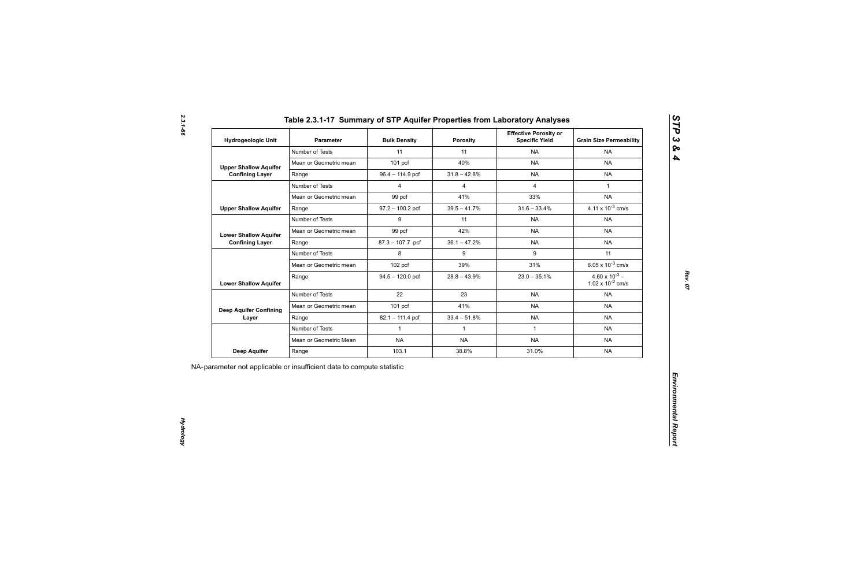| Table 2.3.1-17 Summary of STP Aquifer Properties from Laboratory Analyses |  |                              |  |
|---------------------------------------------------------------------------|--|------------------------------|--|
|                                                                           |  | <b>Effective Porosity or</b> |  |

| Hydrogeologic Unit                                     | <b>Parameter</b>       | <b>Bulk Density</b> | <b>Porosity</b> | <b>Effective Porosity or</b><br><b>Specific Yield</b> | <b>Grain Size Permeability</b>                   |
|--------------------------------------------------------|------------------------|---------------------|-----------------|-------------------------------------------------------|--------------------------------------------------|
|                                                        | Number of Tests        | 11                  | 11              | <b>NA</b>                                             | <b>NA</b>                                        |
| <b>Upper Shallow Aquifer</b>                           | Mean or Geometric mean | $101$ pcf           | 40%             | <b>NA</b>                                             | <b>NA</b>                                        |
| <b>Confining Layer</b>                                 | Range                  | 96.4 - 114.9 pcf    | $31.8 - 42.8%$  | <b>NA</b>                                             | <b>NA</b>                                        |
|                                                        | Number of Tests        | $\overline{4}$      | $\overline{4}$  | $\overline{4}$                                        | $\mathbf{1}$                                     |
|                                                        | Mean or Geometric mean | 99 pcf              | 41%             | 33%                                                   | <b>NA</b>                                        |
| <b>Upper Shallow Aquifer</b>                           | Range                  | $97.2 - 100.2$ pcf  | $39.5 - 41.7\%$ | $31.6 - 33.4%$                                        | 4.11 x $10^{-3}$ cm/s                            |
|                                                        | Number of Tests        | 9                   | 11              | <b>NA</b>                                             | <b>NA</b>                                        |
| <b>Lower Shallow Aquifer</b><br><b>Confining Layer</b> | Mean or Geometric mean | 99 pcf              | 42%             | <b>NA</b>                                             | <b>NA</b>                                        |
|                                                        | Range                  | 87.3 - 107.7 pcf    | $36.1 - 47.2%$  | <b>NA</b>                                             | <b>NA</b>                                        |
|                                                        | Number of Tests        | 8                   | 9               | 9                                                     | 11                                               |
| <b>Lower Shallow Aquifer</b>                           | Mean or Geometric mean | 102 pcf             | 39%             | 31%                                                   | 6.05 x $10^{-3}$ cm/s                            |
|                                                        | Range                  | $94.5 - 120.0$ pcf  | $28.8 - 43.9%$  | $23.0 - 35.1\%$                                       | $4.60 \times 10^{-3}$ –<br>1.02 x $10^{-2}$ cm/s |
|                                                        | Number of Tests        | 22                  | 23              | <b>NA</b>                                             | <b>NA</b>                                        |
| <b>Deep Aquifer Confining</b>                          | Mean or Geometric mean | 101 pcf             | 41%             | <b>NA</b>                                             | <b>NA</b>                                        |
| Layer                                                  | Range                  | 82.1 - 111.4 pcf    | $33.4 - 51.8%$  | <b>NA</b>                                             | <b>NA</b>                                        |
|                                                        | Number of Tests        | $\mathbf{1}$        | $\mathbf{1}$    | $\mathbf{1}$                                          | <b>NA</b>                                        |
|                                                        | Mean or Geometric Mean | <b>NA</b>           | <b>NA</b>       | <b>NA</b>                                             | <b>NA</b>                                        |
| <b>Deep Aquifer</b>                                    | Range                  | 103.1               | 38.8%           | 31.0%                                                 | <b>NA</b>                                        |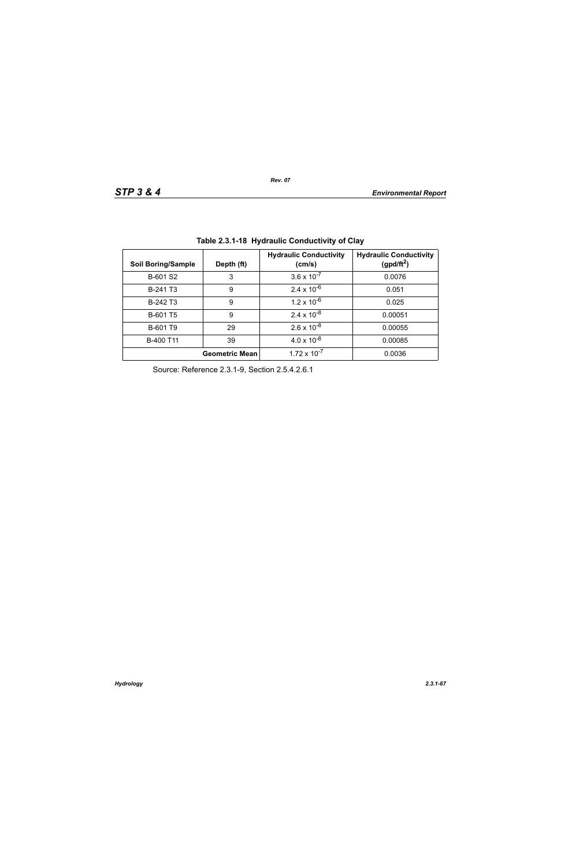| <b>Soil Boring/Sample</b> | Depth (ft)            | <b>Hydraulic Conductivity</b><br>(cm/s) | <b>Hydraulic Conductivity</b><br>(gpd/ft <sup>2</sup> ) |
|---------------------------|-----------------------|-----------------------------------------|---------------------------------------------------------|
| B-601 S2                  | 3                     | $3.6 \times 10^{-7}$                    | 0.0076                                                  |
| B-241 T <sub>3</sub>      | 9                     | $2.4 \times 10^{-6}$                    | 0.051                                                   |
| B-242 T <sub>3</sub>      | 9                     | $1.2 \times 10^{-6}$                    | 0.025                                                   |
| B-601 T5                  | 9                     | $2.4 \times 10^{-8}$                    | 0.00051                                                 |
| B-601 T9                  | 29                    | $2.6 \times 10^{-8}$                    | 0.00055                                                 |
| B-400 T11                 | 39                    | $4.0 \times 10^{-8}$                    | 0.00085                                                 |
|                           | <b>Geometric Mean</b> | $1.72 \times 10^{-7}$                   | 0.0036                                                  |

**Table 2.3.1-18 Hydraulic Conductivity of Clay** 

Source: Reference 2.3.1-9, Section 2.5.4.2.6.1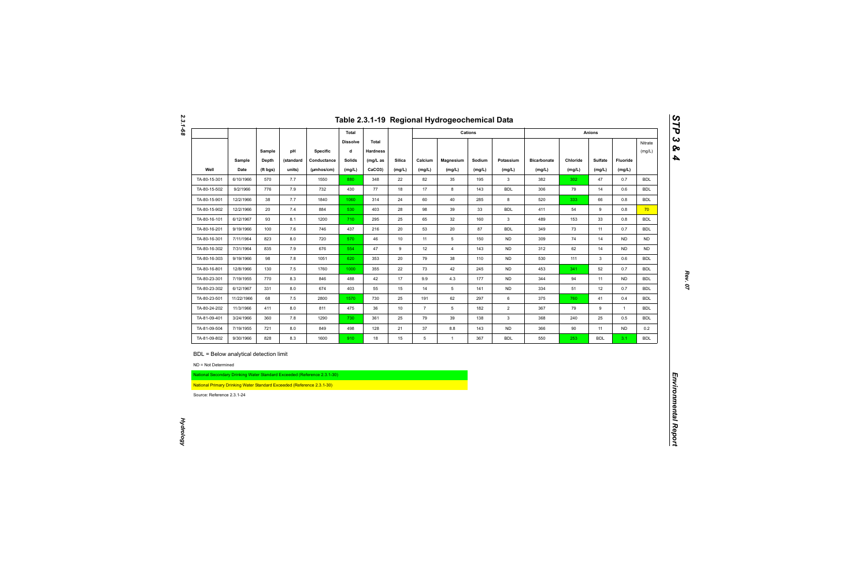|                                                   |                                                                                                                  |            |            |                                                                          |                      |                          |          |                | Table 2.3.1-19 Regional Hydrogeochemical Data |            |                         |                    |           |                    |                  |                          |
|---------------------------------------------------|------------------------------------------------------------------------------------------------------------------|------------|------------|--------------------------------------------------------------------------|----------------------|--------------------------|----------|----------------|-----------------------------------------------|------------|-------------------------|--------------------|-----------|--------------------|------------------|--------------------------|
|                                                   |                                                                                                                  |            |            |                                                                          | Total                |                          |          |                |                                               | Cations    |                         |                    |           | <b>Anions</b>      |                  |                          |
|                                                   |                                                                                                                  | Sample     | pH         | <b>Specific</b>                                                          | <b>Dissolve</b><br>d | Total<br><b>Hardness</b> |          |                |                                               |            |                         |                    |           |                    |                  | Nitrate<br>(mg/L)        |
|                                                   | Sample                                                                                                           | Depth      | (standard  | Conductance                                                              | <b>Solids</b>        | $(mg/L)$ as              | Silica   | Calcium        | Magnesium                                     | Sodium     | Potassium               | <b>Bicarbonate</b> | Chloride  | Sulfate            | Fluoride         |                          |
| Well                                              | Date                                                                                                             | (ft bgs)   | units)     | (µmhos/cm)                                                               | (mg/L)               | CaCO3)                   | (mg/L)   | (mg/L)         | (mg/L)                                        | (mg/L)     | (mg/L)                  | (mg/L)             | (mg/L)    | (mg/L)             | (mg/L)           |                          |
| TA-80-15-301                                      | 6/10/1966                                                                                                        | 570        | 7.7        | 1550                                                                     | 880                  | 348                      | 22       | 82             | 35                                            | 195        | $\mathbf{3}$            | 382                | 302       | 47                 | 0.7              | <b>BDL</b>               |
| TA-80-15-502                                      | 9/2/1966                                                                                                         | 776        | 7.9        | 732                                                                      | 430                  | 77                       | 18       | 17             | 8                                             | 143        | <b>BDL</b>              | 306                | 79        | 14                 | 0.6              | <b>BDL</b>               |
| TA-80-15-901                                      | 12/2/1966                                                                                                        | 38         | 7.7        | 1840                                                                     | 1060                 | 314                      | 24       | 60             | 40                                            | 285        | 8                       | 520                | 333       | 66                 | 0.8              | <b>BDL</b>               |
| TA-80-15-902                                      | 12/2/1966                                                                                                        | 20         | 7.4        | 884                                                                      | 530                  | 403                      | 28       | 98             | 39                                            | 33         | <b>BDL</b>              | 411                | 54        | 9                  | 0.8              | 70                       |
| TA-80-16-101                                      | 6/12/1967                                                                                                        | 93         | 8.1        | 1200                                                                     | 710                  | 295                      | 25       | 65             | 32                                            | 160        | $\mathbf{3}$            | 489                | 153       | 33                 | 0.8              | <b>BDL</b><br><b>BDL</b> |
| TA-80-16-201                                      | 9/19/1966                                                                                                        | 100        | 7.6        | 746                                                                      | 437                  | 216                      | 20       | 53             | 20                                            | 87         | <b>BDL</b>              | 349                | 73        | 11                 | 0.7              |                          |
| TA-80-16-301                                      | 7/11/1964                                                                                                        | 823        | 8.0        | 720                                                                      | 570                  | 46                       | 10       | 11             | $5\overline{)}$                               | 150        | <b>ND</b>               | 309                | 74        | 14                 | <b>ND</b>        | <b>ND</b>                |
| TA-80-16-302                                      | 7/31/1964<br>9/19/1966                                                                                           | 835<br>98  | 7.9        | 676                                                                      | 554                  | 47<br>353                | 9<br>20  | 12<br>79       | $\overline{4}$                                | 143        | <b>ND</b><br><b>ND</b>  | 312                | 62<br>111 | 14<br>$\mathbf{3}$ | <b>ND</b><br>0.6 | <b>ND</b><br><b>BDL</b>  |
| TA-80-16-303                                      |                                                                                                                  |            | 7.8        | 1051                                                                     | 620                  |                          |          |                | 38                                            | 110        |                         | 530                |           |                    |                  |                          |
| TA-80-16-801                                      | 12/8/1966                                                                                                        | 130        | 7.5        | 1760                                                                     | 1000                 | 355                      | 22       | 73             | 42                                            | 245        | <b>ND</b>               | 453                | 341       | 52                 | 0.7              | <b>BDL</b>               |
| TA-80-23-301                                      | 7/19/1955                                                                                                        | 770        | 8.3        | 846                                                                      | 488                  | 42                       | 17       | 9.9            | 4.3                                           | 177        | <b>ND</b>               | 344                | 94        | 11                 | ND               | <b>BDL</b>               |
| TA-80-23-302                                      | 6/12/1967                                                                                                        | 331        | 8.0        | 674                                                                      | 403                  | 55                       | 15       | 14             | 5                                             | 141        | <b>ND</b>               | 334                | 51        | 12                 | 0.7              | <b>BDL</b>               |
| TA-80-23-501                                      | 11/22/1966                                                                                                       | 68         | 7.5        | 2800                                                                     | 1570                 | 730                      | 25       | 191            | 62                                            | 297        | 6                       | 375                | 760       | 41                 | 0.4              | <b>BDL</b>               |
| TA-80-24-202                                      | 11/3/1966                                                                                                        | 411        | 8.0        | 811                                                                      | 475                  | 36                       | 10       | $\overline{7}$ | 5 <sup>5</sup>                                | 182        | $\overline{2}$          | 367                | 79        | 9                  | $\overline{1}$   | <b>BDL</b>               |
| TA-81-09-401                                      | 3/24/1966                                                                                                        | 360        | 7.8        | 1290                                                                     | 730                  | 361                      | 25       | 79             | 39                                            | 138        | $\mathbf{3}$            | 368                | 240       | 25                 | 0.5              | <b>BDL</b>               |
| TA-81-09-504<br>TA-81-09-802                      | 7/19/1955<br>9/30/1966                                                                                           | 721<br>828 | 8.0<br>8.3 | 849<br>1600                                                              | 498<br>910           | 128<br>18                | 21<br>15 | 37<br>5        | 8.8<br>$\mathbf{1}$                           | 143<br>367 | <b>ND</b><br><b>BDL</b> | 366<br>550         | 90<br>253 | 11<br><b>BDL</b>   | <b>ND</b><br>3.1 | 0.2<br><b>BDL</b>        |
| ND = Not Determined<br>Source: Reference 2.3.1-24 | BDL = Below analytical detection limit<br>National Primary Drinking Water Standard Exceeded (Reference 2.3.1-30) |            |            | National Secondary Drinking Water Standard Exceeded (Reference 2.3.1-30) |                      |                          |          |                |                                               |            |                         |                    |           |                    |                  |                          |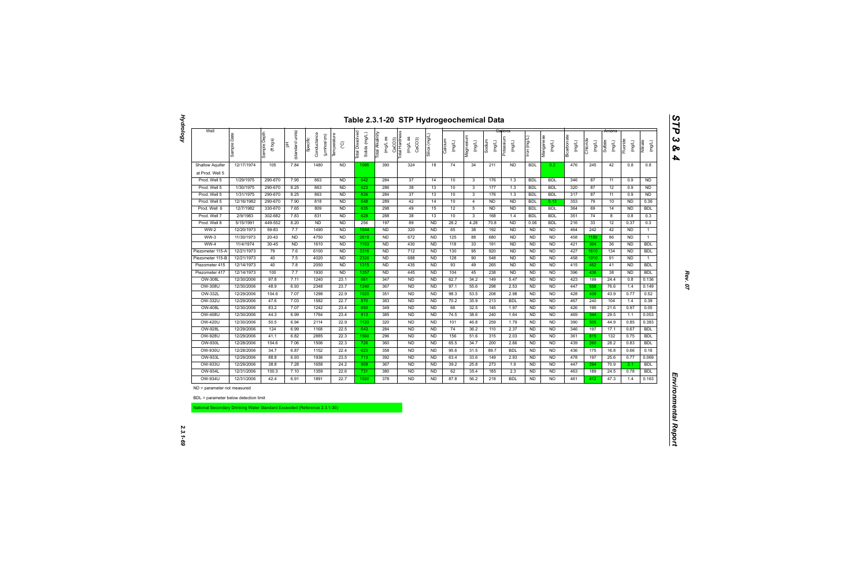| Well                                                                     |             |                          |                          |                                       |                                  |                                  |                              |                                                           |              |                   |                     |                  |                     |                |                     |                          |                    | Anions            |                    |                   |
|--------------------------------------------------------------------------|-------------|--------------------------|--------------------------|---------------------------------------|----------------------------------|----------------------------------|------------------------------|-----------------------------------------------------------|--------------|-------------------|---------------------|------------------|---------------------|----------------|---------------------|--------------------------|--------------------|-------------------|--------------------|-------------------|
|                                                                          | Sample Date | Sample Depth<br>(ft bgs) | units)<br>(standard<br>苦 | Conductance<br>(µmhos/cm)<br>Specific | Temperature<br>$\rm \mathcal{C}$ | Total Dissolved<br>Solids (mg/L) | Total Alkalinity<br>(mg/L as | CaCO3)<br>Total Hardness<br>(mg/L as<br>CaCO <sub>3</sub> | Silica (mg/L | Calcium<br>(mg/L) | Magnesium<br>(mg/L) | Sodium<br>(mg/L) | Potassium<br>(mg/L) | Iron (mg/L)    | Manganese<br>(mg/L) | Bicarbonate<br>$($ mg/L) | Chloride<br>(mg/L) | Sulfate<br>(mg/L) | Fluoride<br>(mg/L) | Nitrate<br>(mg/L) |
| <b>Shallow Aquifer</b>                                                   | 12/17/1974  | 105                      | 7.84                     | 1480                                  | <b>ND</b>                        | 1095                             | 390                          | 324                                                       | 18           | 74                | 34                  | 211              | <b>ND</b>           | <b>BDL</b>     | 0.2                 | 476                      | 245                | 42                | 0.8                | 0.8               |
| at Prod. Well 5                                                          |             |                          |                          |                                       |                                  |                                  |                              |                                                           |              |                   |                     |                  |                     |                |                     |                          |                    |                   |                    |                   |
| Prod. Well 5                                                             | 1/29/1975   | 290-670                  | 7.95                     | 863                                   | <b>ND</b>                        | 642                              | 284                          | 37                                                        | 14           | 10                | $\mathbf{3}$        | 176              | 1.3                 | <b>BDL</b>     | <b>BDL</b>          | 346                      | 87                 | 11                | 0.9                | <b>ND</b>         |
| Prod. Well 5                                                             | 1/30/1975   | 290-670                  | 8.25                     | 863                                   | <b>ND</b>                        | 623                              | 286                          | 38                                                        | 13           | 10                | $\mathbf{3}$        | 177              | 1.3                 | <b>BDL</b>     | <b>BDL</b>          | 320                      | 87                 | 12                | 0.9                | <b>ND</b>         |
| Prod. Well 5                                                             | 1/31/1975   | 290-670                  | 8.25                     | 863                                   | N <sub>D</sub>                   | 626                              | 284                          | 37                                                        | 13           | 10                | $\overline{3}$      | 176              | 1.3                 | <b>BDL</b>     | <b>BDL</b>          | 317                      | 87                 | 11                | 0.9                | <b>ND</b>         |
| Prod. Well 5                                                             | 12/16/1982  | 290-670                  | 7.90                     | 818                                   | N <sub>D</sub>                   | 648                              | 289                          | 42                                                        | 14           | 10                | $\overline{4}$      | <b>ND</b>        | N <sub>D</sub>      | <b>BDL</b>     | 0.13                | 353                      | 79                 | 10                | <b>ND</b>          | 0.36              |
| Prod. Well 6                                                             | 12/7/1982   | 330-670                  | 7.65                     | 809                                   | N <sub>D</sub>                   | 635                              | 298                          | 49                                                        | 15           | 12                | $\overline{5}$      | <b>ND</b>        | N <sub>D</sub>      | <b>BDL</b>     | <b>BDL</b>          | 364                      | 69                 | 14                | <b>ND</b>          | <b>BDL</b>        |
| Prod. Well 7                                                             | 2/9/1983    | 302-682                  | 7.83                     | 831                                   | <b>ND</b>                        | 628                              | 288                          | 38                                                        | 13           | 10                | $\mathbf{3}$        | 168              | 1.4                 | <b>BDL</b>     | <b>BDL</b>          | 351                      | 74                 | 8                 | 0.8                | 0.3               |
| Prod. Well 8                                                             | 5/15/1991   | 449-552                  | 8.20                     | <b>ND</b>                             | <b>ND</b>                        | 256                              | 197                          | 89                                                        | <b>ND</b>    | 28.2              | 4.28                | 70.8             | <b>ND</b>           | 0.06           | <b>BDL</b>          | 216                      | 33                 | 12                | 0.37               | 0.3               |
| $WW-2$                                                                   | 12/20/1973  | 59-83                    | 7.7                      | 1490                                  | <b>ND</b>                        | 1044                             | N <sub>D</sub>               | 320                                                       | <b>ND</b>    | 65                | 38                  | 192              | <b>ND</b>           | <b>ND</b>      | <b>ND</b>           | 464                      | 242                | 42                | <b>ND</b>          | $\mathbf{1}$      |
| $WW-3$                                                                   | 11/30/1973  | $20 - 43$                | N <sub>D</sub>           | 4750                                  | N <sub>D</sub>                   | 2618                             | N <sub>D</sub>               | 672                                                       | <b>ND</b>    | 125               | 88                  | 680              | N <sub>D</sub>      | <b>ND</b>      | <b>ND</b>           | 458                      | 1180               | 86                | <b>ND</b>          | $\mathbf{1}$      |
| $WW-4$                                                                   | 11/4/1974   | $30 - 45$                | N <sub>D</sub>           | 1610                                  | N <sub>D</sub>                   | 1103                             | N <sub>D</sub>               | 430                                                       | <b>ND</b>    | 118               | 33                  | 191              | N <sub>D</sub>      | <b>ND</b>      | <b>ND</b>           | 421                      | 304                | 36                | <b>ND</b>          | <b>BDL</b>        |
| Piezometer 115-A                                                         | 12/21/1973  | 79                       | 7.6                      | 6100                                  | N <sub>D</sub>                   | 3316                             | N <sub>D</sub>               | 712                                                       | <b>ND</b>    | 130               | 95                  | 920              | N <sub>D</sub>      | <b>ND</b>      | <b>ND</b>           | 427                      | 1610               | 134               | <b>ND</b>          | <b>BDL</b>        |
| Piezometer 115-B                                                         | 12/21/1973  | 40                       | 7.5                      | 4020                                  | <b>ND</b>                        | 2326                             | N <sub>D</sub>               | 688                                                       | <b>ND</b>    | 128               | 90                  | 548              | <b>ND</b>           | <b>ND</b>      | <b>ND</b>           | 458                      | 1010               | 91                | <b>ND</b>          | $\mathbf{1}$      |
| Piezometer 415                                                           | 12/14/1973  | 40                       | 7.8                      | 2050                                  | N <sub>D</sub>                   | 1315                             | N <sub>D</sub>               | 435                                                       | <b>ND</b>    | 93                | 49                  | 265              | <b>ND</b>           | <b>ND</b>      | <b>ND</b>           | 415                      | 452                | 41                | <b>ND</b>          | <b>BDL</b>        |
| Piezometer 417                                                           | 12/14/1973  | 100                      | 7.7                      | 1930                                  | <b>ND</b>                        | 1257                             | <b>ND</b>                    | 445                                                       | <b>ND</b>    | 104               | 45                  | 238              | <b>ND</b>           | <b>ND</b>      | <b>ND</b>           | 396                      | 436                | 38                | <b>ND</b>          | <b>BDL</b>        |
| OW-308L                                                                  | 12/30/2006  | 97.8                     | 7.11                     | 1240                                  | 23.1                             | 661                              | 347                          | <b>ND</b>                                                 | <b>ND</b>    | 62.7              | 34.2                | 149              | 5.47                | <b>ND</b>      | <b>ND</b>           | 423                      | 199                | 24.4              | 0.8                | 0.136             |
| <b>OW-308U</b>                                                           | 12/30/2006  | 48.9                     | 6.93                     | 2348                                  | 23.7                             | 1240                             | 367                          | N <sub>D</sub>                                            | <b>ND</b>    | 97.1              | 55.6                | 298              | 2.53                | N <sub>D</sub> | <b>ND</b>           | 447                      | 558                | 76.6              | 1.4                | 0.149             |
| OW-332L                                                                  | 12/29/2006  | 104.6                    | 7.07                     | 1298                                  | 22.9                             | 1020                             | 351                          | N <sub>D</sub>                                            | <b>ND</b>    | 98.3              | 53.5                | 208              | 2.98                | <b>ND</b>      | <b>ND</b>           | 428                      | 439                | 43.9              | 0.77               | 0.52              |
| <b>OW-332U</b>                                                           | 12/29/2006  | 47.6                     | 7.03                     | 1582                                  | 22.7                             | 870                              | 383                          | N <sub>D</sub>                                            | <b>ND</b>    | 70.2              | 35.9                | 213              | <b>BDL</b>          | <b>ND</b>      | <b>ND</b>           | 467                      | 240                | 104               | 1.4                | 0.39              |
| <b>OW-408L</b>                                                           | 12/30/2006  | 83.2                     | 7.07                     | 1242                                  | 23.4                             | 650                              | 349                          | <b>ND</b>                                                 | <b>ND</b>    | 66                | 32.5                | 145              | 1.97                | <b>ND</b>      | <b>ND</b>           | 426                      | 195                | 21.6              | 0.97               | 0.05              |
| <b>OW-408U</b>                                                           | 12/30/2006  | 44.3                     | 6.99                     | 1764                                  | 23.4                             | 913                              | 385                          | <b>ND</b>                                                 | <b>ND</b>    | 74.5              | 38.6                | 240              | 1.64                | <b>ND</b>      | <b>ND</b>           | 469                      | 344                | 29.5              | 1.1                | 0.053             |
| <b>OW-420U</b>                                                           | 12/30/2006  | 50.5                     | 6.94                     | 2114                                  | 22.9                             | 1120                             | 320                          | <b>ND</b>                                                 | <b>ND</b>    | 101               | 46.8                | 259              | 1.79                | <b>ND</b>      | <b>ND</b>           | 390                      | 505                | 44.9              | 0.85               | 0.383             |
| <b>OW-928L</b>                                                           | 12/29/2006  | 124                      | 6.99                     | 1168                                  | 22.5                             | 643                              | 284                          | <b>ND</b>                                                 | <b>ND</b>    | 74                | 36.2                | 110              | 2.37                | <b>ND</b>      | <b>ND</b>           | 346                      | 197                | 17.1              | 0.67               | <b>BDL</b>        |
| OW-928U                                                                  | 12/29/2006  | 41.1                     | 6.82                     | 2885                                  | 22.3                             | 1560                             | 296                          | N <sub>D</sub>                                            | <b>ND</b>    | 156               | 51.6                | 315              | 2.03                | N <sub>D</sub> | <b>ND</b>           | 361                      | 815                | $132$             | 0.75               | <b>BDL</b>        |
| <b>OW-930L</b>                                                           | 12/28/2006  | 104.6                    | 7.06                     | 1506                                  | 22.3                             | 726                              | 360                          | N <sub>D</sub>                                            | <b>ND</b>    | 65.5              | 34.7                | 200              | 2.66                | <b>ND</b>      | <b>ND</b>           | 439                      | 260                | 28.2              | 0.83               | <b>BDL</b>        |
| OW-930U                                                                  | 12/28/2006  | 34.7                     | 6.87                     | 1152                                  | 22.4                             | 623                              | 358                          | <b>ND</b>                                                 | <b>ND</b>    | 95.6              | 31.5                | 89.7             | <b>BDL</b>          | <b>ND</b>      | <b>ND</b>           | 436                      | 175                | 16.8              | 0.66               | 0.16              |
| OW-933L                                                                  | 12/29/2006  | 88.8                     | 6.93                     | 1936                                  | 23.5                             | 713                              | 392                          | <b>ND</b>                                                 | <b>ND</b>    | 63.4              | 33.6                | 149              | 2.93                | <b>ND</b>      | <b>ND</b>           | 478                      | 197                | 25.6              | 0.77               | 0.069             |
| OW-933U                                                                  | 12/29/2006  | 38.8                     | 7.28                     | 1658                                  | 24.2                             | 908                              | 367                          | <b>ND</b>                                                 | <b>ND</b>    | 39.2              | 25.8                | 273              | 1.9                 | <b>ND</b>      | <b>ND</b>           | 447                      | 294                | 70.9              | 2.1                | <b>BDL</b>        |
| <b>OW-934L</b>                                                           | 12/31/2006  | 100.3                    | 7.10                     | 1359                                  | 22.6                             | 731                              | 380                          | <b>ND</b>                                                 | <b>ND</b>    | 62                | 35.4                | 185              | 2.3                 | N <sub>D</sub> | <b>ND</b>           | 463                      | 189                | 24.5              | 0.78               | <b>BDL</b>        |
| OW-934U                                                                  | 12/31/2006  | 42.4                     | 6.91                     | 1891                                  | 22.7                             | 1020                             | 378                          | <b>ND</b>                                                 | <b>ND</b>    | 87.8              | 56.2                | 218              | <b>BDL</b>          | <b>ND</b>      | <b>ND</b>           | 461                      | 412                | 47.3              | 1.4                | 0.163             |
| ND = parameter not measured                                              |             |                          |                          |                                       |                                  |                                  |                              |                                                           |              |                   |                     |                  |                     |                |                     |                          |                    |                   |                    |                   |
| BDL = parameter below detection limit                                    |             |                          |                          |                                       |                                  |                                  |                              |                                                           |              |                   |                     |                  |                     |                |                     |                          |                    |                   |                    |                   |
|                                                                          |             |                          |                          |                                       |                                  |                                  |                              |                                                           |              |                   |                     |                  |                     |                |                     |                          |                    |                   |                    |                   |
| National Secondary Drinking Water Standard Exceeded (Reference 2.3.1-30) |             |                          |                          |                                       |                                  |                                  |                              |                                                           |              |                   |                     |                  |                     |                |                     |                          |                    |                   |                    |                   |
|                                                                          |             |                          |                          |                                       |                                  |                                  |                              |                                                           |              |                   |                     |                  |                     |                |                     |                          |                    |                   |                    |                   |
|                                                                          |             |                          |                          |                                       |                                  |                                  |                              |                                                           |              |                   |                     |                  |                     |                |                     |                          |                    |                   |                    |                   |
|                                                                          |             |                          |                          |                                       |                                  |                                  |                              |                                                           |              |                   |                     |                  |                     |                |                     |                          |                    |                   |                    |                   |

*Rev. 07*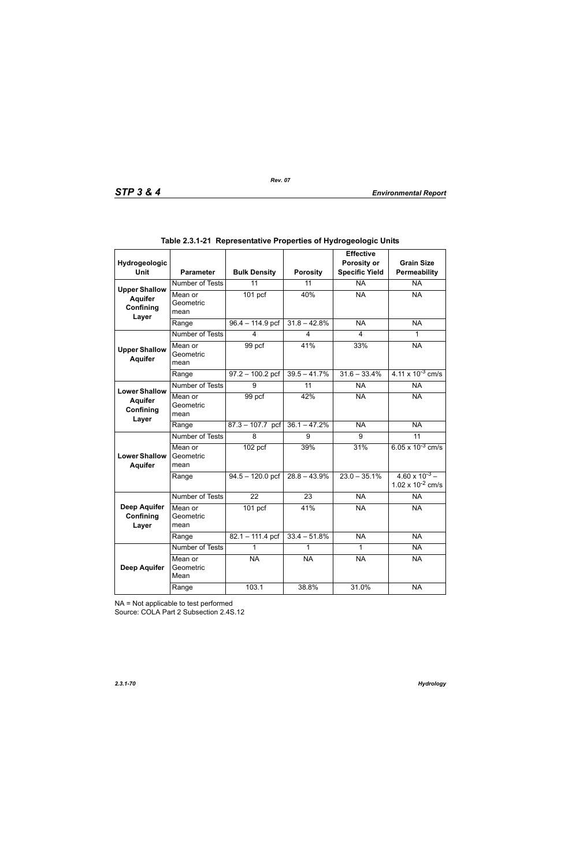| Hydrogeologic                             |                              |                     |                 | <b>Effective</b><br>Porosity or | <b>Grain Size</b>                                     |
|-------------------------------------------|------------------------------|---------------------|-----------------|---------------------------------|-------------------------------------------------------|
| <b>Unit</b>                               | <b>Parameter</b>             | <b>Bulk Density</b> | <b>Porosity</b> | <b>Specific Yield</b>           | Permeability                                          |
| <b>Upper Shallow</b>                      | <b>Number of Tests</b>       | $\overline{11}$     | $\overline{11}$ | $\overline{NA}$                 | <b>NA</b>                                             |
| <b>Aquifer</b><br>Confining<br>Layer      | Mean or<br>Geometric<br>mean | $101$ pcf           | 40%             | <b>NA</b>                       | <b>NA</b>                                             |
|                                           | Range                        | $96.4 - 114.9$ pcf  | $31.8 - 42.8\%$ | <b>NA</b>                       | <b>NA</b>                                             |
|                                           | <b>Number of Tests</b>       | 4                   | 4               | $\overline{4}$                  | 1                                                     |
| <b>Upper Shallow</b><br><b>Aquifer</b>    | Mean or<br>Geometric<br>mean | 99 pcf              | 41%             | 33%                             | <b>NA</b>                                             |
|                                           | Range                        | $97.2 - 100.2$ pcf  | $39.5 - 41.7%$  | $31.6 - 33.4%$                  | $4.11 \times 10^{-3}$ cm/s                            |
| <b>Lower Shallow</b>                      | <b>Number of Tests</b>       | 9                   | 11              | <b>NA</b>                       | <b>NA</b>                                             |
| <b>Aquifer</b><br>Confining<br>Layer      | Mean or<br>Geometric<br>mean | 99 pcf              | 42%             | <b>NA</b>                       | <b>NA</b>                                             |
|                                           | Range                        | $87.3 - 107.7$ pcf  | $36.1 - 47.2%$  | <b>NA</b>                       | <b>NA</b>                                             |
|                                           | Number of Tests              | 8                   | 9               | 9                               | $\overline{11}$                                       |
| <b>Lower Shallow</b><br><b>Aquifer</b>    | Mean or<br>Geometric<br>mean | $102$ pcf           | 39%             | 31%                             | 6.05 x $10^{-3}$ cm/s                                 |
|                                           | Range                        | $94.5 - 120.0$ pcf  | $28.8 - 43.9%$  | $23.0 - 35.1\%$                 | $4.60 \times 10^{-3}$ –<br>$1.02 \times 10^{-2}$ cm/s |
|                                           | Number of Tests              | 22                  | 23              | <b>NA</b>                       | <b>NA</b>                                             |
| <b>Deep Aquifer</b><br>Confining<br>Layer | Mean or<br>Geometric<br>mean | $101$ pcf           | 41%             | <b>NA</b>                       | <b>NA</b>                                             |
|                                           | Range                        | $82.1 - 111.4$ pcf  | $33.4 - 51.8%$  | <b>NA</b>                       | <b>NA</b>                                             |
|                                           | Number of Tests              | 1                   |                 | 1                               | <b>NA</b>                                             |
| <b>Deep Aquifer</b>                       | Mean or<br>Geometric<br>Mean | <b>NA</b>           | <b>NA</b>       | <b>NA</b>                       | <b>NA</b>                                             |
|                                           | Range                        | 103.1               | 38.8%           | 31.0%                           | <b>NA</b>                                             |

|  | Table 2.3.1-21  Representative Properties of Hydrogeologic Units |  |  |  |
|--|------------------------------------------------------------------|--|--|--|
|--|------------------------------------------------------------------|--|--|--|

NA = Not applicable to test performed

Source: COLA Part 2 Subsection 2.4S.12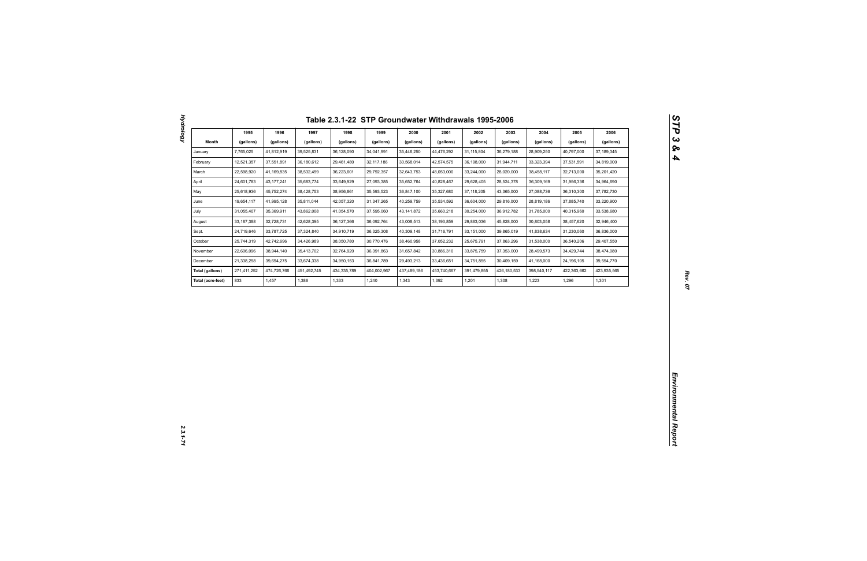| Month<br>(gallons)<br>(gallons)<br>(gallons)<br>(gallons)<br>(gallons)<br>(gallons)<br>(gallons)<br>(gallons)<br>(gallons)<br>(gallons)<br>(gallons)<br>(gallons)<br>28,909,250<br>7,765,025<br>41,812,919<br>39,525,831<br>36,128,090<br>34,041,991<br>35,446,250<br>44,476,292<br>31,115,804<br>36,279,188<br>40,797,000<br>37, 189, 345<br>January<br>12,521,357<br>36,180,612<br>42,574,575<br>31,944,711<br>33,323,394<br>34,819,000<br>February<br>37,551,891<br>29,461,480<br>32, 117, 186<br>30,568,014<br>36,198,000<br>37,531,591<br>22,598,920<br>38,532,459<br>36,223,601<br>29,792,357<br>32,643,753<br>48,053,000<br>28,020,000<br>32,713,000<br>35,201,420<br>March<br>41,169,835<br>33,244,000<br>38,458,117<br>April<br>24,601,783<br>43, 177, 241<br>35,683,774<br>33,649,929<br>27,093,385<br>35,652,764<br>40,828,467<br>29,628,405<br>28,524,378<br>36,309,169<br>31,956,336<br>34,964,690<br>27,088,736<br>25,618,936<br>45,752,274<br>38,428,753<br>38,956,861<br>35,593,523<br>35,327,680<br>37, 118, 205<br>43,365,000<br>37,782,730<br>May<br>36,847,100<br>36,310,300<br>19,654,117<br>33,220,900<br>June<br>41,995,128<br>35,811,044<br>42,057,320<br>31,347,265<br>40,259,759<br>35,534,592<br>36,604,000<br>29,816,000<br>28,819,186<br>37,885,740<br>31,055,407<br>35,660,218<br>33,538,680<br>July<br>35,369,911<br>43,862,008<br>41,054,570<br>37,595,060<br>43, 141, 872<br>30,254,000<br>36,912,782<br>31,785,000<br>40,315,960<br>August<br>33,187,388<br>32,728,731<br>42,628,395<br>36, 127, 366<br>36,092,764<br>43,008,513<br>38, 193, 859<br>29,863,036<br>45,828,000<br>30,803,058<br>38,457,620<br>32,946,400<br>41,838,634<br>Sept.<br>24,719,646<br>33,787,725<br>37,324,840<br>34,910,719<br>36,325,308<br>40,309,148<br>31,716,791<br>33, 151, 000<br>39,865,019<br>31,230,060<br>36,836,000<br>October<br>25,744,319<br>42,742,696<br>34,426,989<br>38,050,780<br>30,770,476<br>38,460,958<br>37,052,232<br>25,675,791<br>37,863,296<br>31,538,000<br>36,540,206<br>29,407,550<br>22,606,096<br>38,944,140<br>35,413,702<br>32,764,920<br>36,391,863<br>31,657,842<br>30,886,310<br>33,875,759<br>37,353,000<br>28,499,573<br>34,429,744<br>38,474,080<br>November<br>21,338,258<br>39,694,275<br>33,674,338<br>34,950,153<br>36,841,789<br>29,493,213<br>33,436,651<br>34,751,855<br>30,409,159<br>41,168,000<br>39,554,770<br>December<br>24,196,105<br>423,935,565<br>Total (gallons)<br>271,411,252<br>474,726,766<br>451,492,745<br>434,335,789<br>404,002,967<br>437,489,186<br>453,740,667<br>391,479,855<br>426,180,533<br>398,540,117<br>422,363,662<br>833<br>1,386<br>1,240<br>1,343<br>1,392<br>1,201<br>1,223<br>1,301<br>Total (acre-feet)<br>1,457<br>1,333<br>1,308<br>1,296 |  | 1995 | 1996 | 1997 | 1998 | 1999 | 2000 | 2001 | 2002 | 2003 | 2004 | 2005 | 2006 |
|----------------------------------------------------------------------------------------------------------------------------------------------------------------------------------------------------------------------------------------------------------------------------------------------------------------------------------------------------------------------------------------------------------------------------------------------------------------------------------------------------------------------------------------------------------------------------------------------------------------------------------------------------------------------------------------------------------------------------------------------------------------------------------------------------------------------------------------------------------------------------------------------------------------------------------------------------------------------------------------------------------------------------------------------------------------------------------------------------------------------------------------------------------------------------------------------------------------------------------------------------------------------------------------------------------------------------------------------------------------------------------------------------------------------------------------------------------------------------------------------------------------------------------------------------------------------------------------------------------------------------------------------------------------------------------------------------------------------------------------------------------------------------------------------------------------------------------------------------------------------------------------------------------------------------------------------------------------------------------------------------------------------------------------------------------------------------------------------------------------------------------------------------------------------------------------------------------------------------------------------------------------------------------------------------------------------------------------------------------------------------------------------------------------------------------------------------------------------------------------------------------------------------------------------------------------------------------------------------------------------------------------------------------------------------------------------------------------------------------------------|--|------|------|------|------|------|------|------|------|------|------|------|------|
|                                                                                                                                                                                                                                                                                                                                                                                                                                                                                                                                                                                                                                                                                                                                                                                                                                                                                                                                                                                                                                                                                                                                                                                                                                                                                                                                                                                                                                                                                                                                                                                                                                                                                                                                                                                                                                                                                                                                                                                                                                                                                                                                                                                                                                                                                                                                                                                                                                                                                                                                                                                                                                                                                                                                              |  |      |      |      |      |      |      |      |      |      |      |      |      |
|                                                                                                                                                                                                                                                                                                                                                                                                                                                                                                                                                                                                                                                                                                                                                                                                                                                                                                                                                                                                                                                                                                                                                                                                                                                                                                                                                                                                                                                                                                                                                                                                                                                                                                                                                                                                                                                                                                                                                                                                                                                                                                                                                                                                                                                                                                                                                                                                                                                                                                                                                                                                                                                                                                                                              |  |      |      |      |      |      |      |      |      |      |      |      |      |
|                                                                                                                                                                                                                                                                                                                                                                                                                                                                                                                                                                                                                                                                                                                                                                                                                                                                                                                                                                                                                                                                                                                                                                                                                                                                                                                                                                                                                                                                                                                                                                                                                                                                                                                                                                                                                                                                                                                                                                                                                                                                                                                                                                                                                                                                                                                                                                                                                                                                                                                                                                                                                                                                                                                                              |  |      |      |      |      |      |      |      |      |      |      |      |      |
|                                                                                                                                                                                                                                                                                                                                                                                                                                                                                                                                                                                                                                                                                                                                                                                                                                                                                                                                                                                                                                                                                                                                                                                                                                                                                                                                                                                                                                                                                                                                                                                                                                                                                                                                                                                                                                                                                                                                                                                                                                                                                                                                                                                                                                                                                                                                                                                                                                                                                                                                                                                                                                                                                                                                              |  |      |      |      |      |      |      |      |      |      |      |      |      |
|                                                                                                                                                                                                                                                                                                                                                                                                                                                                                                                                                                                                                                                                                                                                                                                                                                                                                                                                                                                                                                                                                                                                                                                                                                                                                                                                                                                                                                                                                                                                                                                                                                                                                                                                                                                                                                                                                                                                                                                                                                                                                                                                                                                                                                                                                                                                                                                                                                                                                                                                                                                                                                                                                                                                              |  |      |      |      |      |      |      |      |      |      |      |      |      |
|                                                                                                                                                                                                                                                                                                                                                                                                                                                                                                                                                                                                                                                                                                                                                                                                                                                                                                                                                                                                                                                                                                                                                                                                                                                                                                                                                                                                                                                                                                                                                                                                                                                                                                                                                                                                                                                                                                                                                                                                                                                                                                                                                                                                                                                                                                                                                                                                                                                                                                                                                                                                                                                                                                                                              |  |      |      |      |      |      |      |      |      |      |      |      |      |
|                                                                                                                                                                                                                                                                                                                                                                                                                                                                                                                                                                                                                                                                                                                                                                                                                                                                                                                                                                                                                                                                                                                                                                                                                                                                                                                                                                                                                                                                                                                                                                                                                                                                                                                                                                                                                                                                                                                                                                                                                                                                                                                                                                                                                                                                                                                                                                                                                                                                                                                                                                                                                                                                                                                                              |  |      |      |      |      |      |      |      |      |      |      |      |      |
|                                                                                                                                                                                                                                                                                                                                                                                                                                                                                                                                                                                                                                                                                                                                                                                                                                                                                                                                                                                                                                                                                                                                                                                                                                                                                                                                                                                                                                                                                                                                                                                                                                                                                                                                                                                                                                                                                                                                                                                                                                                                                                                                                                                                                                                                                                                                                                                                                                                                                                                                                                                                                                                                                                                                              |  |      |      |      |      |      |      |      |      |      |      |      |      |
|                                                                                                                                                                                                                                                                                                                                                                                                                                                                                                                                                                                                                                                                                                                                                                                                                                                                                                                                                                                                                                                                                                                                                                                                                                                                                                                                                                                                                                                                                                                                                                                                                                                                                                                                                                                                                                                                                                                                                                                                                                                                                                                                                                                                                                                                                                                                                                                                                                                                                                                                                                                                                                                                                                                                              |  |      |      |      |      |      |      |      |      |      |      |      |      |
|                                                                                                                                                                                                                                                                                                                                                                                                                                                                                                                                                                                                                                                                                                                                                                                                                                                                                                                                                                                                                                                                                                                                                                                                                                                                                                                                                                                                                                                                                                                                                                                                                                                                                                                                                                                                                                                                                                                                                                                                                                                                                                                                                                                                                                                                                                                                                                                                                                                                                                                                                                                                                                                                                                                                              |  |      |      |      |      |      |      |      |      |      |      |      |      |
|                                                                                                                                                                                                                                                                                                                                                                                                                                                                                                                                                                                                                                                                                                                                                                                                                                                                                                                                                                                                                                                                                                                                                                                                                                                                                                                                                                                                                                                                                                                                                                                                                                                                                                                                                                                                                                                                                                                                                                                                                                                                                                                                                                                                                                                                                                                                                                                                                                                                                                                                                                                                                                                                                                                                              |  |      |      |      |      |      |      |      |      |      |      |      |      |
|                                                                                                                                                                                                                                                                                                                                                                                                                                                                                                                                                                                                                                                                                                                                                                                                                                                                                                                                                                                                                                                                                                                                                                                                                                                                                                                                                                                                                                                                                                                                                                                                                                                                                                                                                                                                                                                                                                                                                                                                                                                                                                                                                                                                                                                                                                                                                                                                                                                                                                                                                                                                                                                                                                                                              |  |      |      |      |      |      |      |      |      |      |      |      |      |
|                                                                                                                                                                                                                                                                                                                                                                                                                                                                                                                                                                                                                                                                                                                                                                                                                                                                                                                                                                                                                                                                                                                                                                                                                                                                                                                                                                                                                                                                                                                                                                                                                                                                                                                                                                                                                                                                                                                                                                                                                                                                                                                                                                                                                                                                                                                                                                                                                                                                                                                                                                                                                                                                                                                                              |  |      |      |      |      |      |      |      |      |      |      |      |      |
|                                                                                                                                                                                                                                                                                                                                                                                                                                                                                                                                                                                                                                                                                                                                                                                                                                                                                                                                                                                                                                                                                                                                                                                                                                                                                                                                                                                                                                                                                                                                                                                                                                                                                                                                                                                                                                                                                                                                                                                                                                                                                                                                                                                                                                                                                                                                                                                                                                                                                                                                                                                                                                                                                                                                              |  |      |      |      |      |      |      |      |      |      |      |      |      |
|                                                                                                                                                                                                                                                                                                                                                                                                                                                                                                                                                                                                                                                                                                                                                                                                                                                                                                                                                                                                                                                                                                                                                                                                                                                                                                                                                                                                                                                                                                                                                                                                                                                                                                                                                                                                                                                                                                                                                                                                                                                                                                                                                                                                                                                                                                                                                                                                                                                                                                                                                                                                                                                                                                                                              |  |      |      |      |      |      |      |      |      |      |      |      |      |
|                                                                                                                                                                                                                                                                                                                                                                                                                                                                                                                                                                                                                                                                                                                                                                                                                                                                                                                                                                                                                                                                                                                                                                                                                                                                                                                                                                                                                                                                                                                                                                                                                                                                                                                                                                                                                                                                                                                                                                                                                                                                                                                                                                                                                                                                                                                                                                                                                                                                                                                                                                                                                                                                                                                                              |  |      |      |      |      |      |      |      |      |      |      |      |      |
|                                                                                                                                                                                                                                                                                                                                                                                                                                                                                                                                                                                                                                                                                                                                                                                                                                                                                                                                                                                                                                                                                                                                                                                                                                                                                                                                                                                                                                                                                                                                                                                                                                                                                                                                                                                                                                                                                                                                                                                                                                                                                                                                                                                                                                                                                                                                                                                                                                                                                                                                                                                                                                                                                                                                              |  |      |      |      |      |      |      |      |      |      |      |      |      |
|                                                                                                                                                                                                                                                                                                                                                                                                                                                                                                                                                                                                                                                                                                                                                                                                                                                                                                                                                                                                                                                                                                                                                                                                                                                                                                                                                                                                                                                                                                                                                                                                                                                                                                                                                                                                                                                                                                                                                                                                                                                                                                                                                                                                                                                                                                                                                                                                                                                                                                                                                                                                                                                                                                                                              |  |      |      |      |      |      |      |      |      |      |      |      |      |